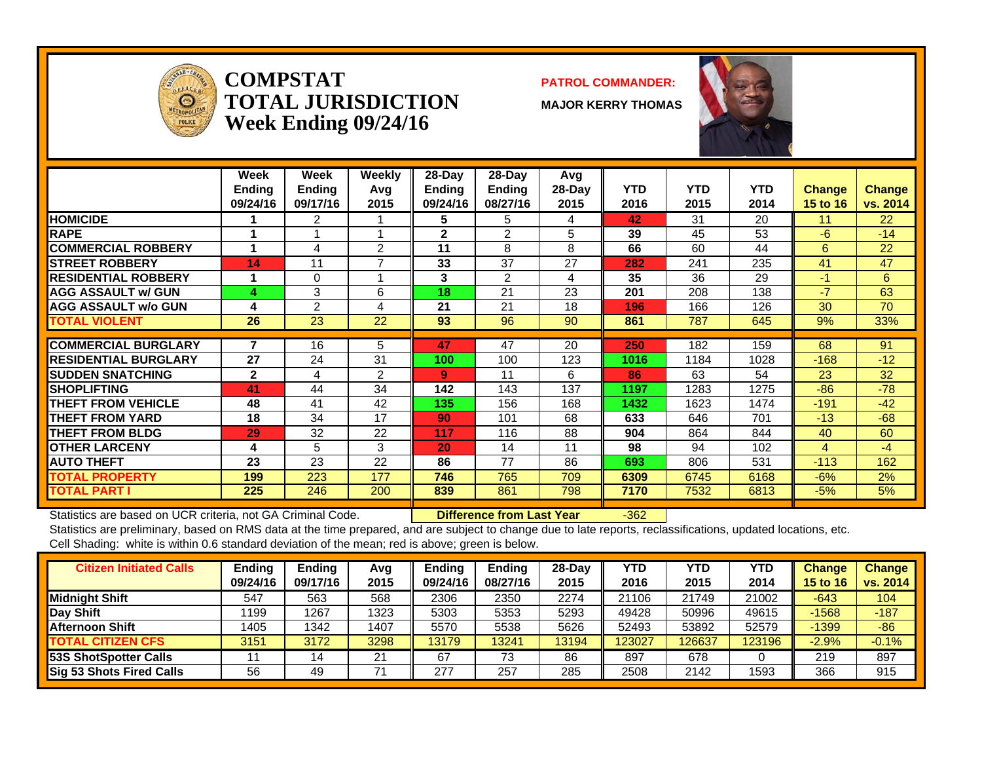

**COMPSTATTOTAL JURISDICTIONWeek Ending 09/24/16**

#### **PATROL COMMANDER:**

**MAJOR KERRY THOMAS**



|                             | Week<br><b>Ending</b><br>09/24/16 | Week<br><b>Ending</b><br>09/17/16 | Weekly<br>Avq<br>2015 | $28-Dav$<br><b>Endina</b><br>09/24/16 | $28$ -Day<br><b>Ending</b><br>08/27/16 | Avg<br>28-Day<br>2015 | <b>YTD</b><br>2016 | <b>YTD</b><br>2015 | <b>YTD</b><br>2014 | <b>Change</b><br>15 to 16 | <b>Change</b><br>vs. 2014 |
|-----------------------------|-----------------------------------|-----------------------------------|-----------------------|---------------------------------------|----------------------------------------|-----------------------|--------------------|--------------------|--------------------|---------------------------|---------------------------|
| <b>HOMICIDE</b>             |                                   | 2                                 |                       | 5                                     | 5                                      | 4                     | 42                 | 31                 | 20                 | 11                        | 22                        |
| <b>RAPE</b>                 |                                   |                                   |                       | $\mathbf{2}$                          | 2                                      | 5                     | 39                 | 45                 | 53                 | -6                        | $-14$                     |
| <b>COMMERCIAL ROBBERY</b>   | 4                                 | 4                                 | 2                     | 11                                    | 8                                      | 8                     | 66                 | 60                 | 44                 | 6                         | 22                        |
| <b>ISTREET ROBBERY</b>      | 14                                | 11                                |                       | 33                                    | 37                                     | 27                    | 282                | 241                | 235                | 41                        | 47                        |
| <b>RESIDENTIAL ROBBERY</b>  |                                   | 0                                 |                       | 3                                     | $\overline{2}$                         | 4                     | 35                 | 36                 | 29                 | $-1$                      | 6                         |
| <b>AGG ASSAULT w/ GUN</b>   | 4                                 | 3                                 | 6                     | 18                                    | 21                                     | 23                    | 201                | 208                | 138                | $-7$                      | 63                        |
| <b>AGG ASSAULT w/o GUN</b>  | 4                                 | $\overline{2}$                    | 4                     | 21                                    | 21                                     | 18                    | 196                | 166                | 126                | 30                        | 70                        |
| <b>TOTAL VIOLENT</b>        | 26                                | 23                                | 22                    | 93                                    | 96                                     | 90                    | 861                | 787                | 645                | 9%                        | 33%                       |
|                             |                                   |                                   |                       |                                       |                                        |                       |                    |                    |                    |                           |                           |
| <b>COMMERCIAL BURGLARY</b>  |                                   | 16                                | 5                     | 47                                    | 47                                     | 20                    | 250                | 182                | 159                | 68                        | 91                        |
| <b>RESIDENTIAL BURGLARY</b> | 27                                | 24                                | 31                    | 100                                   | 100                                    | 123                   | 1016               | 1184               | 1028               | $-168$                    | $-12$                     |
| <b>SUDDEN SNATCHING</b>     | $\mathbf{2}$                      | 4                                 | $\mathfrak{p}$        | 9                                     | 11                                     | 6                     | 86                 | 63                 | 54                 | 23                        | 32                        |
| <b>SHOPLIFTING</b>          | 41                                | 44                                | 34                    | 142                                   | 143                                    | 137                   | 1197               | 1283               | 1275               | $-86$                     | $-78$                     |
| THEFT FROM VEHICLE          | 48                                | 41                                | 42                    | 135                                   | 156                                    | 168                   | 1432               | 1623               | 1474               | $-191$                    | $-42$                     |
| <b>THEFT FROM YARD</b>      | 18                                | 34                                | 17                    | 90                                    | 101                                    | 68                    | 633                | 646                | 701                | $-13$                     | $-68$                     |
| <b>THEFT FROM BLDG</b>      | 29                                | 32                                | 22                    | 117                                   | 116                                    | 88                    | 904                | 864                | 844                | 40                        | 60                        |
| <b>OTHER LARCENY</b>        | 4                                 | 5                                 | 3                     | 20                                    | 14                                     | 11                    | 98                 | 94                 | 102                | 4                         | -4                        |
| <b>AUTO THEFT</b>           | 23                                | 23                                | 22                    | 86                                    | 77                                     | 86                    | 693                | 806                | 531                | $-113$                    | 162                       |
| <b>TOTAL PROPERTY</b>       | 199                               | 223                               | 177                   | 746                                   | 765                                    | 709                   | 6309               | 6745               | 6168               | $-6%$                     | 2%                        |
| <b>TOTAL PART I</b>         | 225                               | 246                               | 200                   | 839                                   | 861                                    | 798                   | 7170               | 7532               | 6813               | $-5%$                     | 5%                        |

Statistics are based on UCR criteria, not GA Criminal Code. **Difference from Last Year** -362

| <b>Citizen Initiated Calls</b>  | Ending   | <b>Ending</b> | Avg  | <b>Ending</b> | <b>Ending</b> | 28-Dav | YTD    | <b>YTD</b> | YTD    | <b>Change</b>   | <b>Change</b> |
|---------------------------------|----------|---------------|------|---------------|---------------|--------|--------|------------|--------|-----------------|---------------|
|                                 | 09/24/16 | 09/17/16      | 2015 | 09/24/16      | 08/27/16      | 2015   | 2016   | 2015       | 2014   | <b>15 to 16</b> | vs. 2014      |
| <b>Midnight Shift</b>           | 547      | 563           | 568  | 2306          | 2350          | 2274   | 21106  | 21749      | 21002  | $-643$          | 104           |
| <b>Day Shift</b>                | 1199     | 1267          | 1323 | 5303          | 5353          | 5293   | 49428  | 50996      | 49615  | $-1568$         | $-187$        |
| <b>Afternoon Shift</b>          | 1405     | 1342          | 1407 | 5570          | 5538          | 5626   | 52493  | 53892      | 52579  | $-1399$         | $-86$         |
| <b>TOTAL CITIZEN CFS</b>        | 3151     | 3172          | 3298 | 13179         | 3241          | 13194  | 123027 | 126637     | 123196 | $-2.9%$         | $-0.1%$       |
| 53S ShotSpotter Calls           |          |               | 21   | 67            | 73            | 86     | 897    | 678        |        | 219             | 897           |
| <b>Sig 53 Shots Fired Calls</b> | 56       | 49            |      | 277           | 257           | 285    | 2508   | 2142       | 1593   | 366             | 915           |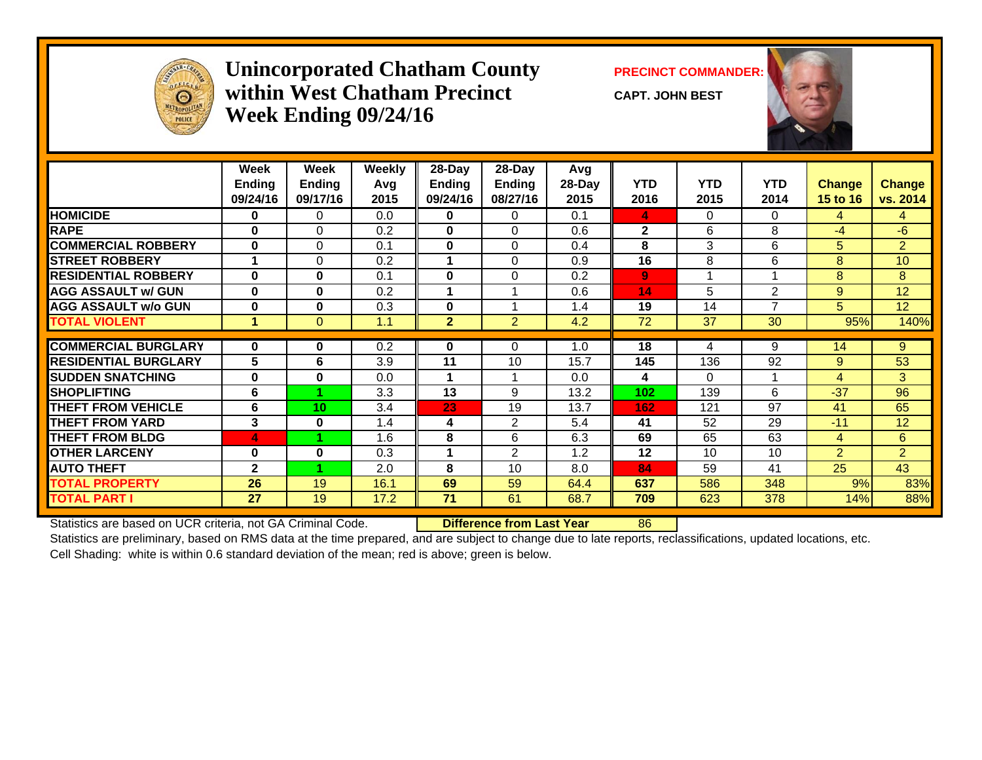

#### **Unincorporated Chatham County PRECINCT COMMANDER: within West Chatham PrecinctWeek Ending 09/24/16**

**CAPT. JOHN BEST**



|                             | Week<br><b>Ending</b><br>09/24/16 | Week<br><b>Ending</b><br>09/17/16 | <b>Weekly</b><br>Avg<br>2015 | 28-Day<br><b>Ending</b><br>09/24/16 | $28$ -Day<br>Ending<br>08/27/16 | Avg<br>$28$ -Day<br>2015 | <b>YTD</b><br>2016 | <b>YTD</b><br>2015   | <b>YTD</b><br>2014 | <b>Change</b><br><b>15 to 16</b> | <b>Change</b><br>vs. 2014 |
|-----------------------------|-----------------------------------|-----------------------------------|------------------------------|-------------------------------------|---------------------------------|--------------------------|--------------------|----------------------|--------------------|----------------------------------|---------------------------|
| <b>HOMICIDE</b>             | 0                                 | $\Omega$                          | 0.0                          | 0                                   | 0                               | 0.1                      | 4                  | 0                    | $\Omega$           | 4                                | 4                         |
| <b>RAPE</b>                 | $\bf{0}$                          | $\mathbf 0$                       | 0.2                          | 0                                   | $\Omega$                        | 0.6                      | $\mathbf{2}$       | 6                    | 8                  | $-4$                             | $-6$                      |
| <b>COMMERCIAL ROBBERY</b>   | $\mathbf{0}$                      | $\Omega$                          | 0.1                          | $\mathbf{0}$                        | $\Omega$                        | 0.4                      | 8                  | 3                    | 6                  | 5                                | $\overline{2}$            |
| <b>STREET ROBBERY</b>       |                                   | $\Omega$                          | 0.2                          |                                     | $\Omega$                        | 0.9                      | 16                 | 8                    | 6                  | 8                                | 10                        |
| <b>RESIDENTIAL ROBBERY</b>  | $\bf{0}$                          | $\mathbf{0}$                      | 0.1                          | $\mathbf{0}$                        | $\Omega$                        | 0.2                      | 9                  | $\blacktriangleleft$ | 1                  | 8                                | 8                         |
| <b>AGG ASSAULT w/ GUN</b>   | $\bf{0}$                          | $\mathbf{0}$                      | 0.2                          |                                     |                                 | 0.6                      | 14                 | 5                    | $\overline{2}$     | $9^{\circ}$                      | 12                        |
| <b>AGG ASSAULT w/o GUN</b>  | $\bf{0}$                          | $\bf{0}$                          | 0.3                          | $\mathbf{0}$                        |                                 | 1.4                      | 19                 | 14                   | $\overline{7}$     | 5                                | 12                        |
| <b>TOTAL VIOLENT</b>        | 1                                 | $\Omega$                          | 1.1                          | $\overline{2}$                      | 2                               | 4.2                      | 72                 | 37                   | 30                 | 95%                              | 140%                      |
| <b>COMMERCIAL BURGLARY</b>  | $\mathbf{0}$                      | 0                                 | 0.2                          | 0                                   | 0                               | 1.0                      | 18                 | 4                    | 9                  | 14                               | 9                         |
|                             | 5                                 |                                   |                              |                                     | 10                              |                          |                    |                      |                    |                                  |                           |
| <b>RESIDENTIAL BURGLARY</b> |                                   | 6                                 | 3.9                          | 11                                  |                                 | 15.7                     | 145                | 136                  | 92                 | 9                                | 53                        |
| <b>SUDDEN SNATCHING</b>     | $\bf{0}$                          | $\bf{0}$                          | 0.0                          |                                     |                                 | 0.0                      | 4                  | 0                    | 1                  | $\overline{4}$                   | 3                         |
| <b>SHOPLIFTING</b>          | 6                                 |                                   | 3.3                          | 13                                  | 9                               | 13.2                     | 102                | 139                  | 6                  | $-37$                            | 96                        |
| <b>THEFT FROM VEHICLE</b>   | 6                                 | 10                                | 3.4                          | 23                                  | 19                              | 13.7                     | 162                | 121                  | 97                 | 41                               | 65                        |
| <b>THEFT FROM YARD</b>      | 3                                 | $\bf{0}$                          | 1.4                          | 4                                   | 2                               | 5.4                      | 41                 | 52                   | 29                 | $-11$                            | 12                        |
| <b>THEFT FROM BLDG</b>      | 4                                 |                                   | 1.6                          | 8                                   | 6                               | 6.3                      | 69                 | 65                   | 63                 | $\overline{4}$                   | 6                         |
| <b>OTHER LARCENY</b>        | $\bf{0}$                          | $\bf{0}$                          | 0.3                          |                                     | $\overline{2}$                  | 1.2                      | 12                 | 10                   | 10                 | $\overline{2}$                   | $\overline{2}$            |
| <b>AUTO THEFT</b>           | $\overline{2}$                    |                                   | 2.0                          | 8                                   | 10                              | 8.0                      | 84                 | 59                   | 41                 | 25                               | 43                        |
| <b>TOTAL PROPERTY</b>       | 26                                | 19                                | 16.1                         | 69                                  | 59                              | 64.4                     | 637                | 586                  | 348                | 9%                               | 83%                       |
| <b>TOTAL PART I</b>         | 27                                | 19                                | 17.2                         | 71                                  | 61                              | 68.7                     | 709                | 623                  | 378                | 14%                              | 88%                       |

Statistics are based on UCR criteria, not GA Criminal Code. **Difference from Last Year** 86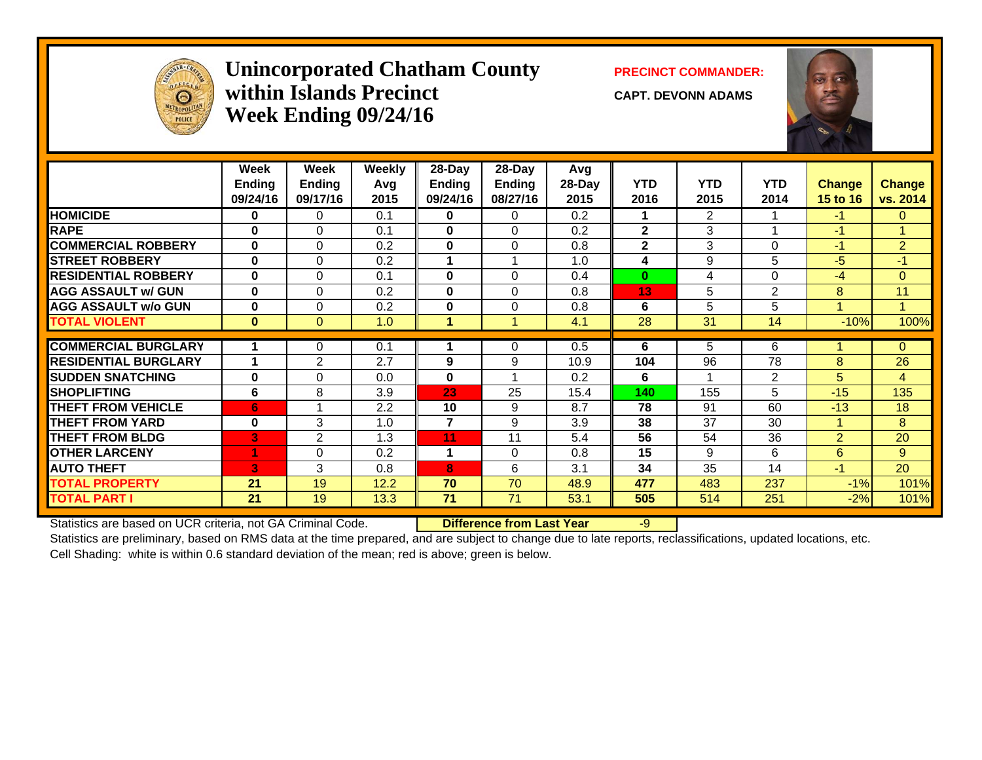

#### Unincorporated Chatham County PRECINCT COMMANDER: **within Islands PrecinctWeek Ending 09/24/16**

**CAPT. DEVONN ADAMS**



|                             | Week<br><b>Ending</b><br>09/24/16 | Week<br>Ending<br>09/17/16 | <b>Weekly</b><br>Avg<br>2015 | $28-Day$<br><b>Ending</b><br>09/24/16 | $28-Day$<br><b>Ending</b><br>08/27/16 | Avg<br>28-Day<br>2015 | <b>YTD</b><br>2016 | <b>YTD</b><br>2015 | <b>YTD</b><br>2014 | <b>Change</b><br><b>15 to 16</b> | <b>Change</b><br>vs. 2014 |
|-----------------------------|-----------------------------------|----------------------------|------------------------------|---------------------------------------|---------------------------------------|-----------------------|--------------------|--------------------|--------------------|----------------------------------|---------------------------|
| <b>HOMICIDE</b>             | 0                                 | 0                          | 0.1                          | $\mathbf{0}$                          | $\Omega$                              | 0.2                   | 1                  | $\overline{2}$     |                    | $-1$                             | $\mathbf{0}$              |
| <b>RAPE</b>                 | 0                                 | $\Omega$                   | 0.1                          | $\mathbf{0}$                          | $\Omega$                              | 0.2                   | $\overline{2}$     | 3                  |                    | $-1$                             |                           |
| <b>COMMERCIAL ROBBERY</b>   | $\bf{0}$                          | $\Omega$                   | 0.2                          | $\mathbf{0}$                          | $\Omega$                              | 0.8                   | $\mathbf{2}$       | 3                  | $\Omega$           | $-1$                             | $\overline{2}$            |
| <b>STREET ROBBERY</b>       | $\bf{0}$                          | $\Omega$                   | 0.2                          |                                       |                                       | 1.0                   | 4                  | 9                  | 5                  | $-5$                             | $-1$                      |
| <b>RESIDENTIAL ROBBERY</b>  | $\bf{0}$                          | $\Omega$                   | 0.1                          | $\bf{0}$                              | $\Omega$                              | 0.4                   | $\bf{0}$           | 4                  | $\Omega$           | $-4$                             | $\Omega$                  |
| <b>AGG ASSAULT w/ GUN</b>   | $\bf{0}$                          | $\Omega$                   | 0.2                          | $\mathbf{0}$                          | $\Omega$                              | 0.8                   | 13                 | 5                  | 2                  | 8                                | 11                        |
| <b>AGG ASSAULT w/o GUN</b>  | $\bf{0}$                          | $\Omega$                   | 0.2                          | $\bf{0}$                              | $\Omega$                              | 0.8                   | 6                  | 5                  | 5                  |                                  | $\blacktriangleleft$      |
| <b>TOTAL VIOLENT</b>        | $\bf{0}$                          | $\Omega$                   | 1.0                          | 1                                     |                                       | 4.1                   | 28                 | 31                 | 14                 | $-10%$                           | 100%                      |
|                             |                                   |                            |                              |                                       |                                       |                       |                    |                    |                    |                                  |                           |
| <b>COMMERCIAL BURGLARY</b>  |                                   | 0                          | 0.1                          |                                       | 0                                     | 0.5                   | 6                  | 5                  | 6                  |                                  | $\mathbf{0}$              |
| <b>RESIDENTIAL BURGLARY</b> |                                   | 2                          | 2.7                          | 9                                     | 9                                     | 10.9                  | 104                | 96                 | 78                 | 8                                | 26                        |
| <b>SUDDEN SNATCHING</b>     | $\bf{0}$                          | $\Omega$                   | 0.0                          | $\bf{0}$                              |                                       | 0.2                   | 6                  | -1                 | 2                  | 5                                | 4                         |
| <b>SHOPLIFTING</b>          | 6                                 | 8                          | 3.9                          | 23                                    | 25                                    | 15.4                  | 140                | 155                | 5                  | $-15$                            | 135                       |
| <b>THEFT FROM VEHICLE</b>   | 6                                 |                            | 2.2                          | 10                                    | 9                                     | 8.7                   | 78                 | 91                 | 60                 | $-13$                            | 18                        |
| <b>THEFT FROM YARD</b>      | $\bf{0}$                          | 3                          | 1.0                          | $\overline{7}$                        | 9                                     | 3.9                   | 38                 | 37                 | 30                 |                                  | 8                         |
| <b>THEFT FROM BLDG</b>      | B                                 | 2                          | 1.3                          | 11                                    | 11                                    | 5.4                   | 56                 | 54                 | 36                 | $\overline{2}$                   | 20                        |
| <b>OTHER LARCENY</b>        |                                   | $\mathbf 0$                | 0.2                          | 1                                     | $\Omega$                              | 0.8                   | 15                 | 9                  | 6                  | 6                                | 9                         |
| <b>AUTO THEFT</b>           | в.                                | 3                          | 0.8                          | 8                                     | 6                                     | 3.1                   | 34                 | 35                 | 14                 | $-1$                             | 20                        |
| <b>TOTAL PROPERTY</b>       | 21                                | 19                         | 12.2                         | 70                                    | 70                                    | 48.9                  | 477                | 483                | 237                | $-1\%$                           | 101%                      |
| <b>TOTAL PART I</b>         | 21                                | 19                         | 13.3                         | 71                                    | 71                                    | 53.1                  | 505                | 514                | 251                | $-2%$                            | 101%                      |

Statistics are based on UCR criteria, not GA Criminal Code. **Difference from Last Year** -9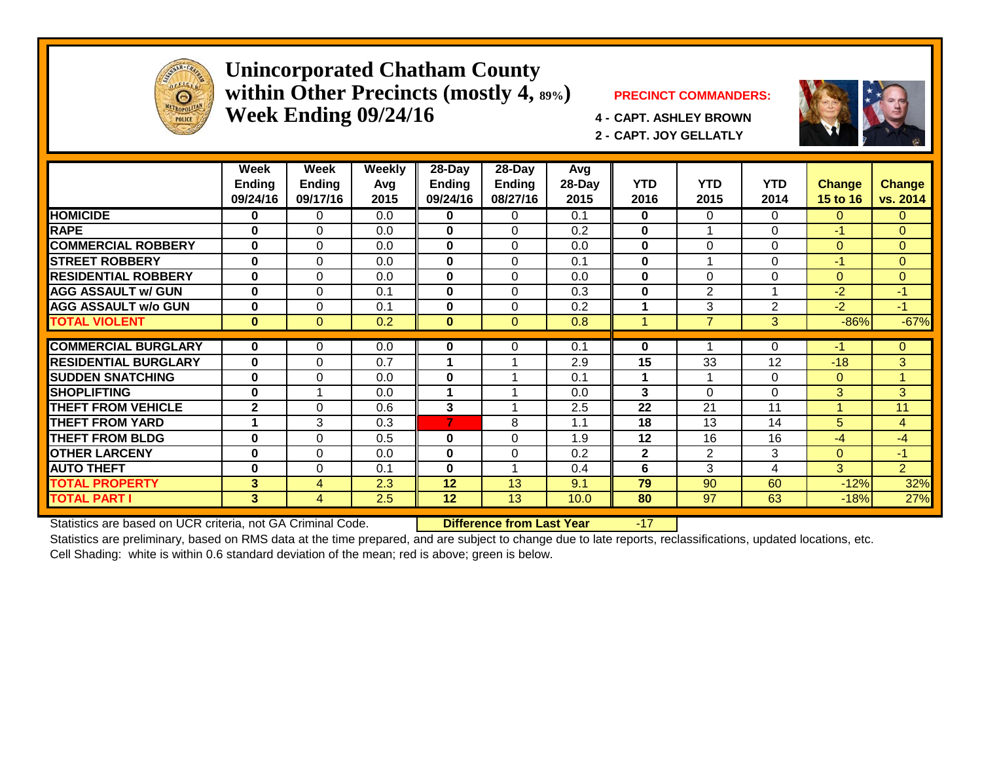

#### **Unincorporated Chatham County within Other Precincts (mostly 4, 89%) PRECINCT COMMANDERS: Week Ending 09/24/16 4 - CAPT. ASHLEY BROWN**



**2 - CAPT. JOY GELLATLY**



|                             | Week<br>Ending<br>09/24/16 | Week<br><b>Ending</b><br>09/17/16 | <b>Weekly</b><br>Avg<br>2015 | $28 - Day$<br><b>Ending</b><br>09/24/16 | $28 - Day$<br>Ending<br>08/27/16 | Avg<br>28-Day<br>2015 | <b>YTD</b><br>2016 | <b>YTD</b><br>2015 | <b>YTD</b><br>2014 | <b>Change</b><br>15 to 16 | <b>Change</b><br>vs. 2014 |
|-----------------------------|----------------------------|-----------------------------------|------------------------------|-----------------------------------------|----------------------------------|-----------------------|--------------------|--------------------|--------------------|---------------------------|---------------------------|
| <b>HOMICIDE</b>             | 0                          | 0                                 | 0.0                          | 0                                       | 0                                | 0.1                   | $\bf{0}$           | 0                  | 0                  | 0                         | $\mathbf{0}$              |
| <b>RAPE</b>                 | $\bf{0}$                   | $\Omega$                          | 0.0                          | $\mathbf{0}$                            | $\Omega$                         | 0.2                   | 0                  |                    | $\Omega$           | $-1$                      | $\Omega$                  |
| <b>COMMERCIAL ROBBERY</b>   | $\bf{0}$                   | $\Omega$                          | 0.0                          | $\mathbf{0}$                            | $\Omega$                         | 0.0                   | $\bf{0}$           | 0                  | $\Omega$           | $\Omega$                  | $\mathbf{0}$              |
| <b>ISTREET ROBBERY</b>      | $\bf{0}$                   | $\Omega$                          | 0.0                          | $\bf{0}$                                | $\Omega$                         | 0.1                   | $\bf{0}$           |                    | $\Omega$           | $-1$                      | $\mathbf{0}$              |
| <b>RESIDENTIAL ROBBERY</b>  | $\bf{0}$                   | $\Omega$                          | 0.0                          | 0                                       | $\Omega$                         | 0.0                   | $\bf{0}$           | $\Omega$           | 0                  | 0                         | $\mathbf{0}$              |
| <b>AGG ASSAULT w/ GUN</b>   | $\bf{0}$                   | $\Omega$                          | 0.1                          | $\bf{0}$                                | $\Omega$                         | 0.3                   | $\bf{0}$           | 2                  | 1                  | $-2$                      | $-1$                      |
| <b>AGG ASSAULT w/o GUN</b>  | $\mathbf 0$                | $\Omega$                          | 0.1                          | 0                                       | $\Omega$                         | 0.2                   | 1                  | 3                  | $\overline{2}$     | $-2$                      | $-1$                      |
| <b>TOTAL VIOLENT</b>        | $\bf{0}$                   | $\Omega$                          | 0.2                          | $\mathbf{0}$                            | $\Omega$                         | 0.8                   | 1                  | $\overline{7}$     | 3                  | $-86%$                    | $-67%$                    |
|                             |                            |                                   |                              |                                         |                                  |                       |                    |                    |                    |                           |                           |
| <b>COMMERCIAL BURGLARY</b>  | $\mathbf{0}$               | $\Omega$                          | 0.0                          | 0                                       | 0                                | 0.1                   | 0                  |                    | 0                  | -1                        | $\Omega$                  |
| <b>RESIDENTIAL BURGLARY</b> | $\bf{0}$                   | $\Omega$                          | 0.7                          |                                         |                                  | 2.9                   | 15                 | 33                 | 12                 | $-18$                     | 3                         |
| <b>SUDDEN SNATCHING</b>     | $\bf{0}$                   | $\Omega$                          | 0.0                          | $\bf{0}$                                |                                  | 0.1                   | 1                  |                    | $\Omega$           | $\Omega$                  | 1                         |
| <b>SHOPLIFTING</b>          | $\bf{0}$                   |                                   | 0.0                          | 4                                       |                                  | 0.0                   | 3                  | 0                  | $\Omega$           | 3                         | 3                         |
| <b>THEFT FROM VEHICLE</b>   | $\mathbf{2}$               | $\Omega$                          | 0.6                          | 3                                       |                                  | 2.5                   | 22                 | 21                 | 11                 |                           | 11                        |
| <b>THEFT FROM YARD</b>      |                            | 3                                 | 0.3                          | $\overline{7}$                          | 8                                | 1.1                   | 18                 | 13                 | 14                 | 5                         | 4                         |
| <b>THEFT FROM BLDG</b>      | $\mathbf 0$                | $\Omega$                          | 0.5                          | $\bf{0}$                                | $\Omega$                         | 1.9                   | 12                 | 16                 | 16                 | $-4$                      | $-4$                      |
| <b>OTHER LARCENY</b>        | $\bf{0}$                   | $\Omega$                          | 0.0                          | $\mathbf 0$                             | 0                                | 0.2                   | $\mathbf{2}$       | $\overline{2}$     | 3                  | 0                         | $-1$                      |
| <b>AUTO THEFT</b>           | $\bf{0}$                   | $\Omega$                          | 0.1                          | $\bf{0}$                                |                                  | 0.4                   | 6                  | 3                  | 4                  | 3                         | $\overline{2}$            |
| <b>TOTAL PROPERTY</b>       | 3                          | $\overline{4}$                    | 2.3                          | 12                                      | 13                               | 9.1                   | 79                 | 90                 | 60                 | $-12%$                    | 32%                       |
| <b>TOTAL PART I</b>         | 3                          | 4                                 | 2.5                          | 12                                      | 13                               | 10.0                  | 80                 | 97                 | 63                 | $-18%$                    | 27%                       |

Statistics are based on UCR criteria, not GA Criminal Code. **Difference from Last Year** -17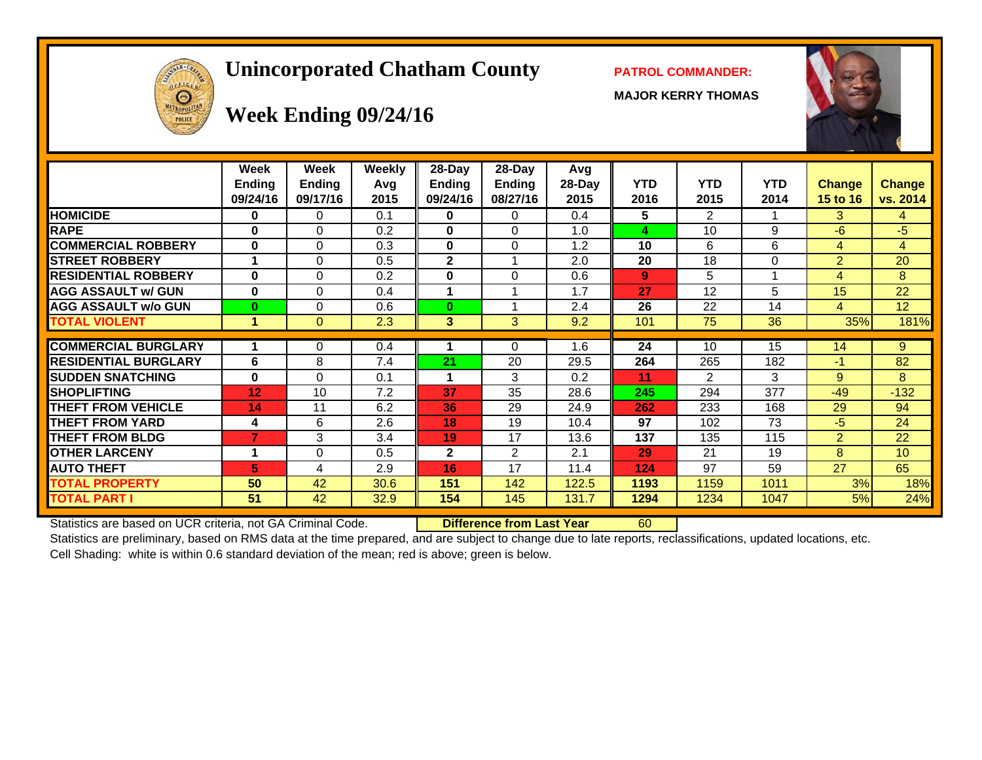# **Unincorporated Chatham County PATROL COMMANDER:**

**MAJOR KERRY THOMAS**





# **Week Ending 09/24/16**

|                             | Week<br><b>Ending</b><br>09/24/16 | Week<br><b>Ending</b><br>09/17/16 | Weekly<br>Avg<br>2015 | $28-Day$<br>Ending<br>09/24/16 | $28$ -Day<br><b>Ending</b><br>08/27/16 | Avg<br>$28-Day$<br>2015 | <b>YTD</b><br>2016 | <b>YTD</b><br>2015 | <b>YTD</b><br>2014 | <b>Change</b><br>15 to 16 | <b>Change</b><br>vs. 2014 |
|-----------------------------|-----------------------------------|-----------------------------------|-----------------------|--------------------------------|----------------------------------------|-------------------------|--------------------|--------------------|--------------------|---------------------------|---------------------------|
| <b>HOMICIDE</b>             | 0                                 | 0                                 | 0.1                   | 0                              | 0                                      | 0.4                     | 5                  | $\overline{2}$     |                    | 3.                        | 4                         |
| <b>RAPE</b>                 | 0                                 | $\Omega$                          | 0.2                   | 0                              | $\Omega$                               | 1.0                     | 4                  | 10                 | 9                  | $-6$                      | -5                        |
| <b>COMMERCIAL ROBBERY</b>   | $\bf{0}$                          | $\Omega$                          | 0.3                   | 0                              | $\Omega$                               | 1.2                     | 10                 | 6                  | 6                  | 4                         | $\overline{4}$            |
| <b>STREET ROBBERY</b>       | 1                                 | $\Omega$                          | 0.5                   | 2                              |                                        | 2.0                     | 20                 | 18                 | $\Omega$           | $\overline{2}$            | 20                        |
| <b>RESIDENTIAL ROBBERY</b>  | 0                                 | 0                                 | 0.2                   | 0                              | 0                                      | 0.6                     | $9^{\circ}$        | 5                  |                    | 4                         | 8                         |
| <b>AGG ASSAULT w/ GUN</b>   | 0                                 | $\Omega$                          | 0.4                   |                                |                                        | 1.7                     | 27                 | 12                 | 5                  | 15                        | 22                        |
| <b>AGG ASSAULT w/o GUN</b>  | 0                                 | 0                                 | 0.6                   | $\bf{0}$                       |                                        | 2.4                     | 26                 | 22                 | 14                 | 4                         | 12                        |
| <b>TOTAL VIOLENT</b>        | 1                                 | $\Omega$                          | 2.3                   | 3                              | 3                                      | 9.2                     | 101                | 75                 | 36                 | 35%                       | 181%                      |
|                             |                                   |                                   |                       |                                |                                        |                         |                    |                    |                    |                           |                           |
| <b>COMMERCIAL BURGLARY</b>  |                                   | 0                                 | 0.4                   |                                | $\Omega$                               | 1.6                     | 24                 | 10                 | 15                 | 14                        | 9                         |
| <b>RESIDENTIAL BURGLARY</b> | 6                                 | 8                                 | 7.4                   | 21                             | 20                                     | 29.5                    | 264                | 265                | 182                | $-1$                      | 82                        |
| <b>SUDDEN SNATCHING</b>     | $\bf{0}$                          | 0                                 | 0.1                   | 1                              | 3                                      | 0.2                     | 11                 | $\overline{2}$     | 3                  | 9                         | 8                         |
| <b>SHOPLIFTING</b>          | 12                                | 10                                | 7.2                   | 37                             | 35                                     | 28.6                    | 245                | 294                | 377                | $-49$                     | $-132$                    |
| <b>THEFT FROM VEHICLE</b>   | 14                                | 11                                | 6.2                   | 36                             | 29                                     | 24.9                    | 262                | 233                | 168                | 29                        | 94                        |
| <b>THEFT FROM YARD</b>      | 4                                 | 6                                 | 2.6                   | 18                             | 19                                     | 10.4                    | 97                 | 102                | 73                 | $-5$                      | 24                        |
| <b>THEFT FROM BLDG</b>      | 7                                 | 3                                 | 3.4                   | 19                             | 17                                     | 13.6                    | 137                | 135                | 115                | $\overline{2}$            | 22                        |
| <b>OTHER LARCENY</b>        | 1                                 | $\Omega$                          | 0.5                   | $\mathbf{2}$                   | 2                                      | 2.1                     | 29                 | 21                 | 19                 | 8                         | 10                        |
| <b>AUTO THEFT</b>           | 5                                 | 4                                 | 2.9                   | 16                             | 17                                     | 11.4                    | 124                | 97                 | 59                 | 27                        | 65                        |
| <b>TOTAL PROPERTY</b>       | 50                                | 42                                | 30.6                  | 151                            | 142                                    | 122.5                   | 1193               | 1159               | 1011               | 3%                        | 18%                       |
| <b>TOTAL PART I</b>         | 51                                | 42                                | 32.9                  | 154                            | 145                                    | 131.7                   | 1294               | 1234               | 1047               | 5%                        | 24%                       |

Statistics are based on UCR criteria, not GA Criminal Code. **Difference from Last Year** 60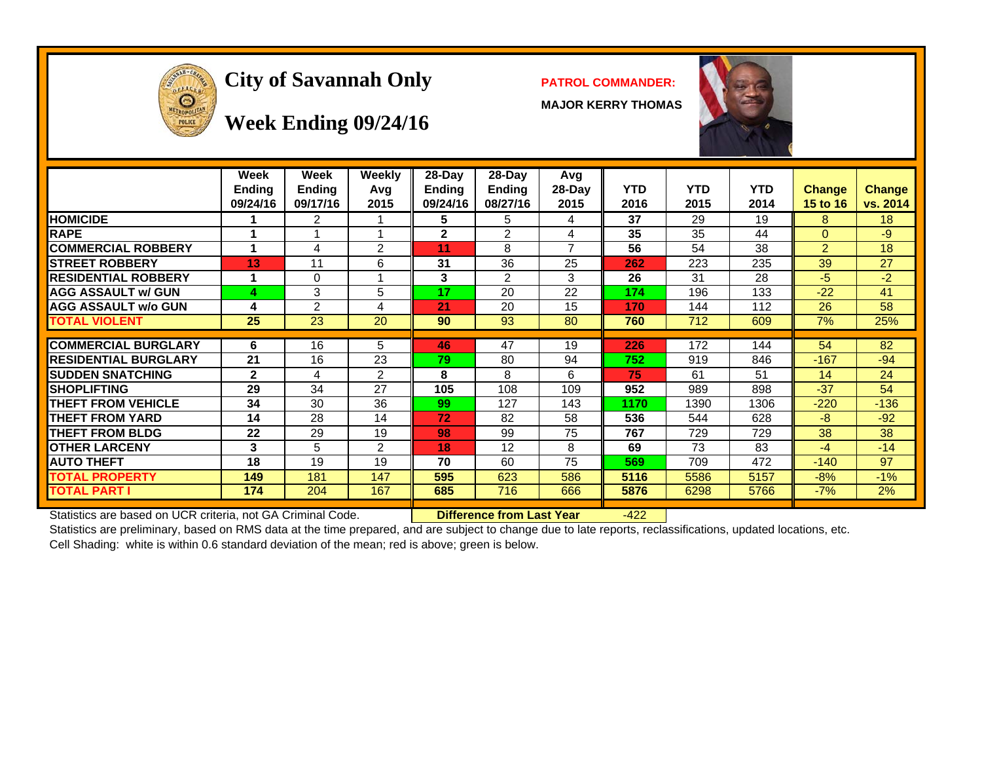

# City of Savannah Only **PATROL COMMANDER:**

**MAJOR KERRY THOMAS**



#### **Week Ending 09/24/16**

|                             | Week<br><b>Ending</b><br>09/24/16 | <b>Week</b><br><b>Ending</b><br>09/17/16 | Weekly<br>Avg<br>2015 | 28-Day<br>Ending<br>09/24/16 | $28-Day$<br>Ending<br>08/27/16 | Avg<br>$28-Day$<br>2015 | <b>YTD</b><br>2016 | <b>YTD</b><br>2015 | <b>YTD</b><br>2014 | <b>Change</b><br>15 to 16 | <b>Change</b><br>vs. 2014 |
|-----------------------------|-----------------------------------|------------------------------------------|-----------------------|------------------------------|--------------------------------|-------------------------|--------------------|--------------------|--------------------|---------------------------|---------------------------|
| <b>HOMICIDE</b>             |                                   | 2                                        |                       | 5                            | 5                              | 4                       | 37                 | 29                 | 19                 | 8                         | 18                        |
| <b>RAPE</b>                 |                                   |                                          |                       | $\mathbf{2}$                 | $\mathfrak{p}$                 | 4                       | 35                 | 35                 | 44                 | $\Omega$                  | -9                        |
| <b>ICOMMERCIAL ROBBERY</b>  | 4                                 | 4                                        | 2                     | 11                           | 8                              | $\overline{7}$          | 56                 | 54                 | 38                 | 2                         | 18                        |
| <b>STREET ROBBERY</b>       | 13                                | 11                                       | 6                     | 31                           | 36                             | 25                      | 262                | 223                | 235                | 39                        | 27                        |
| <b>RESIDENTIAL ROBBERY</b>  |                                   | $\Omega$                                 |                       | 3                            | 2                              | 3                       | 26                 | 31                 | 28                 | $-5$                      | $-2$                      |
| <b>AGG ASSAULT w/ GUN</b>   | 4                                 | 3                                        | 5                     | 17                           | 20                             | 22                      | 174                | 196                | 133                | $-22$                     | 41                        |
| <b>AGG ASSAULT w/o GUN</b>  | 4                                 | 2                                        | 4                     | 21                           | 20                             | 15                      | 170                | 144                | 112                | 26                        | 58                        |
| <b>TOTAL VIOLENT</b>        | 25                                | 23                                       | 20                    | 90                           | 93                             | 80                      | 760                | 712                | 609                | 7%                        | 25%                       |
| <b>COMMERCIAL BURGLARY</b>  | 6                                 | 16                                       | 5                     | 46                           | 47                             | 19                      | 226                | 172                | 144                | 54                        | 82                        |
| <b>RESIDENTIAL BURGLARY</b> | 21                                | 16                                       | 23                    | 79                           | 80                             | 94                      | 752                | 919                | 846                | $-167$                    | $-94$                     |
| <b>SUDDEN SNATCHING</b>     | $\mathbf{2}$                      | 4                                        | 2                     | 8                            | 8                              | 6                       | 75                 | 61                 | 51                 | 14                        | 24                        |
| <b>SHOPLIFTING</b>          | 29                                | 34                                       | 27                    | 105                          | 108                            | 109                     | 952                | 989                | 898                | $-37$                     | 54                        |
| <b>THEFT FROM VEHICLE</b>   | 34                                | 30                                       | 36                    | 99                           | 127                            | 143                     | 1170               | 1390               | 1306               | $-220$                    | $-136$                    |
| <b>THEFT FROM YARD</b>      | 14                                | 28                                       | 14                    | 72                           | 82                             | 58                      | 536                | 544                | 628                | $-8$                      | $-92$                     |
| <b>THEFT FROM BLDG</b>      | 22                                | 29                                       | 19                    | 98                           | 99                             | 75                      | 767                | 729                | 729                | 38                        | 38                        |
| <b>IOTHER LARCENY</b>       | 3                                 | 5                                        | 2                     | 18                           | 12                             | 8                       | 69                 | 73                 | 83                 | -4                        | $-14$                     |
| <b>AUTO THEFT</b>           | 18                                | 19                                       | 19                    | 70                           | 60                             | 75                      | 569                | 709                | 472                | $-140$                    | 97                        |
| <b>TOTAL PROPERTY</b>       | 149                               | 181                                      | 147                   | 595                          | 623                            | 586                     | 5116               | 5586               | 5157               | $-8%$                     | $-1%$                     |
| <b>TOTAL PART I</b>         | 174                               | 204                                      | 167                   | 685                          | 716                            | 666                     | 5876               | 6298               | 5766               | $-7%$                     | 2%                        |

Statistics are based on UCR criteria, not GA Criminal Code. **Difference from Last Year** -422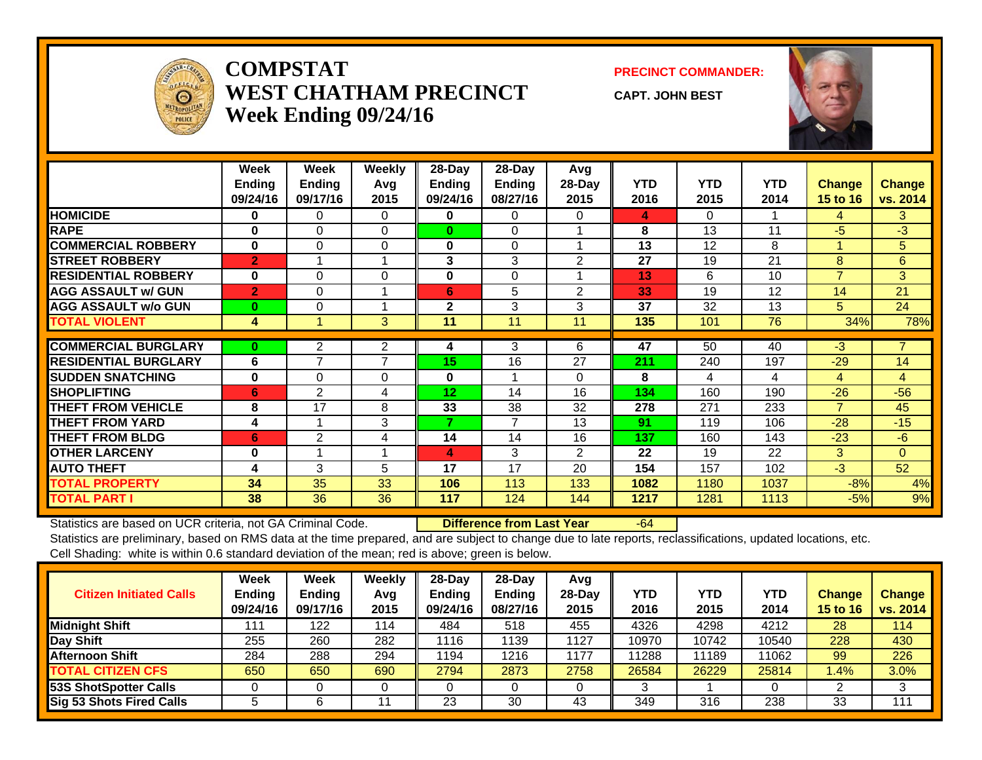

#### **COMPSTATWEST CHATHAM PRECINCTWeek Ending 09/24/16**

**PRECINCT COMMANDER:**

**CAPT. JOHN BEST**



|                             | Week<br><b>Endina</b><br>09/24/16 | Week<br><b>Endina</b><br>09/17/16 | Weekly<br>Avg<br>2015 | 28-Day<br>Ending<br>09/24/16 | 28-Day<br>Ending<br>08/27/16 | Avg<br>$28-Day$<br>2015 | <b>YTD</b><br>2016 | <b>YTD</b><br>2015 | <b>YTD</b><br>2014 | <b>Change</b><br><b>15 to 16</b> | <b>Change</b><br>vs. 2014 |
|-----------------------------|-----------------------------------|-----------------------------------|-----------------------|------------------------------|------------------------------|-------------------------|--------------------|--------------------|--------------------|----------------------------------|---------------------------|
| <b>HOMICIDE</b>             | $\bf{0}$                          | $\Omega$                          | $\Omega$              | 0                            | 0                            | 0                       | 4                  | 0                  |                    | 4                                | 3                         |
| <b>RAPE</b>                 | $\bf{0}$                          | 0                                 | $\Omega$              | $\bf{0}$                     | $\Omega$                     |                         | 8                  | 13                 | 11                 | -5                               | $-3$                      |
| <b>COMMERCIAL ROBBERY</b>   | $\bf{0}$                          | $\Omega$                          | $\Omega$              | $\bf{0}$                     | $\Omega$                     |                         | 13                 | 12                 | 8                  |                                  | 5                         |
| <b>STREET ROBBERY</b>       | $\overline{2}$                    |                                   |                       | 3                            | 3                            | 2                       | 27                 | 19                 | 21                 | 8                                | 6                         |
| <b>RESIDENTIAL ROBBERY</b>  | $\bf{0}$                          | $\Omega$                          | $\Omega$              | $\bf{0}$                     | $\Omega$                     |                         | 13                 | 6                  | 10                 | $\overline{7}$                   | 3                         |
| <b>AGG ASSAULT w/ GUN</b>   | $\overline{2}$                    | $\Omega$                          |                       | 6                            | 5                            | $\overline{2}$          | 33                 | 19                 | 12                 | 14                               | 21                        |
| <b>AGG ASSAULT w/o GUN</b>  | $\bf{0}$                          | 0                                 |                       | $\mathbf{2}$                 | 3                            | 3                       | 37                 | 32                 | 13                 | 5                                | 24                        |
| <b>TOTAL VIOLENT</b>        | 4                                 |                                   | 3                     | 11                           | 11                           | 11                      | 135                | 101                | 76                 | 34%                              | 78%                       |
|                             |                                   |                                   |                       |                              |                              |                         |                    |                    |                    |                                  |                           |
| <b>COMMERCIAL BURGLARY</b>  | $\bf{0}$                          | $\overline{2}$                    | $\overline{2}$        | 4                            | 3                            | 6                       | 47                 | 50                 | 40                 | $\overline{3}$                   | $\overline{7}$            |
| <b>RESIDENTIAL BURGLARY</b> | 6                                 | $\overline{\phantom{a}}$          | 7                     | 15                           | 16                           | 27                      | 211                | 240                | 197                | $-29$                            | 14                        |
| <b>SUDDEN SNATCHING</b>     | $\bf{0}$                          | 0                                 | $\Omega$              | $\mathbf{0}$                 |                              | 0                       | 8                  | 4                  | 4                  | 4                                | $\overline{4}$            |
| <b>SHOPLIFTING</b>          | 6                                 | 2                                 | 4                     | 12                           | 14                           | 16                      | 134                | 160                | 190                | $-26$                            | $-56$                     |
| <b>THEFT FROM VEHICLE</b>   | 8                                 | 17                                | 8                     | 33                           | 38                           | 32                      | 278                | 271                | 233                | $\overline{7}$                   | 45                        |
| <b>THEFT FROM YARD</b>      | 4                                 |                                   | 3                     | 7                            | $\overline{7}$               | 13                      | 91                 | 119                | 106                | $-28$                            | $-15$                     |
| <b>THEFT FROM BLDG</b>      | 6                                 | 2                                 | 4                     | 14                           | 14                           | 16                      | 137                | 160                | 143                | $-23$                            | $-6$                      |
| <b>OTHER LARCENY</b>        | $\bf{0}$                          |                                   |                       | 4                            | 3                            | $\overline{2}$          | 22                 | 19                 | 22                 | 3                                | $\Omega$                  |
| <b>AUTO THEFT</b>           | 4                                 | 3                                 | 5                     | 17                           | 17                           | 20                      | 154                | 157                | 102                | $-3$                             | 52                        |
| <b>TOTAL PROPERTY</b>       | 34                                | 35                                | 33                    | 106                          | 113                          | 133                     | 1082               | 1180               | 1037               | $-8%$                            | 4%                        |
| <b>TOTAL PART I</b>         | 38                                | 36                                | 36                    | 117                          | 124                          | 144                     | 1217               | 1281               | 1113               | $-5%$                            | 9%                        |

Statistics are based on UCR criteria, not GA Criminal Code. **Difference from Last Year** -64

| <b>Citizen Initiated Calls</b>  | Week<br><b>Ending</b><br>09/24/16 | Week<br><b>Ending</b><br>09/17/16 | Weekly<br>Avq<br>2015 | 28-Day<br><b>Ending</b><br>09/24/16 | $28$ -Day<br><b>Ending</b><br>08/27/16 | Avg<br>$28-Day$<br>2015 | YTD<br>2016 | <b>YTD</b><br>2015 | <b>YTD</b><br>2014 | <b>Change</b><br><b>15 to 16</b> | <b>Change</b><br>vs. 2014 |
|---------------------------------|-----------------------------------|-----------------------------------|-----------------------|-------------------------------------|----------------------------------------|-------------------------|-------------|--------------------|--------------------|----------------------------------|---------------------------|
| <b>Midnight Shift</b>           | 111                               | 122                               | 114                   | 484                                 | 518                                    | 455                     | 4326        | 4298               | 4212               | 28                               | 114                       |
| Day Shift                       | 255                               | 260                               | 282                   | 1116                                | 1139                                   | 1127                    | 10970       | 10742              | 10540              | 228                              | 430                       |
| <b>Afternoon Shift</b>          | 284                               | 288                               | 294                   | 1194                                | 1216                                   | 1177                    | 11288       | 11189              | 11062              | 99                               | 226                       |
| <b>TOTAL CITIZEN CFS</b>        | 650                               | 650                               | 690                   | 2794                                | 2873                                   | 2758                    | 26584       | 26229              | 25814              | $1.4\%$                          | 3.0%                      |
| 53S ShotSpotter Calls           |                                   |                                   |                       |                                     |                                        |                         |             |                    |                    |                                  | 2                         |
| <b>Sig 53 Shots Fired Calls</b> | C                                 |                                   |                       | 23                                  | 30                                     | 43                      | 349         | 316                | 238                | 33                               | 111                       |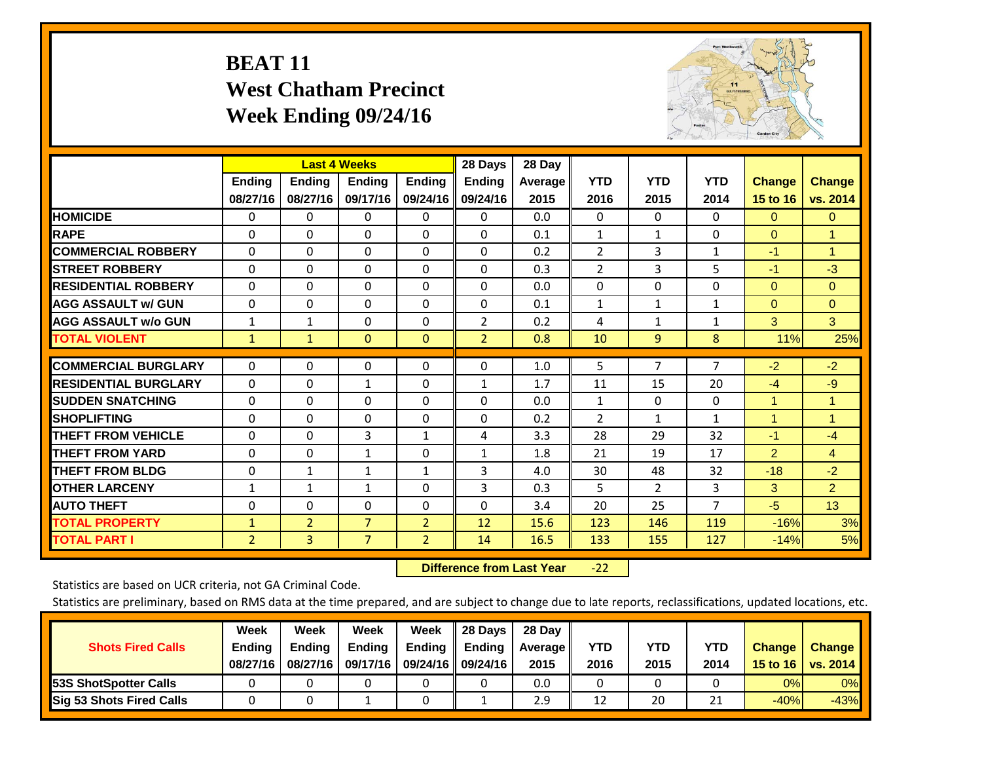# **BEAT 11 West Chatham Precinct Week Ending 09/24/16**



|                             |                | <b>Last 4 Weeks</b> |                |                | 28 Days        | 28 Day  |                |                |                |                |                      |
|-----------------------------|----------------|---------------------|----------------|----------------|----------------|---------|----------------|----------------|----------------|----------------|----------------------|
|                             | Ending         | Ending              | Ending         | <b>Ending</b>  | <b>Ending</b>  | Average | <b>YTD</b>     | <b>YTD</b>     | <b>YTD</b>     | <b>Change</b>  | <b>Change</b>        |
|                             | 08/27/16       | 08/27/16            | 09/17/16       | 09/24/16       | 09/24/16       | 2015    | 2016           | 2015           | 2014           | 15 to 16       | vs. 2014             |
| <b>HOMICIDE</b>             | $\mathbf{0}$   | 0                   | 0              | $\Omega$       | $\Omega$       | 0.0     | $\Omega$       | 0              | 0              | $\Omega$       | $\Omega$             |
| <b>RAPE</b>                 | $\Omega$       | $\Omega$            | $\Omega$       | 0              | $\Omega$       | 0.1     | 1              | 1              | 0              | $\Omega$       | 1                    |
| <b>COMMERCIAL ROBBERY</b>   | $\Omega$       | $\Omega$            | $\Omega$       | $\Omega$       | $\Omega$       | 0.2     | 2              | 3              | $\mathbf{1}$   | $-1$           | $\mathbf{1}$         |
| <b>STREET ROBBERY</b>       | $\Omega$       | $\Omega$            | $\Omega$       | $\Omega$       | $\Omega$       | 0.3     | $\overline{2}$ | 3              | 5              | $-1$           | $-3$                 |
| <b>RESIDENTIAL ROBBERY</b>  | 0              | $\Omega$            | $\Omega$       | $\Omega$       | $\Omega$       | 0.0     | $\mathbf{0}$   | $\Omega$       | 0              | $\Omega$       | $\Omega$             |
| <b>AGG ASSAULT w/ GUN</b>   | 0              | $\Omega$            | $\Omega$       | $\Omega$       | 0              | 0.1     | 1              | 1              | 1              | $\mathbf{0}$   | $\mathbf{0}$         |
| <b>AGG ASSAULT w/o GUN</b>  | $\mathbf{1}$   | $\mathbf{1}$        | $\Omega$       | $\Omega$       | $\overline{2}$ | 0.2     | 4              | $\mathbf{1}$   | $\mathbf{1}$   | 3              | 3                    |
| <b>TOTAL VIOLENT</b>        | 1              | $\mathbf{1}$        | $\mathbf{0}$   | $\mathbf{0}$   | $\overline{2}$ | 0.8     | 10             | 9              | 8              | 11%            | 25%                  |
| <b>COMMERCIAL BURGLARY</b>  |                |                     |                |                |                |         |                |                | 7              |                |                      |
|                             | $\mathbf 0$    | $\Omega$            | 0              | 0              | $\Omega$       | 1.0     | 5              | 7              |                | $-2$           | $-2$                 |
| <b>RESIDENTIAL BURGLARY</b> | $\Omega$       | $\Omega$            | 1              | $\Omega$       | $\mathbf{1}$   | 1.7     | 11             | 15             | 20             | $-4$           | $-9$                 |
| <b>ISUDDEN SNATCHING</b>    | $\Omega$       | $\Omega$            | $\Omega$       | $\Omega$       | $\Omega$       | 0.0     | $\mathbf{1}$   | $\Omega$       | 0              | 1              | 1                    |
| <b>SHOPLIFTING</b>          | $\Omega$       | $\Omega$            | $\Omega$       | 0              | 0              | 0.2     | $\overline{2}$ | $\mathbf{1}$   | $\mathbf{1}$   | $\overline{1}$ | $\blacktriangleleft$ |
| <b>THEFT FROM VEHICLE</b>   | $\Omega$       | $\Omega$            | 3              | $\mathbf{1}$   | 4              | 3.3     | 28             | 29             | 32             | $-1$           | $-4$                 |
| <b>THEFT FROM YARD</b>      | $\Omega$       | $\Omega$            | $\mathbf{1}$   | $\Omega$       | $\mathbf{1}$   | 1.8     | 21             | 19             | 17             | $\overline{2}$ | $\overline{4}$       |
| <b>THEFT FROM BLDG</b>      | $\mathbf 0$    | $\mathbf{1}$        | 1              | $\mathbf{1}$   | 3              | 4.0     | 30             | 48             | 32             | $-18$          | $-2$                 |
| <b>OTHER LARCENY</b>        | 1              | 1                   | $\mathbf{1}$   | $\Omega$       | 3              | 0.3     | 5              | $\overline{2}$ | 3              | 3              | $\overline{2}$       |
| <b>AUTO THEFT</b>           | 0              | $\Omega$            | $\Omega$       | $\Omega$       | $\Omega$       | 3.4     | 20             | 25             | $\overline{7}$ | $-5$           | 13                   |
| <b>TOTAL PROPERTY</b>       | $\mathbf{1}$   | $\overline{2}$      | $\overline{7}$ | $\overline{2}$ | 12             | 15.6    | 123            | 146            | 119            | $-16%$         | 3%                   |
| <b>TOTAL PART I</b>         | $\overline{2}$ | $\overline{3}$      | $\overline{7}$ | $\overline{2}$ | 14             | 16.5    | 133            | 155            | 127            | $-14%$         | 5%                   |

 **Difference from Last Year**‐22

Statistics are based on UCR criteria, not GA Criminal Code.

| <b>Shots Fired Calls</b>        | Week<br><b>Ending</b><br>08/27/16 | Week<br><b>Endina</b><br>08/27/16 | Week<br><b>Ending</b><br>09/17/16 | Week<br>Ending | 28 Days<br><b>Ending</b><br>09/24/16    09/24/16 | 28 Day<br>Average II<br>2015 | YTD<br>2016 | YTD<br>2015 | YTD<br>2014           | <b>Change</b><br>15 to 16 $\vert$ | <b>Change</b><br>vs. 2014 |
|---------------------------------|-----------------------------------|-----------------------------------|-----------------------------------|----------------|--------------------------------------------------|------------------------------|-------------|-------------|-----------------------|-----------------------------------|---------------------------|
| <b>153S ShotSpotter Calls</b>   |                                   |                                   |                                   |                |                                                  | 0.0                          |             |             |                       | 0%                                | 0%                        |
| <b>Sig 53 Shots Fired Calls</b> |                                   |                                   |                                   |                |                                                  | 2.9                          | 12          | 20          | <b>n</b> <sub>1</sub> | $-40%$                            | $-43%$                    |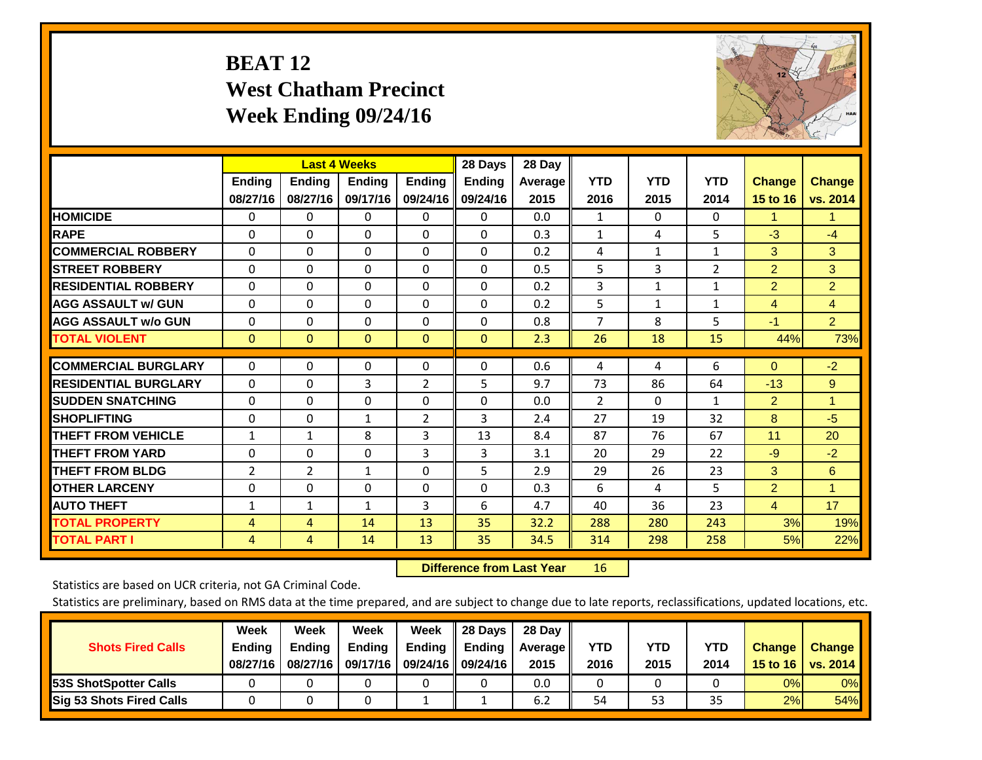# **BEAT 12 West Chatham Precinct Week Ending 09/24/16**



|                             |                | <b>Last 4 Weeks</b> |               |                | 28 Days       | 28 Day  |                |              |                |                |                      |
|-----------------------------|----------------|---------------------|---------------|----------------|---------------|---------|----------------|--------------|----------------|----------------|----------------------|
|                             | <b>Ending</b>  | <b>Ending</b>       | <b>Endina</b> | <b>Endina</b>  | <b>Endina</b> | Average | <b>YTD</b>     | <b>YTD</b>   | <b>YTD</b>     | <b>Change</b>  | <b>Change</b>        |
|                             | 08/27/16       | 08/27/16            | 09/17/16      | 09/24/16       | 09/24/16      | 2015    | 2016           | 2015         | 2014           | 15 to 16       | vs. 2014             |
| <b>HOMICIDE</b>             | 0              | 0                   | 0             | 0              | 0             | 0.0     | 1              | $\Omega$     | 0              | 1              | $\blacktriangleleft$ |
| <b>RAPE</b>                 | 0              | $\Omega$            | $\Omega$      | $\Omega$       | $\Omega$      | 0.3     | $\mathbf{1}$   | 4            | 5              | $-3$           | $-4$                 |
| <b>COMMERCIAL ROBBERY</b>   | $\Omega$       | $\Omega$            | $\Omega$      | 0              | $\Omega$      | 0.2     | 4              | $\mathbf{1}$ | $\mathbf{1}$   | 3              | 3                    |
| <b>STREET ROBBERY</b>       | $\Omega$       | $\Omega$            | $\Omega$      | $\Omega$       | $\Omega$      | 0.5     | 5              | 3            | $\overline{2}$ | $\overline{2}$ | 3                    |
| <b>RESIDENTIAL ROBBERY</b>  | 0              | $\Omega$            | $\Omega$      | $\mathbf{0}$   | $\Omega$      | 0.2     | 3              | $\mathbf{1}$ | $\mathbf{1}$   | $\overline{2}$ | $\overline{2}$       |
| <b>AGG ASSAULT w/ GUN</b>   | 0              | $\Omega$            | $\Omega$      | $\mathbf{0}$   | $\Omega$      | 0.2     | 5              | 1            | 1              | $\overline{4}$ | $\overline{4}$       |
| <b>AGG ASSAULT w/o GUN</b>  | $\Omega$       | 0                   | $\Omega$      | 0              | $\Omega$      | 0.8     | $\overline{7}$ | 8            | 5              | $-1$           | $\overline{2}$       |
| <b>TOTAL VIOLENT</b>        | $\mathbf{0}$   | $\mathbf{0}$        | $\mathbf{0}$  | $\mathbf{0}$   | $\mathbf{0}$  | 2.3     | 26             | 18           | 15             | 44%            | 73%                  |
|                             |                |                     |               |                |               |         |                |              |                |                |                      |
| <b>COMMERCIAL BURGLARY</b>  | $\Omega$       | 0                   | $\mathbf{0}$  | $\mathbf{0}$   | 0             | 0.6     | 4              | 4            | 6              | $\mathbf{0}$   | $-2$                 |
| <b>RESIDENTIAL BURGLARY</b> | 0              | $\Omega$            | 3             | 2              | 5             | 9.7     | 73             | 86           | 64             | $-13$          | 9                    |
| <b>SUDDEN SNATCHING</b>     | 0              | $\Omega$            | $\Omega$      | $\mathbf{0}$   | $\Omega$      | 0.0     | $\overline{2}$ | 0            | 1              | 2              | 1                    |
| <b>SHOPLIFTING</b>          | $\Omega$       | $\Omega$            | $\mathbf{1}$  | $\overline{2}$ | 3             | 2.4     | 27             | 19           | 32             | 8              | $-5$                 |
| <b>THEFT FROM VEHICLE</b>   | $\mathbf{1}$   | $\mathbf{1}$        | 8             | 3              | 13            | 8.4     | 87             | 76           | 67             | 11             | 20                   |
| <b>THEFT FROM YARD</b>      | $\Omega$       | 0                   | $\mathbf{0}$  | 3              | 3             | 3.1     | 20             | 29           | 22             | $-9$           | $-2$                 |
| <b>THEFT FROM BLDG</b>      | 2              | 2                   | 1             | $\mathbf{0}$   | 5             | 2.9     | 29             | 26           | 23             | 3              | 6                    |
| <b>IOTHER LARCENY</b>       | 0              | 0                   | $\mathbf{0}$  | $\Omega$       | 0             | 0.3     | 6              | 4            | 5.             | $\overline{2}$ | $\blacktriangleleft$ |
| <b>AUTO THEFT</b>           | $\mathbf{1}$   | $\mathbf{1}$        | $\mathbf{1}$  | 3              | 6             | 4.7     | 40             | 36           | 23             | $\overline{4}$ | 17                   |
| <b>TOTAL PROPERTY</b>       | $\overline{4}$ | 4                   | 14            | 13             | 35            | 32.2    | 288            | 280          | 243            | 3%             | 19%                  |
| <b>TOTAL PART I</b>         | 4              | 4                   | 14            | 13             | 35            | 34.5    | 314            | 298          | 258            | 5%             | 22%                  |

 **Difference from Last Year**r 16

Statistics are based on UCR criteria, not GA Criminal Code.

| <b>Shots Fired Calls</b>        | Week<br><b>Ending</b><br>08/27/16 | Week<br><b>Endina</b><br>08/27/16 | Week<br><b>Ending</b><br>09/17/16 | Week<br>Ending | 28 Days<br><b>Ending</b><br>09/24/16    09/24/16 | 28 Day<br>Average II<br>2015 | YTD<br>2016 | YTD<br>2015 | YTD<br>2014 | <b>Change</b><br>15 to 16 $\vert$ | <b>Change</b><br>vs. 2014 |
|---------------------------------|-----------------------------------|-----------------------------------|-----------------------------------|----------------|--------------------------------------------------|------------------------------|-------------|-------------|-------------|-----------------------------------|---------------------------|
| <b>153S ShotSpotter Calls</b>   |                                   |                                   |                                   |                |                                                  | 0.0                          |             |             |             | 0%                                | 0%                        |
| <b>Sig 53 Shots Fired Calls</b> |                                   |                                   |                                   |                |                                                  | 6.2                          | 54          | 53          | 35          | 2%                                | 54%                       |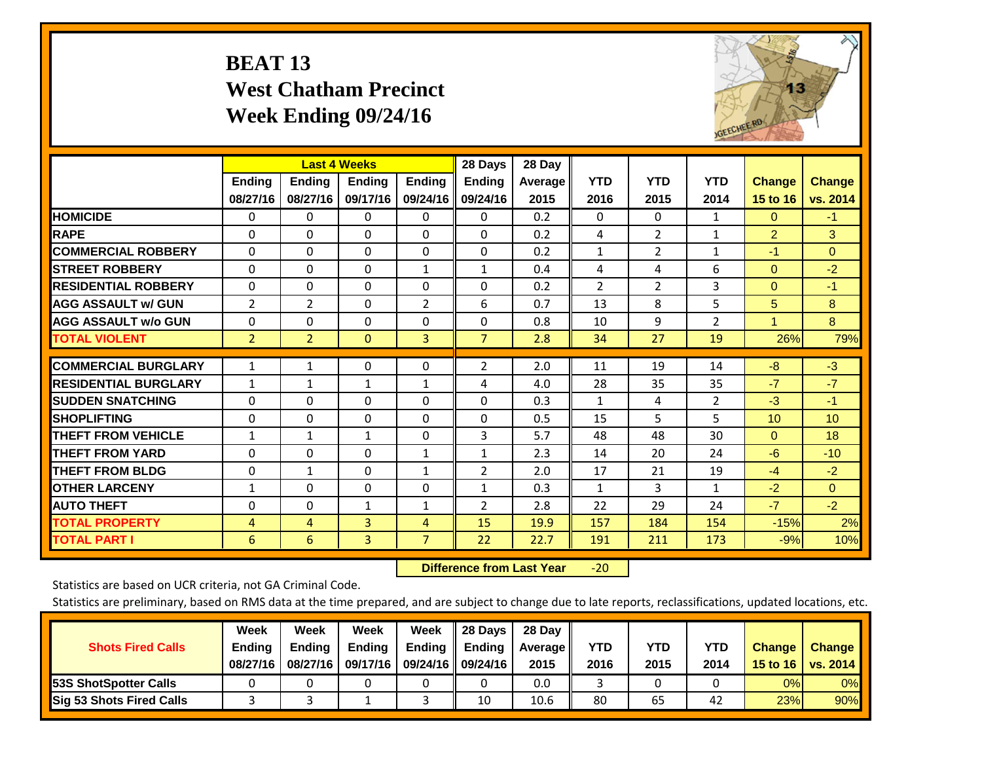# **BEAT 13 West Chatham Precinct Week Ending 09/24/16**



|                             |                           | <b>Last 4 Weeks</b>       |                           |                           | 28 Days                   | 28 Day                 |                    |                    |                    |                           |                           |
|-----------------------------|---------------------------|---------------------------|---------------------------|---------------------------|---------------------------|------------------------|--------------------|--------------------|--------------------|---------------------------|---------------------------|
|                             | <b>Ending</b><br>08/27/16 | <b>Ending</b><br>08/27/16 | <b>Endina</b><br>09/17/16 | <b>Endina</b><br>09/24/16 | <b>Endina</b><br>09/24/16 | <b>Average</b><br>2015 | <b>YTD</b><br>2016 | <b>YTD</b><br>2015 | <b>YTD</b><br>2014 | <b>Change</b><br>15 to 16 | <b>Change</b><br>vs. 2014 |
|                             |                           |                           |                           |                           |                           |                        |                    |                    |                    |                           |                           |
| <b>HOMICIDE</b>             | 0                         | 0                         | 0                         | 0                         | 0                         | 0.2                    | 0                  | 0                  | 1                  | $\Omega$                  | $-1$                      |
| <b>RAPE</b>                 | $\Omega$                  | $\Omega$                  | $\Omega$                  | $\Omega$                  | $\Omega$                  | 0.2                    | 4                  | $\overline{2}$     | 1                  | $\overline{2}$            | 3                         |
| <b>COMMERCIAL ROBBERY</b>   | $\Omega$                  | $\Omega$                  | $\Omega$                  | $\Omega$                  | 0                         | 0.2                    | $\mathbf{1}$       | $\overline{2}$     | $\mathbf{1}$       | $-1$                      | $\Omega$                  |
| <b>ISTREET ROBBERY</b>      | $\Omega$                  | $\Omega$                  | $\Omega$                  | $\mathbf{1}$              | $\mathbf{1}$              | 0.4                    | 4                  | 4                  | 6                  | $\mathbf{0}$              | $-2$                      |
| <b>RESIDENTIAL ROBBERY</b>  | 0                         | $\Omega$                  | $\Omega$                  | 0                         | 0                         | 0.2                    | $\overline{2}$     | $\overline{2}$     | 3                  | $\mathbf{0}$              | $-1$                      |
| <b>AGG ASSAULT w/ GUN</b>   | 2                         | $\overline{2}$            | $\Omega$                  | $\overline{2}$            | 6                         | 0.7                    | 13                 | 8                  | 5                  | 5                         | 8                         |
| <b>AGG ASSAULT w/o GUN</b>  | 0                         | 0                         | $\mathbf{0}$              | $\Omega$                  | 0                         | 0.8                    | 10                 | 9                  | $\overline{2}$     | $\mathbf{1}$              | 8                         |
| <b>TOTAL VIOLENT</b>        | $\overline{2}$            | $\overline{2}$            | $\mathbf{0}$              | 3                         | $\overline{7}$            | 2.8                    | 34                 | 27                 | 19                 | 26%                       | 79%                       |
|                             |                           |                           |                           |                           |                           |                        |                    |                    |                    |                           |                           |
| <b>COMMERCIAL BURGLARY</b>  | $\mathbf{1}$              | 1                         | $\Omega$                  | 0                         | $\overline{2}$            | 2.0                    | 11                 | 19                 | 14                 | $-8$                      | $-3$                      |
| <b>RESIDENTIAL BURGLARY</b> | 1                         | $\mathbf{1}$              | 1                         | 1                         | 4                         | 4.0                    | 28                 | 35                 | 35                 | $-7$                      | $-7$                      |
| <b>ISUDDEN SNATCHING</b>    | $\Omega$                  | $\Omega$                  | $\Omega$                  | 0                         | 0                         | 0.3                    | 1                  | 4                  | $\overline{2}$     | $-3$                      | $-1$                      |
| <b>SHOPLIFTING</b>          | $\Omega$                  | $\Omega$                  | $\Omega$                  | 0                         | 0                         | 0.5                    | 15                 | 5                  | 5                  | 10 <sup>1</sup>           | 10                        |
| <b>THEFT FROM VEHICLE</b>   | $\mathbf{1}$              | $\mathbf{1}$              | $\mathbf{1}$              | $\Omega$                  | 3                         | 5.7                    | 48                 | 48                 | 30                 | $\mathbf{0}$              | 18                        |
| <b>THEFT FROM YARD</b>      | $\Omega$                  | $\Omega$                  | $\Omega$                  | $\mathbf{1}$              | $\mathbf{1}$              | 2.3                    | 14                 | 20                 | 24                 | $-6$                      | $-10$                     |
| <b>THEFT FROM BLDG</b>      | 0                         | $\mathbf{1}$              | $\Omega$                  | 1                         | 2                         | 2.0                    | 17                 | 21                 | 19                 | $-4$                      | $-2$                      |
| <b>OTHER LARCENY</b>        | 1                         | $\Omega$                  | $\Omega$                  | 0                         | $\mathbf{1}$              | 0.3                    | 1                  | 3                  | 1                  | $-2$                      | $\Omega$                  |
| <b>AUTO THEFT</b>           | 0                         | 0                         | $\mathbf{1}$              | 1                         | 2                         | 2.8                    | 22                 | 29                 | 24                 | $-7$                      | $-2$                      |
| <b>TOTAL PROPERTY</b>       | $\overline{4}$            | 4                         | 3                         | 4                         | 15                        | 19.9                   | 157                | 184                | 154                | $-15%$                    | 2%                        |
| <b>TOTAL PART I</b>         | 6                         | 6                         | $\overline{3}$            | $\overline{7}$            | 22                        | 22.7                   | 191                | 211                | 173                | $-9%$                     | 10%                       |

 **Difference from Last Year**‐20

Statistics are based on UCR criteria, not GA Criminal Code.

| <b>Shots Fired Calls</b>        | Week<br><b>Ending</b><br>08/27/16 | Week<br><b>Endina</b><br>08/27/16 | <b>Week</b><br>Ending<br>09/17/16 | Week<br>Ending | 28 Days<br><b>Ending</b><br>09/24/16    09/24/16 | 28 Day<br>Average II<br>2015 | YTD<br>2016 | YTD<br>2015 | YTD<br>2014 | <b>Change</b><br>15 to 16 $\vert$ | <b>Change</b><br>vs. 2014 |
|---------------------------------|-----------------------------------|-----------------------------------|-----------------------------------|----------------|--------------------------------------------------|------------------------------|-------------|-------------|-------------|-----------------------------------|---------------------------|
| <b>153S ShotSpotter Calls</b>   |                                   |                                   |                                   |                |                                                  | 0.0                          |             |             |             | 0%                                | 0%                        |
| <b>Sig 53 Shots Fired Calls</b> |                                   |                                   |                                   |                | 10                                               | 10.6                         | 80          | 65          | 42          | 23%                               | 90%                       |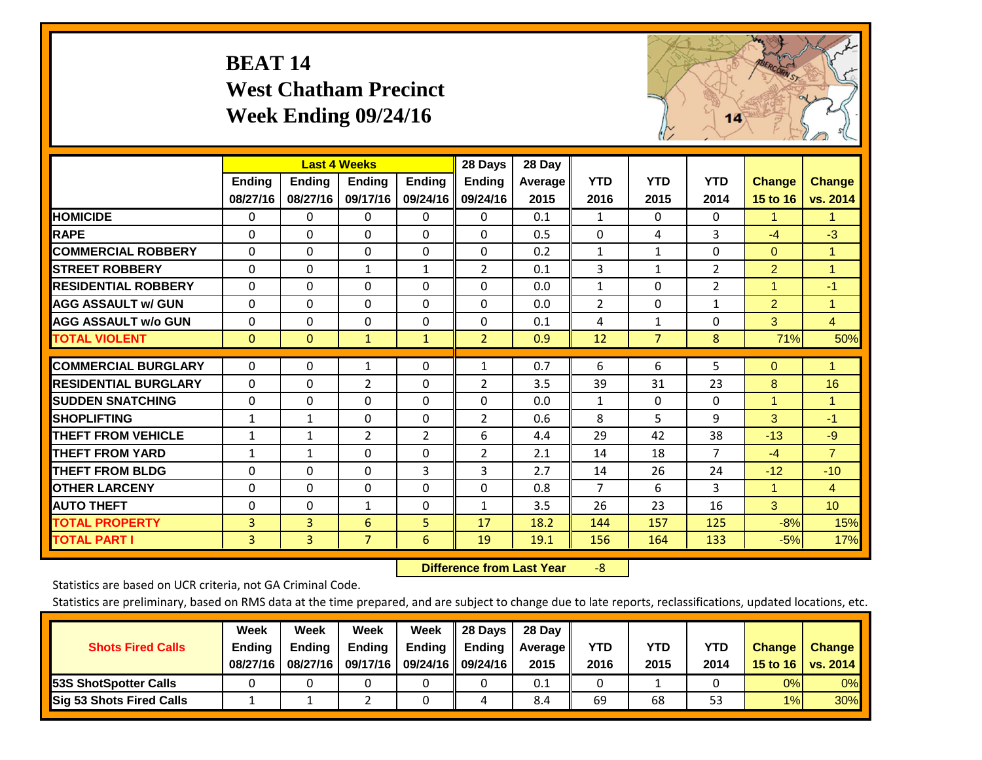# **BEAT 14 West Chatham Precinct Week Ending 09/24/16**



|                             |                | <b>Last 4 Weeks</b> |                |                | 28 Days        | 28 Day         |                |                |                |                      |                 |
|-----------------------------|----------------|---------------------|----------------|----------------|----------------|----------------|----------------|----------------|----------------|----------------------|-----------------|
|                             | Ending         | Ending              | <b>Ending</b>  | <b>Ending</b>  | <b>Ending</b>  | <b>Average</b> | <b>YTD</b>     | <b>YTD</b>     | <b>YTD</b>     | <b>Change</b>        | <b>Change</b>   |
|                             | 08/27/16       | 08/27/16            | 09/17/16       | 09/24/16       | 09/24/16       | 2015           | 2016           | 2015           | 2014           | 15 to 16             | vs. 2014        |
| <b>HOMICIDE</b>             | 0              | 0                   | $\Omega$       | 0              | 0              | 0.1            | 1              | 0              | 0              | 1.                   | 1.              |
| <b>RAPE</b>                 | $\Omega$       | $\Omega$            | $\Omega$       | 0              | $\Omega$       | 0.5            | $\Omega$       | 4              | 3              | $-4$                 | $-3$            |
| <b>COMMERCIAL ROBBERY</b>   | $\Omega$       | $\Omega$            | $\Omega$       | $\Omega$       | $\Omega$       | 0.2            | $\mathbf{1}$   | 1              | $\Omega$       | $\mathbf{0}$         | $\mathbf{1}$    |
| <b>STREET ROBBERY</b>       | $\Omega$       | $\Omega$            | $\mathbf{1}$   | 1              | $\overline{2}$ | 0.1            | 3              | 1              | $\overline{2}$ | $\overline{2}$       | 1               |
| <b>RESIDENTIAL ROBBERY</b>  | $\Omega$       | $\Omega$            | 0              | $\Omega$       | $\Omega$       | 0.0            | $\mathbf{1}$   | 0              | 2              | $\blacktriangleleft$ | $-1$            |
| <b>AGG ASSAULT w/ GUN</b>   | $\Omega$       | 0                   | $\mathbf{0}$   | $\Omega$       | $\Omega$       | 0.0            | $\overline{2}$ | 0              | $\mathbf{1}$   | $\overline{2}$       | 1               |
| <b>AGG ASSAULT w/o GUN</b>  | $\Omega$       | $\Omega$            | 0              | $\Omega$       | $\Omega$       | 0.1            | 4              | $\mathbf{1}$   | $\Omega$       | 3                    | $\overline{4}$  |
| <b>TOTAL VIOLENT</b>        | $\mathbf{0}$   | $\mathbf{0}$        | $\mathbf{1}$   | 1              | $\overline{2}$ | 0.9            | 12             | $\overline{7}$ | 8              | 71%                  | 50%             |
|                             |                |                     |                |                |                |                |                |                |                |                      |                 |
| <b>COMMERCIAL BURGLARY</b>  | $\Omega$       | $\Omega$            | 1              | 0              | 1              | 0.7            | 6              | 6              | 5              | $\mathbf{0}$         | 1               |
| <b>RESIDENTIAL BURGLARY</b> | $\Omega$       | $\Omega$            | $\overline{2}$ | $\Omega$       | $\overline{2}$ | 3.5            | 39             | 31             | 23             | 8                    | 16              |
| <b>ISUDDEN SNATCHING</b>    | $\Omega$       | 0                   | $\Omega$       | $\Omega$       | $\Omega$       | 0.0            | 1              | 0              | $\Omega$       | 1                    | 1               |
| <b>SHOPLIFTING</b>          | $\mathbf{1}$   | 1                   | $\Omega$       | $\Omega$       | $\overline{2}$ | 0.6            | 8              | 5              | 9              | 3                    | $-1$            |
| <b>THEFT FROM VEHICLE</b>   | $\mathbf{1}$   | $\mathbf{1}$        | $\overline{2}$ | $\overline{2}$ | 6              | 4.4            | 29             | 42             | 38             | $-13$                | $-9$            |
| <b>THEFT FROM YARD</b>      | $\mathbf{1}$   | 1                   | $\Omega$       | $\Omega$       | $\overline{2}$ | 2.1            | 14             | 18             | $\overline{7}$ | $-4$                 | $\overline{7}$  |
| <b>THEFT FROM BLDG</b>      | $\Omega$       | 0                   | $\mathbf{0}$   | 3              | 3              | 2.7            | 14             | 26             | 24             | $-12$                | $-10$           |
| <b>OTHER LARCENY</b>        | $\Omega$       | $\Omega$            | $\mathbf{0}$   | $\Omega$       | 0              | 0.8            | $\overline{7}$ | 6              | 3              | $\mathbf{1}$         | $\overline{4}$  |
| <b>AUTO THEFT</b>           | $\Omega$       | $\Omega$            | 1              | $\Omega$       | 1              | 3.5            | 26             | 23             | 16             | 3                    | 10 <sup>°</sup> |
| <b>TOTAL PROPERTY</b>       | 3              | $\overline{3}$      | 6              | 5              | 17             | 18.2           | 144            | 157            | 125            | $-8%$                | 15%             |
| <b>TOTAL PART I</b>         | $\overline{3}$ | $\overline{3}$      | $\overline{7}$ | 6              | 19             | 19.1           | 156            | 164            | 133            | $-5%$                | 17%             |

 **Difference from Last Year**‐8

Statistics are based on UCR criteria, not GA Criminal Code.

| <b>Shots Fired Calls</b>        | Week<br><b>Ending</b><br>08/27/16 | Week<br><b>Endina</b><br>08/27/16 | <b>Week</b><br>Ending<br>09/17/16 | Week<br>Ending | 28 Days<br><b>Ending</b><br>09/24/16    09/24/16 | 28 Day<br>Average II<br>2015 | YTD<br>2016 | YTD<br>2015 | YTD<br>2014 | <b>Change</b><br>15 to 16 $\vert$ | <b>Change</b><br>vs. 2014 |
|---------------------------------|-----------------------------------|-----------------------------------|-----------------------------------|----------------|--------------------------------------------------|------------------------------|-------------|-------------|-------------|-----------------------------------|---------------------------|
| <b>153S ShotSpotter Calls</b>   |                                   |                                   |                                   |                |                                                  | 0.1                          |             |             |             | 0%                                | 0%                        |
| <b>Sig 53 Shots Fired Calls</b> |                                   |                                   |                                   |                |                                                  | 8.4                          | 69          | 68          | 53          | 1%                                | 30%                       |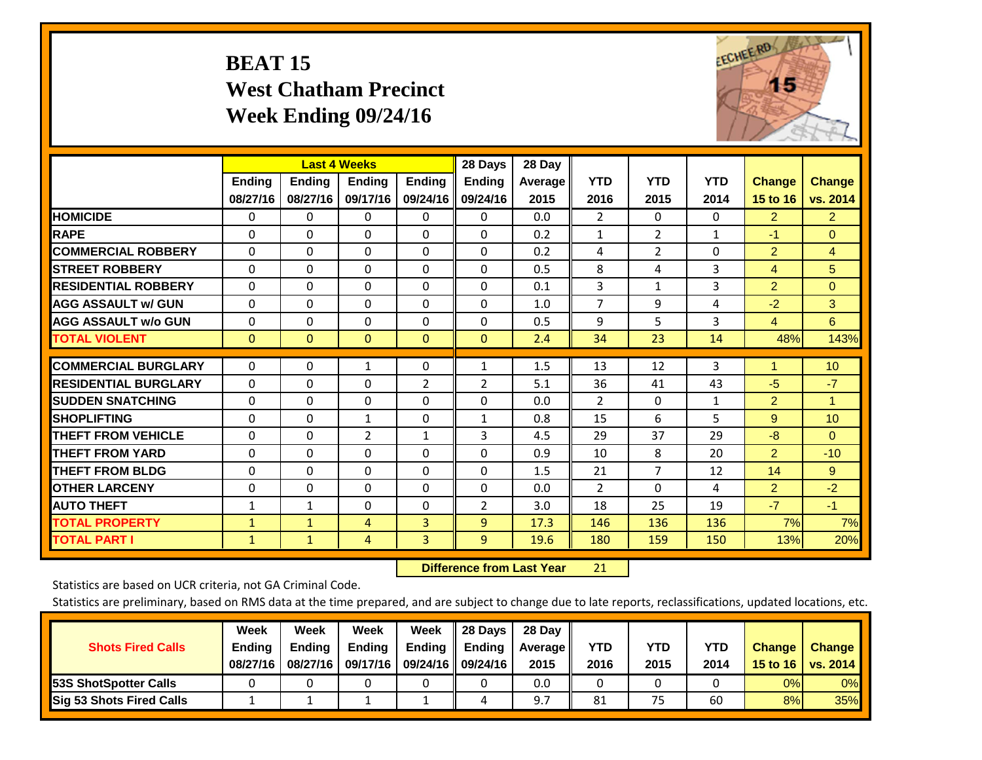# **BEAT 15 West Chatham Precinct Week Ending 09/24/16**



|                             |                           | <b>Last 4 Weeks</b>       |                           |                           | 28 Days                   | 28 Day          |                    |                    |                    |                           |                           |
|-----------------------------|---------------------------|---------------------------|---------------------------|---------------------------|---------------------------|-----------------|--------------------|--------------------|--------------------|---------------------------|---------------------------|
|                             | <b>Ending</b><br>08/27/16 | <b>Ending</b><br>08/27/16 | <b>Endina</b><br>09/17/16 | <b>Endina</b><br>09/24/16 | <b>Endina</b><br>09/24/16 | Average<br>2015 | <b>YTD</b><br>2016 | <b>YTD</b><br>2015 | <b>YTD</b><br>2014 | <b>Change</b><br>15 to 16 | <b>Change</b><br>vs. 2014 |
| <b>HOMICIDE</b>             | 0                         | 0                         | 0                         | 0                         | 0                         | 0.0             | $\overline{2}$     | 0                  | 0                  | $\overline{2}$            | $\overline{2}$            |
| <b>RAPE</b>                 | $\Omega$                  | $\Omega$                  | $\Omega$                  | $\Omega$                  | 0                         | 0.2             | 1                  | $\overline{2}$     | $\mathbf{1}$       | $-1$                      | $\mathbf{0}$              |
| <b>COMMERCIAL ROBBERY</b>   | $\Omega$                  | $\Omega$                  | $\Omega$                  | $\Omega$                  | 0                         | 0.2             | 4                  | 2                  | $\Omega$           | $\overline{2}$            | 4                         |
| <b>ISTREET ROBBERY</b>      | $\Omega$                  | $\Omega$                  | $\Omega$                  | $\Omega$                  | $\Omega$                  | 0.5             | 8                  | 4                  | 3                  | $\overline{4}$            | 5                         |
| <b>RESIDENTIAL ROBBERY</b>  | $\Omega$                  | $\Omega$                  | $\Omega$                  | 0                         | 0                         | 0.1             | 3                  | 1                  | 3                  | $\overline{2}$            | $\Omega$                  |
| <b>AGG ASSAULT w/ GUN</b>   | $\Omega$                  | $\Omega$                  | $\Omega$                  | $\Omega$                  | $\Omega$                  | 1.0             | 7                  | 9                  | 4                  | $-2$                      | 3                         |
| <b>AGG ASSAULT w/o GUN</b>  | 0                         | $\Omega$                  | $\Omega$                  | $\Omega$                  | 0                         | 0.5             | 9                  | 5                  | 3                  | $\overline{4}$            | 6                         |
| <b>TOTAL VIOLENT</b>        | $\mathbf{0}$              | $\mathbf{0}$              | $\mathbf{0}$              | $\mathbf{0}$              | $\mathbf{0}$              | 2.4             | 34                 | 23                 | 14                 | 48%                       | 143%                      |
| <b>COMMERCIAL BURGLARY</b>  | $\Omega$                  | $\Omega$                  |                           |                           |                           |                 | 13                 | 12                 | 3                  | 1                         | 10                        |
|                             |                           |                           | 1                         | 0                         | $\mathbf{1}$              | 1.5             |                    |                    |                    |                           |                           |
| <b>RESIDENTIAL BURGLARY</b> | $\Omega$                  | $\Omega$                  | $\Omega$                  | 2                         | 2                         | 5.1             | 36                 | 41                 | 43                 | $-5$                      | $-7$                      |
| <b>ISUDDEN SNATCHING</b>    | $\Omega$                  | $\Omega$                  | $\Omega$                  | 0                         | 0                         | 0.0             | $\overline{2}$     | $\Omega$           | $\mathbf{1}$       | $\overline{2}$            | 1                         |
| <b>SHOPLIFTING</b>          | $\Omega$                  | $\Omega$                  | $\mathbf{1}$              | 0                         | $\mathbf{1}$              | 0.8             | 15                 | 6                  | 5                  | 9                         | 10                        |
| <b>THEFT FROM VEHICLE</b>   | $\Omega$                  | $\Omega$                  | $\overline{2}$            | 1                         | 3                         | 4.5             | 29                 | 37                 | 29                 | $-8$                      | $\Omega$                  |
| <b>THEFT FROM YARD</b>      | $\mathbf 0$               | $\Omega$                  | $\Omega$                  | 0                         | $\Omega$                  | 0.9             | 10                 | 8                  | 20                 | $\overline{2}$            | $-10$                     |
| <b>THEFT FROM BLDG</b>      | 0                         | $\Omega$                  | $\Omega$                  | $\Omega$                  | 0                         | 1.5             | 21                 | 7                  | 12                 | 14                        | 9                         |
| <b>OTHER LARCENY</b>        | $\Omega$                  | $\Omega$                  | $\Omega$                  | $\Omega$                  | 0                         | 0.0             | 2                  | 0                  | 4                  | $\overline{2}$            | $-2$                      |
| <b>AUTO THEFT</b>           | $\mathbf{1}$              | $\mathbf{1}$              | $\Omega$                  | 0                         | 2                         | 3.0             | 18                 | 25                 | 19                 | $-7$                      | $-1$                      |
| <b>TOTAL PROPERTY</b>       | $\mathbf{1}$              | $\mathbf{1}$              | 4                         | 3                         | 9                         | 17.3            | 146                | 136                | 136                | 7%                        | 7%                        |
| <b>TOTAL PART I</b>         | $\mathbf{1}$              | $\mathbf{1}$              | 4                         | 3                         | 9                         | 19.6            | 180                | 159                | 150                | 13%                       | 20%                       |

 **Difference from Last Year**r 21

Statistics are based on UCR criteria, not GA Criminal Code.

| <b>Shots Fired Calls</b>        | Week<br><b>Ending</b><br>08/27/16 | Week<br><b>Endina</b><br>08/27/16 | Week<br>Ending<br>09/17/16 | Week<br>Ending | 28 Days<br><b>Ending</b><br>09/24/16    09/24/16 | 28 Day<br>Average II<br>2015 | YTD<br>2016 | YTD<br>2015 | YTD<br>2014 | <b>Change</b><br>15 to 16 $\vert$ | <b>Change</b><br>vs. 2014 |
|---------------------------------|-----------------------------------|-----------------------------------|----------------------------|----------------|--------------------------------------------------|------------------------------|-------------|-------------|-------------|-----------------------------------|---------------------------|
| <b>153S ShotSpotter Calls</b>   |                                   |                                   |                            |                |                                                  | 0.0                          |             |             |             | 0%                                | 0%                        |
| <b>Sig 53 Shots Fired Calls</b> |                                   |                                   |                            |                | 4                                                |                              | 81          | 75          | 60          | 8%                                | 35%                       |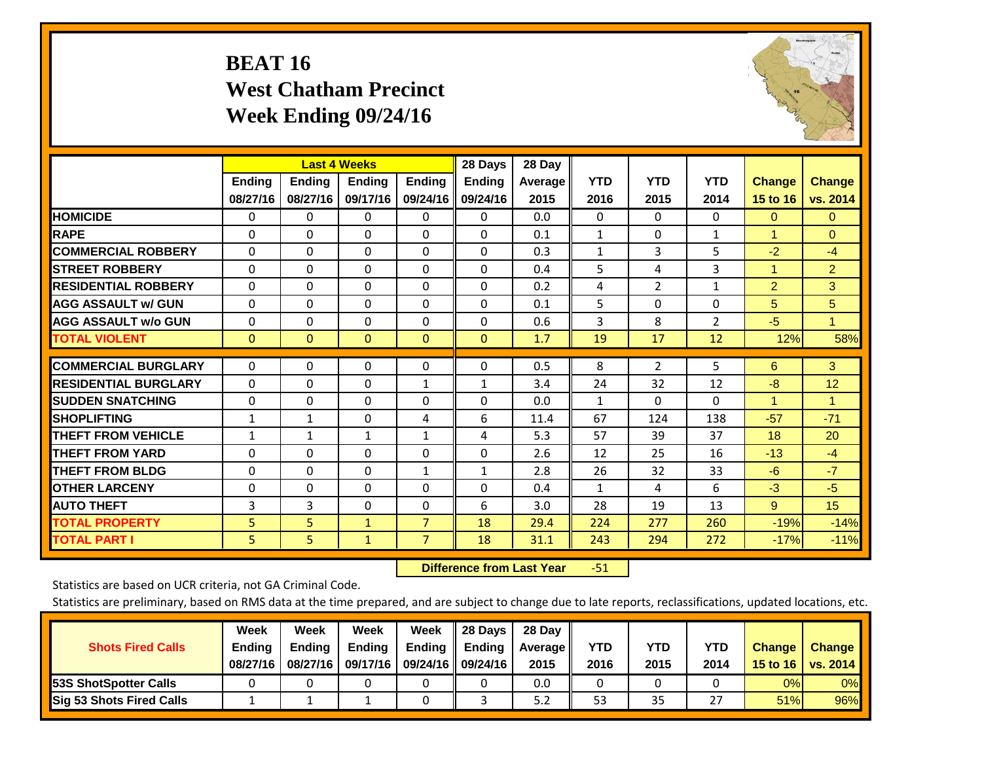# **BEAT 16 West Chatham Precinct Week Ending 09/24/16**



|                             |               | <b>Last 4 Weeks</b> |               |                | 28 Days       | 28 Day  |              |                |                |                      |                |
|-----------------------------|---------------|---------------------|---------------|----------------|---------------|---------|--------------|----------------|----------------|----------------------|----------------|
|                             | <b>Ending</b> | <b>Ending</b>       | <b>Endina</b> | <b>Endina</b>  | <b>Endina</b> | Average | <b>YTD</b>   | <b>YTD</b>     | <b>YTD</b>     | <b>Change</b>        | <b>Change</b>  |
|                             | 08/27/16      | 08/27/16            | 09/17/16      | 09/24/16       | 09/24/16      | 2015    | 2016         | 2015           | 2014           | 15 to 16             | vs. 2014       |
| <b>HOMICIDE</b>             | 0             | 0                   | 0             | 0              | 0             | 0.0     | 0            | $\Omega$       | 0              | $\mathbf{0}$         | $\Omega$       |
| <b>RAPE</b>                 | 0             | $\Omega$            | $\Omega$      | $\Omega$       | $\Omega$      | 0.1     | $\mathbf{1}$ | $\Omega$       | $\mathbf{1}$   | 1                    | $\Omega$       |
| <b>COMMERCIAL ROBBERY</b>   | $\Omega$      | $\Omega$            | $\Omega$      | 0              | $\Omega$      | 0.3     | $\mathbf{1}$ | 3              | 5              | $-2$                 | $-4$           |
| <b>STREET ROBBERY</b>       | $\Omega$      | $\Omega$            | $\Omega$      | $\Omega$       | $\Omega$      | 0.4     | 5            | 4              | 3              | $\blacktriangleleft$ | $\overline{2}$ |
| <b>RESIDENTIAL ROBBERY</b>  | 0             | $\Omega$            | $\Omega$      | $\mathbf{0}$   | $\Omega$      | 0.2     | 4            | $\overline{2}$ | $\mathbf{1}$   | $\overline{2}$       | 3              |
| <b>AGG ASSAULT w/ GUN</b>   | 0             | $\Omega$            | $\Omega$      | $\mathbf{0}$   | $\Omega$      | 0.1     | 5            | $\Omega$       | 0              | 5                    | 5              |
| <b>AGG ASSAULT w/o GUN</b>  | $\Omega$      | 0                   | $\Omega$      | 0              | $\Omega$      | 0.6     | 3            | 8              | $\overline{2}$ | $-5$                 | $\mathbf{1}$   |
| <b>TOTAL VIOLENT</b>        | $\mathbf{0}$  | $\mathbf{0}$        | $\mathbf{0}$  | $\mathbf{0}$   | $\mathbf{0}$  | 1.7     | 19           | 17             | 12             | 12%                  | 58%            |
|                             |               |                     |               |                |               |         |              |                |                |                      |                |
| <b>COMMERCIAL BURGLARY</b>  | $\Omega$      | 0                   | $\mathbf{0}$  | $\mathbf{0}$   | $\Omega$      | 0.5     | 8            | $\overline{2}$ | 5              | 6                    | 3              |
| <b>RESIDENTIAL BURGLARY</b> | $\Omega$      | $\Omega$            | $\Omega$      | 1              | 1             | 3.4     | 24           | 32             | 12             | -8                   | 12             |
| <b>SUDDEN SNATCHING</b>     | 0             | $\Omega$            | $\Omega$      | $\Omega$       | $\Omega$      | 0.0     | $\mathbf{1}$ | 0              | $\Omega$       | 1                    | 1              |
| <b>SHOPLIFTING</b>          | 1             | $\mathbf{1}$        | $\mathbf{0}$  | 4              | 6             | 11.4    | 67           | 124            | 138            | $-57$                | $-71$          |
| <b>THEFT FROM VEHICLE</b>   | $\mathbf{1}$  | $\mathbf{1}$        | $\mathbf{1}$  | 1              | 4             | 5.3     | 57           | 39             | 37             | 18                   | 20             |
| <b>THEFT FROM YARD</b>      | $\Omega$      | 0                   | $\mathbf{0}$  | $\Omega$       | $\Omega$      | 2.6     | 12           | 25             | 16             | $-13$                | $-4$           |
| <b>THEFT FROM BLDG</b>      | 0             | 0                   | $\Omega$      | 1              | $\mathbf{1}$  | 2.8     | 26           | 32             | 33             | -6                   | $-7$           |
| <b>IOTHER LARCENY</b>       | 0             | 0                   | $\Omega$      | $\Omega$       | 0             | 0.4     | $\mathbf{1}$ | 4              | 6              | $-3$                 | $-5$           |
| <b>AUTO THEFT</b>           | 3             | 3                   | 0             | 0              | 6             | 3.0     | 28           | 19             | 13             | 9                    | 15             |
| <b>TOTAL PROPERTY</b>       | 5             | 5 <sup>5</sup>      | $\mathbf{1}$  | $\overline{7}$ | 18            | 29.4    | 224          | 277            | 260            | $-19%$               | $-14%$         |
| <b>TOTAL PART I</b>         | 5.            | 5                   | $\mathbf{1}$  | $\overline{7}$ | 18            | 31.1    | 243          | 294            | 272            | $-17%$               | $-11%$         |

 **Difference from Last Year**r -51

Statistics are based on UCR criteria, not GA Criminal Code.

| <b>Shots Fired Calls</b>        | Week<br><b>Ending</b><br>08/27/16 | Week<br><b>Endina</b><br>08/27/16 | Week<br>Ending<br>09/17/16 | Week<br>Ending | 28 Days<br><b>Ending</b><br>09/24/16    09/24/16 | 28 Day<br>Average II<br>2015 | YTD<br>2016 | YTD<br>2015 | YTD<br>2014 | <b>Change</b><br>15 to 16 $\vert$ | <b>Change</b><br>vs. 2014 |
|---------------------------------|-----------------------------------|-----------------------------------|----------------------------|----------------|--------------------------------------------------|------------------------------|-------------|-------------|-------------|-----------------------------------|---------------------------|
| <b>153S ShotSpotter Calls</b>   |                                   |                                   |                            |                |                                                  | 0.0                          |             |             |             | 0%                                | 0%                        |
| <b>Sig 53 Shots Fired Calls</b> |                                   |                                   |                            |                |                                                  | 5.2                          | 53          | 35          | 55          | 51%                               | 96%                       |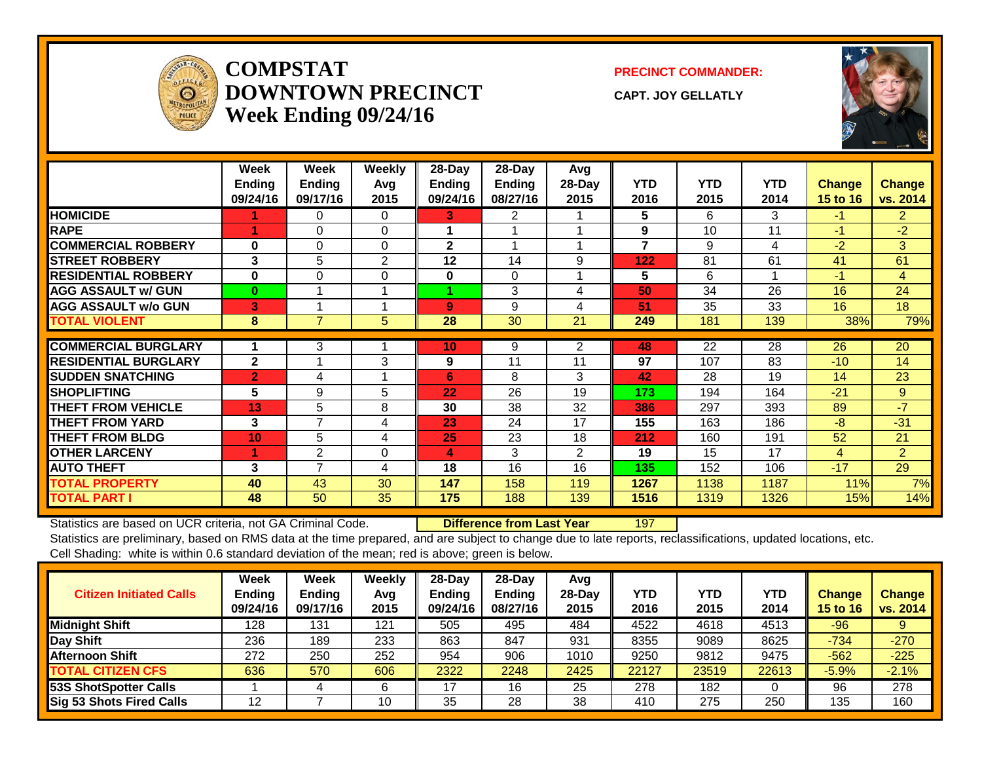

#### **COMPSTATDOWNTOWN PRECINCTWeek Ending 09/24/16**

**PRECINCT COMMANDER:**

**CAPT. JOY GELLATLY**



|                             | Week<br><b>Ending</b><br>09/24/16 | Week<br><b>Ending</b><br>09/17/16 | Weekly<br>Avq<br>2015 | 28-Day<br><b>Ending</b><br>09/24/16 | 28-Day<br><b>Ending</b><br>08/27/16 | Avg<br>28-Day<br>2015 | <b>YTD</b><br>2016 | <b>YTD</b><br>2015 | <b>YTD</b><br>2014 | <b>Change</b><br>15 to 16 | <b>Change</b><br>vs. 2014 |
|-----------------------------|-----------------------------------|-----------------------------------|-----------------------|-------------------------------------|-------------------------------------|-----------------------|--------------------|--------------------|--------------------|---------------------------|---------------------------|
| <b>HOMICIDE</b>             |                                   | 0                                 | $\Omega$              | 3                                   | 2                                   |                       | 5                  | 6                  | 3                  | $-1$                      | $\overline{2}$            |
| <b>RAPE</b>                 |                                   | 0                                 | 0                     |                                     |                                     |                       | 9                  | 10                 | 11                 | $-1$                      | $-2$                      |
| <b>COMMERCIAL ROBBERY</b>   | $\bf{0}$                          | $\Omega$                          | $\Omega$              | $\mathbf{2}$                        |                                     |                       | 7                  | 9                  | 4                  | $-2$                      | 3                         |
| <b>STREET ROBBERY</b>       | 3                                 | 5                                 | 2                     | 12                                  | 14                                  | 9                     | 122                | 81                 | 61                 | 41                        | 61                        |
| <b>RESIDENTIAL ROBBERY</b>  | $\bf{0}$                          | $\Omega$                          | $\Omega$              | $\bf{0}$                            | $\Omega$                            |                       | 5                  | 6                  |                    | $-1$                      | $\overline{4}$            |
| <b>AGG ASSAULT w/ GUN</b>   | $\mathbf{0}$                      |                                   |                       |                                     | 3                                   | 4                     | 50                 | 34                 | 26                 | 16                        | 24                        |
| <b>AGG ASSAULT w/o GUN</b>  | 3                                 |                                   |                       | 9                                   | 9                                   | 4                     | 51                 | 35                 | 33                 | 16                        | 18                        |
| <b>TOTAL VIOLENT</b>        | 8                                 | 7                                 | 5.                    | 28                                  | 30                                  | 21                    | 249                | 181                | 139                | 38%                       | 79%                       |
| <b>COMMERCIAL BURGLARY</b>  |                                   | 3                                 |                       | 10                                  | 9                                   | $\overline{2}$        | 48                 | 22                 | 28                 | 26                        | 20                        |
| <b>RESIDENTIAL BURGLARY</b> | $\mathbf{2}$                      |                                   | 3                     | 9                                   | 11                                  | 11                    | 97                 | 107                | 83                 | $-10$                     | 14                        |
| <b>SUDDEN SNATCHING</b>     | $\overline{2}$                    | 4                                 |                       | 6                                   | 8                                   | 3                     | 42                 | 28                 | 19                 | 14                        | 23                        |
| <b>SHOPLIFTING</b>          | 5                                 | 9                                 | 5                     | 22                                  | 26                                  | 19                    | 173                | 194                | 164                | $-21$                     | 9                         |
| <b>THEFT FROM VEHICLE</b>   | 13                                | 5                                 | 8                     | 30                                  | 38                                  | 32                    | 386                | 297                | 393                | 89                        | $-7$                      |
| <b>THEFT FROM YARD</b>      | 3                                 | 7                                 | 4                     | 23                                  | 24                                  | 17                    | 155                | 163                | 186                | $-8$                      | $-31$                     |
| <b>THEFT FROM BLDG</b>      | 10                                | 5                                 | 4                     | 25                                  | 23                                  | 18                    | 212                | 160                | 191                | 52                        | 21                        |
| <b>OTHER LARCENY</b>        |                                   | 2                                 | $\Omega$              | 4                                   | 3                                   | $\overline{2}$        | 19                 | 15                 | 17                 | $\overline{4}$            | $\overline{2}$            |
| <b>AUTO THEFT</b>           | 3                                 | 7                                 | 4                     | 18                                  | 16                                  | 16                    | 135                | 152                | 106                | $-17$                     | 29                        |
| <b>TOTAL PROPERTY</b>       | 40                                | 43                                | 30                    | 147                                 | 158                                 | 119                   | 1267               | 1138               | 1187               | 11%                       | 7%                        |
| <b>TOTAL PART I</b>         | 48                                | 50                                | 35                    | 175                                 | 188                                 | 139                   | 1516               | 1319               | 1326               | 15%                       | 14%                       |

Statistics are based on UCR criteria, not GA Criminal Code. **Difference from Last Year** 197

| <b>Citizen Initiated Calls</b> | Week<br>Ending<br>09/24/16 | <b>Week</b><br><b>Ending</b><br>09/17/16 | Weekly<br>Avg<br>2015 | 28-Day<br><b>Ending</b><br>09/24/16 | $28$ -Day<br><b>Ending</b><br>08/27/16 | Avg<br>28-Dav<br>2015 | <b>YTD</b><br>2016 | <b>YTD</b><br>2015 | <b>YTD</b><br>2014 | <b>Change</b><br><b>15 to 16</b> | <b>Change</b><br>vs. 2014 |
|--------------------------------|----------------------------|------------------------------------------|-----------------------|-------------------------------------|----------------------------------------|-----------------------|--------------------|--------------------|--------------------|----------------------------------|---------------------------|
| <b>Midnight Shift</b>          | 128                        | 131                                      | 121                   | 505                                 | 495                                    | 484                   | 4522               | 4618               | 4513               | $-96$                            |                           |
| Day Shift                      | 236                        | 189                                      | 233                   | 863                                 | 847                                    | 931                   | 8355               | 9089               | 8625               | $-734$                           | $-270$                    |
| <b>Afternoon Shift</b>         | 272                        | 250                                      | 252                   | 954                                 | 906                                    | 1010                  | 9250               | 9812               | 9475               | $-562$                           | $-225$                    |
| <b>TOTAL CITIZEN CFS</b>       | 636                        | 570                                      | 606                   | 2322                                | 2248                                   | 2425                  | 22127              | 23519              | 22613              | $-5.9%$                          | $-2.1%$                   |
| 53S ShotSpotter Calls          |                            | 4                                        | 6                     | ר ו                                 | 16                                     | 25                    | 278                | 182                |                    | 96                               | 278                       |
| Sig 53 Shots Fired Calls       | 12                         |                                          | 10                    | 35                                  | 28                                     | 38                    | 410                | 275                | 250                | 135                              | 160                       |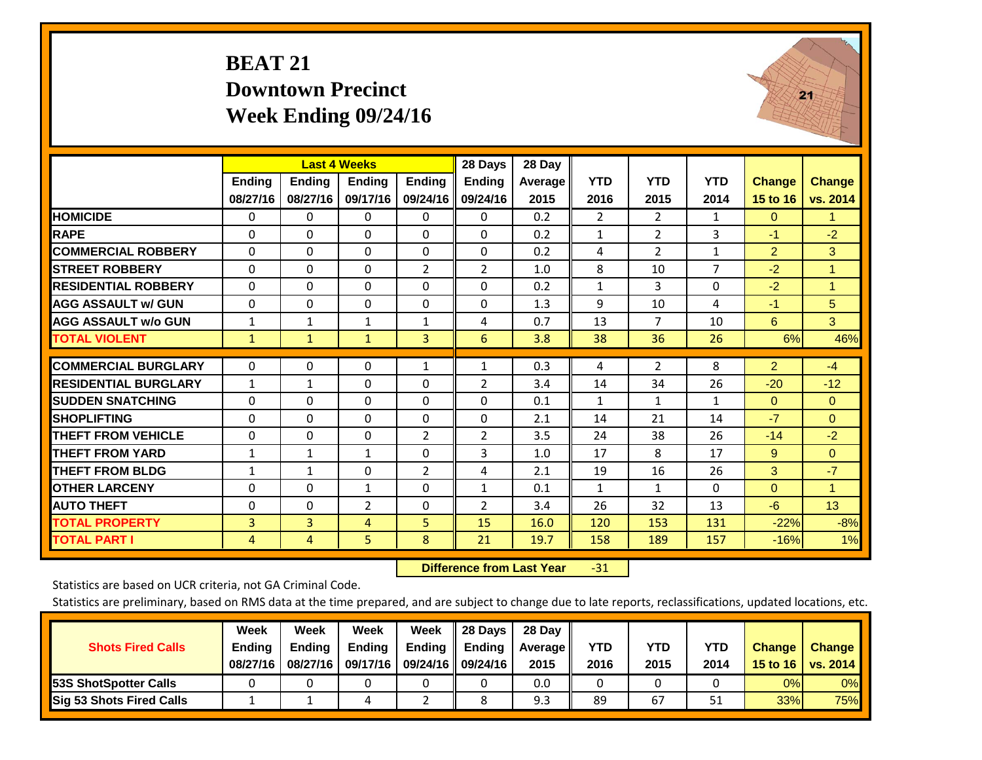### **BEAT 21 Downtown Precinct Week Ending 09/24/16**



|                             |              | <b>Last 4 Weeks</b> |                |                | 28 Days        | 28 Day  |                |                |                |               |               |
|-----------------------------|--------------|---------------------|----------------|----------------|----------------|---------|----------------|----------------|----------------|---------------|---------------|
|                             | Ending       | <b>Ending</b>       | <b>Endina</b>  | <b>Ending</b>  | <b>Ending</b>  | Average | <b>YTD</b>     | <b>YTD</b>     | <b>YTD</b>     | <b>Change</b> | <b>Change</b> |
|                             | 08/27/16     | 08/27/16            | 09/17/16       | 09/24/16       | 09/24/16       | 2015    | 2016           | 2015           | 2014           | 15 to 16      | vs. 2014      |
| <b>HOMICIDE</b>             | $\Omega$     | 0                   | 0              | 0              | $\Omega$       | 0.2     | $\overline{2}$ | $\overline{2}$ | $\mathbf{1}$   | $\mathbf{0}$  | 1.            |
| <b>RAPE</b>                 | $\Omega$     | 0                   | $\Omega$       | $\Omega$       | 0              | 0.2     | $\mathbf{1}$   | 2              | 3              | $-1$          | $-2$          |
| <b>COMMERCIAL ROBBERY</b>   | $\Omega$     | $\Omega$            | $\Omega$       | 0              | 0              | 0.2     | 4              | $\overline{2}$ | $\mathbf{1}$   | 2             | 3             |
| <b>STREET ROBBERY</b>       | $\Omega$     | $\Omega$            | $\Omega$       | $\overline{2}$ | 2              | 1.0     | 8              | 10             | $\overline{7}$ | $-2$          | $\mathbf{1}$  |
| <b>RESIDENTIAL ROBBERY</b>  | $\Omega$     | $\Omega$            | $\Omega$       | $\Omega$       | 0              | 0.2     | $\mathbf{1}$   | 3              | $\Omega$       | $-2$          | 1             |
| <b>AGG ASSAULT w/ GUN</b>   | 0            | $\Omega$            | 0              | $\Omega$       | $\Omega$       | 1.3     | 9              | 10             | 4              | $-1$          | 5             |
| <b>AGG ASSAULT w/o GUN</b>  | $\mathbf{1}$ | $\mathbf{1}$        | 1              | $\mathbf{1}$   | 4              | 0.7     | 13             | 7              | 10             | 6             | 3             |
| <b>TOTAL VIOLENT</b>        | $\mathbf{1}$ | $\mathbf{1}$        | $\mathbf{1}$   | 3              | 6              | 3.8     | 38             | 36             | 26             | 6%            | 46%           |
|                             |              |                     |                |                |                |         |                |                |                |               |               |
| <b>COMMERCIAL BURGLARY</b>  | $\mathbf{0}$ | $\Omega$            | $\Omega$       | $\mathbf{1}$   | $\mathbf{1}$   | 0.3     | 4              | $\overline{2}$ | 8              | 2             | $-4$          |
| <b>RESIDENTIAL BURGLARY</b> | $\mathbf{1}$ | $\mathbf{1}$        | $\Omega$       | $\Omega$       | 2              | 3.4     | 14             | 34             | 26             | $-20$         | $-12$         |
| <b>SUDDEN SNATCHING</b>     | $\Omega$     | $\Omega$            | $\Omega$       | 0              | 0              | 0.1     | 1              | 1              | $\mathbf{1}$   | $\Omega$      | $\mathbf{0}$  |
| <b>SHOPLIFTING</b>          | $\Omega$     | $\Omega$            | $\Omega$       | 0              | 0              | 2.1     | 14             | 21             | 14             | $-7$          | $\Omega$      |
| THEFT FROM VEHICLE          | $\Omega$     | $\Omega$            | $\Omega$       | $\overline{2}$ | 2              | 3.5     | 24             | 38             | 26             | $-14$         | $-2$          |
| <b>THEFT FROM YARD</b>      | $\mathbf{1}$ | $\mathbf{1}$        | $\mathbf{1}$   | $\Omega$       | 3              | 1.0     | 17             | 8              | 17             | 9             | $\Omega$      |
| <b>THEFT FROM BLDG</b>      | $\mathbf{1}$ | $\mathbf{1}$        | $\Omega$       | $\overline{2}$ | 4              | 2.1     | 19             | 16             | 26             | 3             | $-7$          |
| <b>OTHER LARCENY</b>        | $\Omega$     | $\Omega$            | 1              | $\Omega$       | $\mathbf{1}$   | 0.1     | $\mathbf{1}$   | $\mathbf{1}$   | 0              | $\mathbf{0}$  | 1.            |
| <b>AUTO THEFT</b>           | 0            | $\Omega$            | $\overline{2}$ | $\Omega$       | $\overline{2}$ | 3.4     | 26             | 32             | 13             | $-6$          | 13            |
| <b>TOTAL PROPERTY</b>       | 3            | 3                   | 4              | 5              | 15             | 16.0    | 120            | 153            | 131            | $-22%$        | $-8%$         |
| <b>TOTAL PART I</b>         | 4            | 4                   | 5.             | 8              | 21             | 19.7    | 158            | 189            | 157            | $-16%$        | 1%            |

 **Difference from Last Year**‐31

Statistics are based on UCR criteria, not GA Criminal Code.

| <b>Shots Fired Calls</b>        | Week<br><b>Ending</b><br>08/27/16 | Week<br><b>Endina</b><br>08/27/16 | Week<br><b>Ending</b><br>09/17/16 | Week<br>Ending | 28 Days<br><b>Ending</b><br>09/24/16    09/24/16 | 28 Day<br>Average II<br>2015 | YTD<br>2016 | YTD<br>2015 | YTD<br>2014 | <b>Change</b><br>15 to 16 $\vert$ | <b>Change</b><br>vs. 2014 |
|---------------------------------|-----------------------------------|-----------------------------------|-----------------------------------|----------------|--------------------------------------------------|------------------------------|-------------|-------------|-------------|-----------------------------------|---------------------------|
| <b>153S ShotSpotter Calls</b>   |                                   |                                   |                                   |                |                                                  | 0.0                          |             |             |             | 0%                                | 0%                        |
| <b>Sig 53 Shots Fired Calls</b> |                                   |                                   |                                   |                |                                                  | 9.3                          | 89          | 67          |             | 33%                               | <b>75%</b>                |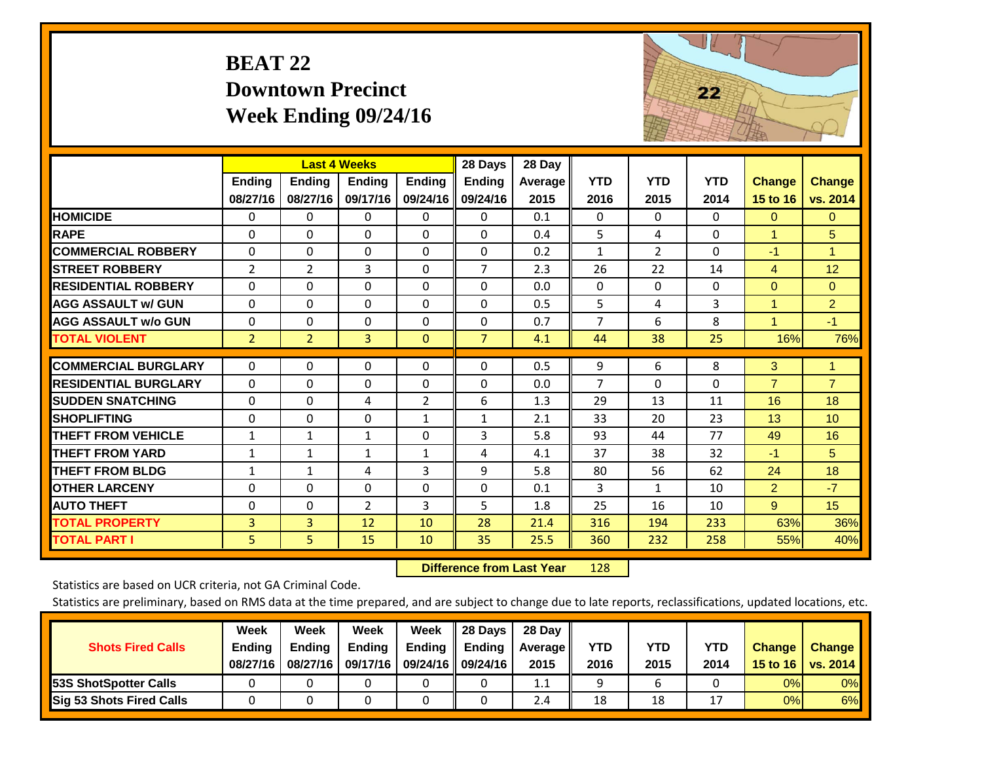# **BEAT 22 Downtown Precinct Week Ending 09/24/16**



|                             |                | <b>Last 4 Weeks</b> |               |                | 28 Days        | 28 Day         |                |                |            |                |                |
|-----------------------------|----------------|---------------------|---------------|----------------|----------------|----------------|----------------|----------------|------------|----------------|----------------|
|                             | Ending         | <b>Ending</b>       | <b>Ending</b> | <b>Endina</b>  | <b>Ending</b>  | <b>Average</b> | <b>YTD</b>     | <b>YTD</b>     | <b>YTD</b> | <b>Change</b>  | <b>Change</b>  |
|                             | 08/27/16       | 08/27/16            | 09/17/16      | 09/24/16       | 09/24/16       | 2015           | 2016           | 2015           | 2014       | 15 to 16       | vs. 2014       |
| <b>HOMICIDE</b>             | 0              | 0                   | 0             | 0              | 0              | 0.1            | $\Omega$       | $\Omega$       | 0          | $\Omega$       | $\mathbf{0}$   |
| <b>RAPE</b>                 | $\Omega$       | 0                   | 0             | $\Omega$       | 0              | 0.4            | 5              | 4              | $\Omega$   | 1              | 5              |
| <b>COMMERCIAL ROBBERY</b>   | $\Omega$       | $\Omega$            | $\Omega$      | $\Omega$       | 0              | 0.2            | $\mathbf{1}$   | $\overline{2}$ | $\Omega$   | $-1$           | $\mathbf{1}$   |
| <b>STREET ROBBERY</b>       | $\overline{2}$ | $\overline{2}$      | 3             | $\Omega$       | $\overline{7}$ | 2.3            | 26             | 22             | 14         | $\overline{4}$ | 12             |
| <b>RESIDENTIAL ROBBERY</b>  | $\Omega$       | 0                   | $\Omega$      | $\Omega$       | $\Omega$       | 0.0            | $\mathbf{0}$   | $\Omega$       | $\Omega$   | $\Omega$       | $\Omega$       |
| <b>AGG ASSAULT w/ GUN</b>   | $\Omega$       | $\Omega$            | $\Omega$      | $\Omega$       | $\Omega$       | 0.5            | 5.             | 4              | 3          | 1              | $\overline{2}$ |
| <b>AGG ASSAULT w/o GUN</b>  | $\Omega$       | 0                   | $\Omega$      | $\Omega$       | 0              | 0.7            | $\overline{7}$ | 6              | 8          | 1              | $-1$           |
| <b>TOTAL VIOLENT</b>        | $\overline{2}$ | $\overline{2}$      | 3             | $\mathbf{0}$   | $\overline{7}$ | 4.1            | 44             | 38             | 25         | 16%            | 76%            |
|                             |                |                     |               |                |                |                |                |                |            |                |                |
| <b>COMMERCIAL BURGLARY</b>  | $\Omega$       | 0                   | 0             | 0              | $\Omega$       | 0.5            | 9              | 6              | 8          | 3              | 1              |
| <b>RESIDENTIAL BURGLARY</b> | $\Omega$       | 0                   | $\Omega$      | $\Omega$       | $\Omega$       | 0.0            | $\overline{7}$ | 0              | $\Omega$   | $\overline{7}$ | $\overline{7}$ |
| <b>SUDDEN SNATCHING</b>     | $\Omega$       | 0                   | 4             | $\overline{2}$ | 6              | 1.3            | 29             | 13             | 11         | 16             | 18             |
| <b>SHOPLIFTING</b>          | $\Omega$       | 0                   | $\Omega$      | $\mathbf{1}$   | $\mathbf{1}$   | 2.1            | 33             | 20             | 23         | 13             | 10             |
| <b>THEFT FROM VEHICLE</b>   | $\mathbf{1}$   | 1                   | $\mathbf{1}$  | $\Omega$       | 3              | 5.8            | 93             | 44             | 77         | 49             | 16             |
| <b>THEFT FROM YARD</b>      | $\mathbf{1}$   | $\mathbf{1}$        | $\mathbf{1}$  | $\mathbf{1}$   | 4              | 4.1            | 37             | 38             | 32         | $-1$           | 5              |
| <b>THEFT FROM BLDG</b>      | $\mathbf{1}$   | 1                   | 4             | 3              | 9              | 5.8            | 80             | 56             | 62         | 24             | 18             |
| <b>OTHER LARCENY</b>        | $\Omega$       | $\Omega$            | $\Omega$      | $\Omega$       | $\Omega$       | 0.1            | 3              | $\mathbf{1}$   | 10         | $\overline{2}$ | $-7$           |
| <b>AUTO THEFT</b>           | $\Omega$       | $\Omega$            | 2             | 3              | 5              | 1.8            | 25             | 16             | 10         | 9              | 15             |
| <b>TOTAL PROPERTY</b>       | 3              | $\overline{3}$      | 12            | 10             | 28             | 21.4           | 316            | 194            | 233        | 63%            | 36%            |
| <b>TOTAL PART I</b>         | 5 <sup>1</sup> | 5.                  | 15            | 10             | 35             | 25.5           | 360            | 232            | 258        | 55%            | 40%            |

 **Difference from Last Year**r 128

Statistics are based on UCR criteria, not GA Criminal Code.

|                                 | Week          | Week          | Week   | Week                       | 28 Days       | 28 Day            |      |      |                |                  |          |
|---------------------------------|---------------|---------------|--------|----------------------------|---------------|-------------------|------|------|----------------|------------------|----------|
| <b>Shots Fired Calls</b>        | <b>Ending</b> | <b>Ending</b> | Ending | Ending                     | <b>Ending</b> | <b>Average</b> II | YTD  | YTD  | <b>YTD</b>     | <b>Change</b>    | Change   |
|                                 | 08/27/16      | 08/27/16      |        | 09/17/16 09/24/16 09/24/16 |               | 2015              | 2016 | 2015 | 2014           | 15 to 16 $\vert$ | vs. 2014 |
| <b>53S ShotSpotter Calls</b>    |               |               |        |                            |               | $1.1\,$           |      |      |                | 0%               | 0%       |
| <b>Sig 53 Shots Fired Calls</b> |               |               |        |                            |               | 2.4               | 18   | 18   | $\overline{ }$ | 0%               | 6%       |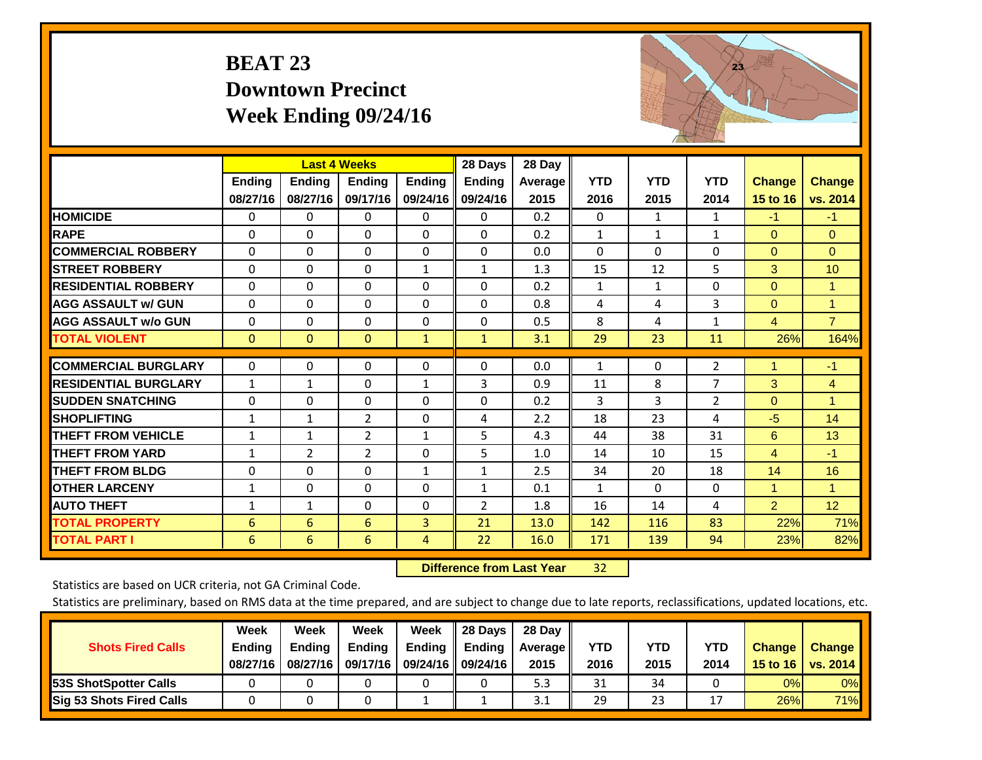### **BEAT 23 Downtown Precinct Week Ending 09/24/16**



|                             |              | <b>Last 4 Weeks</b> |                |                | 28 Days       | 28 Day  |              |              |                |                |                |
|-----------------------------|--------------|---------------------|----------------|----------------|---------------|---------|--------------|--------------|----------------|----------------|----------------|
|                             | Ending       | <b>Ending</b>       | <b>Endina</b>  | <b>Ending</b>  | <b>Ending</b> | Average | <b>YTD</b>   | <b>YTD</b>   | <b>YTD</b>     | <b>Change</b>  | <b>Change</b>  |
|                             | 08/27/16     | 08/27/16            | 09/17/16       | 09/24/16       | 09/24/16      | 2015    | 2016         | 2015         | 2014           | 15 to 16       | vs. 2014       |
| <b>HOMICIDE</b>             | 0            | $\Omega$            | $\mathbf{0}$   | $\Omega$       | $\Omega$      | 0.2     | $\mathbf{0}$ | $\mathbf{1}$ | 1              | $-1$           | $-1$           |
| <b>RAPE</b>                 | $\Omega$     | 0                   | $\mathbf{0}$   | $\Omega$       | $\Omega$      | 0.2     | 1            | 1            | 1              | $\Omega$       | $\Omega$       |
| <b>COMMERCIAL ROBBERY</b>   | $\Omega$     | $\Omega$            | $\Omega$       | $\Omega$       | $\Omega$      | 0.0     | $\Omega$     | $\Omega$     | $\Omega$       | $\Omega$       | $\Omega$       |
| <b>STREET ROBBERY</b>       | 0            | $\Omega$            | 0              | 1              | $\mathbf{1}$  | 1.3     | 15           | 12           | 5              | 3              | 10             |
| <b>RESIDENTIAL ROBBERY</b>  | $\Omega$     | $\Omega$            | $\Omega$       | $\Omega$       | $\Omega$      | 0.2     | $\mathbf{1}$ | 1            | $\Omega$       | $\Omega$       | 1              |
| <b>AGG ASSAULT w/ GUN</b>   | $\Omega$     | $\Omega$            | $\mathbf{0}$   | $\Omega$       | $\Omega$      | 0.8     | 4            | 4            | 3              | $\Omega$       | 1              |
| <b>AGG ASSAULT w/o GUN</b>  | $\Omega$     | 0                   | $\mathbf{0}$   | $\Omega$       | $\Omega$      | 0.5     | 8            | 4            | $\mathbf{1}$   | $\overline{4}$ | $\overline{7}$ |
| <b>TOTAL VIOLENT</b>        | $\mathbf 0$  | $\mathbf{0}$        | $\mathbf{0}$   | $\mathbf{1}$   | $\mathbf{1}$  | 3.1     | 29           | 23           | 11             | 26%            | 164%           |
| <b>COMMERCIAL BURGLARY</b>  |              |                     |                |                |               |         |              |              |                | 1              |                |
|                             | 0            | 0                   | $\mathbf 0$    | 0              | $\Omega$      | 0.0     | 1            | 0            | $\overline{2}$ |                | $-1$           |
| <b>RESIDENTIAL BURGLARY</b> | $\mathbf{1}$ | $\mathbf{1}$        | $\mathbf{0}$   | $\mathbf{1}$   | 3             | 0.9     | 11           | 8            | 7              | 3              | $\overline{4}$ |
| <b>SUDDEN SNATCHING</b>     | $\Omega$     | 0                   | $\mathbf{0}$   | $\Omega$       | $\Omega$      | 0.2     | 3            | 3            | 2              | $\Omega$       | 1.             |
| <b>SHOPLIFTING</b>          | $\mathbf{1}$ | 1                   | $\overline{2}$ | $\Omega$       | 4             | 2.2     | 18           | 23           | 4              | $-5$           | 14             |
| <b>THEFT FROM VEHICLE</b>   | $\mathbf{1}$ | $\mathbf{1}$        | 2              | $\mathbf{1}$   | 5             | 4.3     | 44           | 38           | 31             | 6              | 13             |
| <b>THEFT FROM YARD</b>      | $\mathbf{1}$ | 2                   | $\overline{2}$ | $\Omega$       | 5             | 1.0     | 14           | 10           | 15             | $\overline{4}$ | $-1$           |
| <b>THEFT FROM BLDG</b>      | $\Omega$     | 0                   | $\mathbf{0}$   | $\mathbf{1}$   | $\mathbf{1}$  | 2.5     | 34           | 20           | 18             | 14             | 16             |
| <b>OTHER LARCENY</b>        | 1            | $\Omega$            | $\mathbf 0$    | $\Omega$       | $\mathbf{1}$  | 0.1     | 1            | $\Omega$     | $\Omega$       | $\mathbf{1}$   | $\mathbf{1}$   |
| <b>AUTO THEFT</b>           | $\mathbf{1}$ | 1                   | $\Omega$       | $\Omega$       | 2             | 1.8     | 16           | 14           | 4              | $\overline{2}$ | 12             |
| <b>TOTAL PROPERTY</b>       | 6            | 6                   | 6              | $\overline{3}$ | 21            | 13.0    | 142          | 116          | 83             | 22%            | 71%            |
| <b>TOTAL PART I</b>         | 6            | 6                   | 6              | 4              | 22            | 16.0    | 171          | 139          | 94             | 23%            | 82%            |

 **Difference from Last Year**32

Statistics are based on UCR criteria, not GA Criminal Code.

| <b>Shots Fired Calls</b>        | Week<br><b>Ending</b> | Week<br><b>Endina</b> | <b>Week</b><br>Ending | Week<br>Ending       | 28 Days<br><b>Ending</b> | 28 Day<br><b>Average</b> II | YTD  | YTD  | <b>YTD</b>     | <b>Change</b>    | Change     |
|---------------------------------|-----------------------|-----------------------|-----------------------|----------------------|--------------------------|-----------------------------|------|------|----------------|------------------|------------|
|                                 | 08/27/16              | 08/27/16              | 09/17/16              | 09/24/16    09/24/16 |                          | 2015                        | 2016 | 2015 | 2014           | 15 to 16 $\vert$ | vs. 2014   |
| <b>53S ShotSpotter Calls</b>    |                       |                       |                       |                      |                          | 5.3                         | 31   | 34   |                | 0%               | 0%         |
| <b>Sig 53 Shots Fired Calls</b> |                       |                       |                       |                      |                          | 3.1                         | 29   | 23   | $\overline{ }$ | 26%              | <b>71%</b> |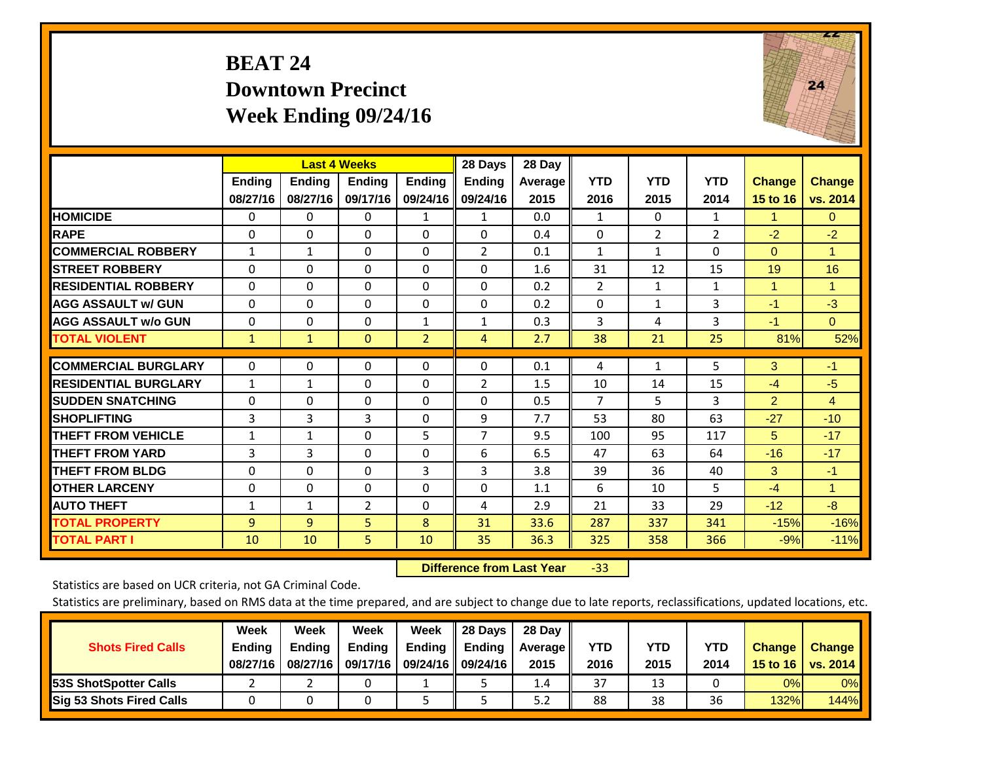### **BEAT 24 Downtown Precinct Week Ending 09/24/16**



|                             |                           | <b>Last 4 Weeks</b> |                           |                           | 28 Days                   | 28 Day          |                    |                    |                    |                           |                           |
|-----------------------------|---------------------------|---------------------|---------------------------|---------------------------|---------------------------|-----------------|--------------------|--------------------|--------------------|---------------------------|---------------------------|
|                             | <b>Ending</b><br>08/27/16 | Ending<br>08/27/16  | <b>Ending</b><br>09/17/16 | <b>Endina</b><br>09/24/16 | <b>Ending</b><br>09/24/16 | Average<br>2015 | <b>YTD</b><br>2016 | <b>YTD</b><br>2015 | <b>YTD</b><br>2014 | <b>Change</b><br>15 to 16 | <b>Change</b><br>vs. 2014 |
| <b>HOMICIDE</b>             | 0                         | 0                   | $\Omega$                  | 1                         | $\mathbf{1}$              | 0.0             | 1                  | $\Omega$           | $\mathbf{1}$       | 1                         | $\mathbf{0}$              |
| <b>RAPE</b>                 | $\Omega$                  | $\Omega$            | $\Omega$                  | $\Omega$                  | $\Omega$                  | 0.4             | $\mathbf{0}$       | $\overline{2}$     | $\overline{2}$     | $-2$                      | $-2$                      |
| <b>COMMERCIAL ROBBERY</b>   | 1                         | $\mathbf{1}$        | $\Omega$                  | $\Omega$                  | $\overline{2}$            | 0.1             | $\mathbf{1}$       | $\mathbf{1}$       | $\Omega$           | $\Omega$                  | 1                         |
|                             |                           |                     |                           |                           |                           |                 |                    |                    |                    |                           |                           |
| <b>ISTREET ROBBERY</b>      | $\Omega$                  | $\Omega$            | $\mathbf{0}$              | $\mathbf{0}$              | $\Omega$                  | 1.6             | 31                 | 12                 | 15                 | 19                        | 16                        |
| <b>RESIDENTIAL ROBBERY</b>  | $\Omega$                  | $\Omega$            | $\Omega$                  | $\Omega$                  | $\Omega$                  | 0.2             | 2                  | $\mathbf{1}$       | $\mathbf{1}$       | 1                         | 1                         |
| <b>AGG ASSAULT w/ GUN</b>   | $\Omega$                  | $\Omega$            | $\mathbf{0}$              | $\Omega$                  | $\Omega$                  | 0.2             | $\mathbf{0}$       | $\mathbf{1}$       | 3                  | $-1$                      | $-3$                      |
| <b>AGG ASSAULT w/o GUN</b>  | 0                         | $\Omega$            | $\Omega$                  | 1                         | 1                         | 0.3             | 3                  | 4                  | 3                  | $-1$                      | $\mathbf{0}$              |
| <b>TOTAL VIOLENT</b>        | $\mathbf{1}$              | $\mathbf{1}$        | $\overline{0}$            | $\overline{2}$            | $\overline{4}$            | 2.7             | 38                 | 21                 | 25                 | 81%                       | 52%                       |
|                             |                           |                     |                           |                           |                           |                 |                    |                    |                    |                           |                           |
| <b>COMMERCIAL BURGLARY</b>  | $\Omega$                  | 0                   | $\mathbf{0}$              | 0                         | $\Omega$                  | 0.1             | 4                  | $\mathbf{1}$       | 5                  | 3                         | $-1$                      |
| <b>RESIDENTIAL BURGLARY</b> | $\mathbf{1}$              | 1                   | $\mathbf{0}$              | $\Omega$                  | $\overline{2}$            | 1.5             | 10                 | 14                 | 15                 | $-4$                      | $-5$                      |
| <b>ISUDDEN SNATCHING</b>    | $\Omega$                  | 0                   | $\mathbf{0}$              | $\Omega$                  | 0                         | 0.5             | $\overline{7}$     | 5.                 | 3                  | $\overline{2}$            | 4                         |
| <b>SHOPLIFTING</b>          | 3                         | 3                   | 3                         | $\Omega$                  | 9                         | 7.7             | 53                 | 80                 | 63                 | $-27$                     | $-10$                     |
| <b>THEFT FROM VEHICLE</b>   | $\mathbf{1}$              | 1                   | $\Omega$                  | 5                         | $\overline{7}$            | 9.5             | 100                | 95                 | 117                | 5                         | $-17$                     |
| <b>THEFT FROM YARD</b>      | 3                         | 3                   | $\mathbf{0}$              | $\Omega$                  | 6                         | 6.5             | 47                 | 63                 | 64                 | $-16$                     | $-17$                     |
| <b>THEFT FROM BLDG</b>      | $\Omega$                  | 0                   | $\mathbf{0}$              | 3                         | 3                         | 3.8             | 39                 | 36                 | 40                 | 3                         | $-1$                      |
| <b>OTHER LARCENY</b>        | $\Omega$                  | 0                   | $\mathbf{0}$              | $\Omega$                  | $\Omega$                  | 1.1             | 6                  | 10                 | 5                  | $-4$                      | $\blacksquare$            |
| <b>AUTO THEFT</b>           | 1                         | 1                   | 2                         | $\Omega$                  | 4                         | 2.9             | 21                 | 33                 | 29                 | $-12$                     | $-8$                      |
| <b>TOTAL PROPERTY</b>       | 9                         | $\overline{9}$      | 5                         | 8                         | 31                        | 33.6            | 287                | 337                | 341                | $-15%$                    | $-16%$                    |
| <b>TOTAL PART I</b>         | 10                        | 10                  | 5.                        | 10                        | 35                        | 36.3            | 325                | 358                | 366                | $-9%$                     | $-11%$                    |

 **Difference from Last Year**‐33

Statistics are based on UCR criteria, not GA Criminal Code.

|                                 | Week          | Week          | <b>Week</b> | Week                 | 28 Days       | 28 Day     |      |      |      |                  |                 |
|---------------------------------|---------------|---------------|-------------|----------------------|---------------|------------|------|------|------|------------------|-----------------|
| <b>Shots Fired Calls</b>        | <b>Ending</b> | <b>Ending</b> | Ending      | Ending               | <b>Ending</b> | Average II | YTD  | YTD  | YTD  | <b>Change</b>    | <b>Change</b>   |
|                                 | 08/27/16      | 08/27/16      | 09/17/16    | 09/24/16    09/24/16 |               | 2015       | 2016 | 2015 | 2014 | 15 to 16 $\vert$ | <b>VS. 2014</b> |
| <b>153S ShotSpotter Calls</b>   |               |               |             |                      |               | 1.4        | 37   | 13   |      | 0%               | 0%              |
| <b>Sig 53 Shots Fired Calls</b> |               |               |             |                      |               | 5.2        | 88   | 38   | 36   | 132%             | 144%            |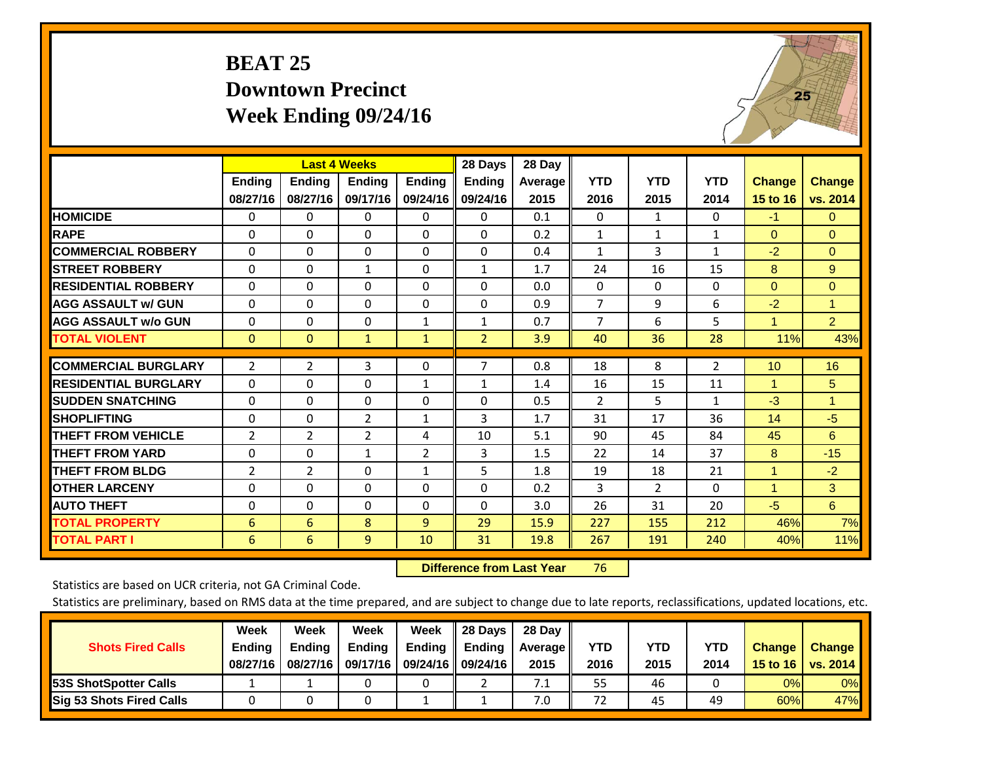## **BEAT 25 Downtown Precinct Week Ending 09/24/16**



|                             |                    | <b>Last 4 Weeks</b> |                           |                           | 28 Days                   | 28 Day                 |                    |                    |                    |                           |                           |
|-----------------------------|--------------------|---------------------|---------------------------|---------------------------|---------------------------|------------------------|--------------------|--------------------|--------------------|---------------------------|---------------------------|
|                             | Ending<br>08/27/16 | Ending<br>08/27/16  | <b>Ending</b><br>09/17/16 | <b>Ending</b><br>09/24/16 | <b>Ending</b><br>09/24/16 | <b>Average</b><br>2015 | <b>YTD</b><br>2016 | <b>YTD</b><br>2015 | <b>YTD</b><br>2014 | <b>Change</b><br>15 to 16 | <b>Change</b><br>vs. 2014 |
| <b>HOMICIDE</b>             |                    |                     |                           |                           |                           |                        | $\mathbf{0}$       |                    | $\Omega$           |                           |                           |
|                             | 0                  | 0                   | 0                         | 0                         | 0                         | 0.1                    |                    | $\mathbf{1}$       |                    | $-1$                      | 0                         |
| <b>RAPE</b>                 | $\Omega$           | 0                   | $\mathbf{0}$              | 0                         | $\Omega$                  | 0.2                    | 1                  | $\mathbf{1}$       | $\mathbf{1}$       | $\Omega$                  | $\Omega$                  |
| <b>COMMERCIAL ROBBERY</b>   | $\Omega$           | $\Omega$            | 0                         | $\Omega$                  | $\Omega$                  | 0.4                    | 1                  | 3                  | $\mathbf{1}$       | $-2$                      | $\Omega$                  |
| <b>STREET ROBBERY</b>       | 0                  | $\Omega$            | 1                         | $\Omega$                  | $\mathbf{1}$              | 1.7                    | 24                 | 16                 | 15                 | 8                         | 9                         |
| <b>RESIDENTIAL ROBBERY</b>  | $\Omega$           | $\Omega$            | $\mathbf{0}$              | $\Omega$                  | $\Omega$                  | 0.0                    | $\mathbf{0}$       | $\Omega$           | $\Omega$           | $\mathbf{0}$              | $\mathbf{0}$              |
| <b>AGG ASSAULT w/ GUN</b>   | $\Omega$           | $\Omega$            | $\mathbf{0}$              | $\Omega$                  | $\Omega$                  | 0.9                    | 7                  | 9                  | 6                  | $-2$                      | 1                         |
| <b>AGG ASSAULT w/o GUN</b>  | $\Omega$           | 0                   | $\mathbf 0$               | 1                         | $\mathbf{1}$              | 0.7                    | 7                  | 6                  | 5                  | 1                         | $\overline{2}$            |
| <b>TOTAL VIOLENT</b>        | $\mathbf{0}$       | $\mathbf{0}$        | $\mathbf{1}$              | $\mathbf{1}$              | $\overline{2}$            | 3.9                    | 40                 | 36                 | 28                 | 11%                       | 43%                       |
|                             |                    |                     |                           |                           |                           |                        |                    |                    |                    |                           |                           |
| <b>COMMERCIAL BURGLARY</b>  | $\overline{2}$     | 2                   | 3                         | $\Omega$                  | $\overline{7}$            | 0.8                    | 18                 | 8                  | 2                  | 10                        | 16                        |
| <b>RESIDENTIAL BURGLARY</b> | $\Omega$           | 0                   | 0                         | $\mathbf{1}$              | $\mathbf{1}$              | 1.4                    | 16                 | 15                 | 11                 | $\mathbf{1}$              | 5                         |
| <b>SUDDEN SNATCHING</b>     | $\Omega$           | 0                   | $\mathbf{0}$              | $\Omega$                  | $\Omega$                  | 0.5                    | 2                  | 5                  | $\mathbf{1}$       | $-3$                      | 1                         |
| <b>SHOPLIFTING</b>          | $\Omega$           | $\Omega$            | $\overline{2}$            | 1                         | 3                         | 1.7                    | 31                 | 17                 | 36                 | 14                        | $-5$                      |
| <b>THEFT FROM VEHICLE</b>   | $\overline{2}$     | $\overline{2}$      | $\overline{2}$            | 4                         | 10                        | 5.1                    | 90                 | 45                 | 84                 | 45                        | 6                         |
| <b>THEFT FROM YARD</b>      | $\Omega$           | $\Omega$            | $\mathbf{1}$              | $\overline{2}$            | 3                         | 1.5                    | 22                 | 14                 | 37                 | 8                         | $-15$                     |
| <b>THEFT FROM BLDG</b>      | $\overline{2}$     | 2                   | $\mathbf{0}$              | 1                         | 5                         | 1.8                    | 19                 | 18                 | 21                 | 1                         | $-2$                      |
| <b>OTHER LARCENY</b>        | $\Omega$           | $\Omega$            | $\mathbf{0}$              | $\Omega$                  | $\Omega$                  | 0.2                    | 3                  | $\overline{2}$     | $\Omega$           | 1                         | 3                         |
| <b>AUTO THEFT</b>           | $\Omega$           | $\Omega$            | $\Omega$                  | $\Omega$                  | $\Omega$                  | 3.0                    | 26                 | 31                 | 20                 | $-5$                      | 6                         |
| <b>TOTAL PROPERTY</b>       | 6                  | 6                   | 8                         | 9                         | 29                        | 15.9                   | 227                | 155                | 212                | 46%                       | 7%                        |
| <b>TOTAL PART I</b>         | 6                  | 6                   | 9                         | 10                        | 31                        | 19.8                   | 267                | 191                | 240                | 40%                       | 11%                       |

 **Difference from Last Year**r 76

Statistics are based on UCR criteria, not GA Criminal Code.

| <b>Shots Fired Calls</b>        | Week<br><b>Ending</b><br>08/27/16 | Week<br><b>Endina</b><br>08/27/16 | Week<br>Ending<br>09/17/16 | Week<br>Ending | 28 Days<br><b>Ending</b><br>09/24/16    09/24/16 | 28 Day<br>Average II<br>2015 | YTD<br>2016 | YTD<br>2015 | YTD<br>2014 | <b>Change</b><br>15 to 16 $\vert$ | <b>Change</b><br>vs. 2014 |
|---------------------------------|-----------------------------------|-----------------------------------|----------------------------|----------------|--------------------------------------------------|------------------------------|-------------|-------------|-------------|-----------------------------------|---------------------------|
| <b>153S ShotSpotter Calls</b>   |                                   |                                   |                            |                |                                                  | 7.1                          | 55          | 46          |             | 0%                                | 0%                        |
| <b>Sig 53 Shots Fired Calls</b> |                                   |                                   |                            |                |                                                  | 7.0                          | 72          | 45          | 49          | 60%                               | 47%                       |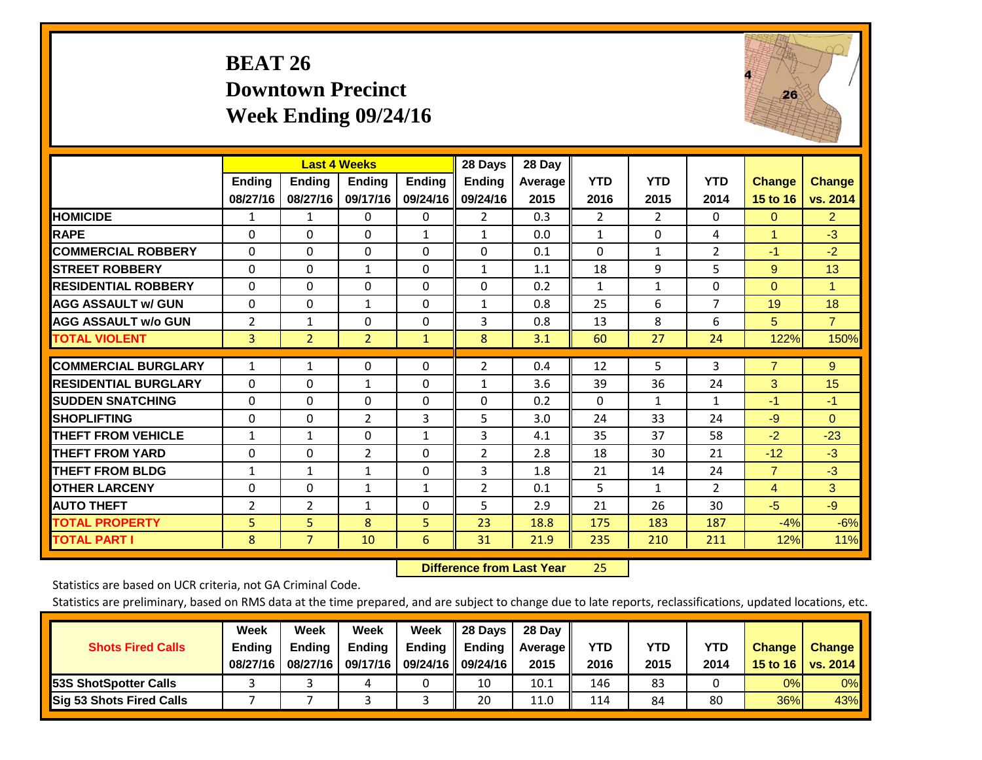### **BEAT 26 Downtown Precinct Week Ending 09/24/16**



|                             |                           | <b>Last 4 Weeks</b>       |                    |                           | 28 Days                   | 28 Day            |                    |                    |                    |                                  |                           |
|-----------------------------|---------------------------|---------------------------|--------------------|---------------------------|---------------------------|-------------------|--------------------|--------------------|--------------------|----------------------------------|---------------------------|
|                             | <b>Ending</b><br>08/27/16 | <b>Ending</b><br>08/27/16 | Ending<br>09/17/16 | <b>Ending</b><br>09/24/16 | <b>Endina</b><br>09/24/16 | Average  <br>2015 | <b>YTD</b><br>2016 | <b>YTD</b><br>2015 | <b>YTD</b><br>2014 | <b>Change</b><br><b>15 to 16</b> | <b>Change</b><br>vs. 2014 |
| <b>HOMICIDE</b>             | 1                         | 1                         | $\Omega$           | 0                         | 2                         | 0.3               | 2                  | $\overline{2}$     | 0                  | $\mathbf{0}$                     | $\overline{2}$            |
| <b>RAPE</b>                 | $\Omega$                  | 0                         | $\mathbf{0}$       | 1                         | $\mathbf{1}$              | 0.0               | 1                  | $\Omega$           | 4                  | $\overline{1}$                   | $-3$                      |
| <b>COMMERCIAL ROBBERY</b>   | $\Omega$                  | 0                         | $\mathbf{0}$       | 0                         | 0                         | 0.1               | $\Omega$           | $\mathbf{1}$       | 2                  | $-1$                             | $-2$                      |
| <b>ISTREET ROBBERY</b>      | $\Omega$                  | $\Omega$                  | $\mathbf{1}$       | $\Omega$                  | $\mathbf{1}$              | 1.1               | 18                 | 9                  | 5                  | 9                                | 13                        |
| <b>RESIDENTIAL ROBBERY</b>  | $\Omega$                  | $\Omega$                  | $\Omega$           | $\mathbf{0}$              | $\Omega$                  | 0.2               | $\mathbf{1}$       | 1                  | 0                  | $\Omega$                         | 1                         |
| <b>AGG ASSAULT w/ GUN</b>   | 0                         | $\Omega$                  | $\mathbf{1}$       | $\Omega$                  | $\mathbf{1}$              | 0.8               | 25                 | 6                  | 7                  | 19                               | 18                        |
| <b>AGG ASSAULT w/o GUN</b>  | 2                         | $\mathbf{1}$              | $\Omega$           | $\Omega$                  | 3                         | 0.8               | 13                 | 8                  | 6                  | 5                                | $\overline{7}$            |
| <b>TOTAL VIOLENT</b>        | 3                         | $\overline{2}$            | $\overline{2}$     | $\mathbf{1}$              | 8                         | 3.1               | 60                 | 27                 | 24                 | 122%                             | 150%                      |
| <b>COMMERCIAL BURGLARY</b>  | 1                         | 1                         | 0                  | 0                         | 2                         | 0.4               | 12                 | 5.                 | 3                  | $\overline{7}$                   | 9                         |
| <b>RESIDENTIAL BURGLARY</b> | $\Omega$                  | 0                         | $\mathbf{1}$       | $\mathbf{0}$              | $\mathbf{1}$              | 3.6               | 39                 | 36                 | 24                 | 3                                | 15                        |
| <b>ISUDDEN SNATCHING</b>    | 0                         | 0                         | $\mathbf{0}$       | $\mathbf{0}$              | $\Omega$                  | 0.2               | $\Omega$           | $\mathbf{1}$       | 1                  | $-1$                             | $-1$                      |
| <b>SHOPLIFTING</b>          | $\Omega$                  | 0                         | $\overline{2}$     | 3                         | 5                         | 3.0               | 24                 | 33                 | 24                 | $-9$                             | $\mathbf{0}$              |
| <b>THEFT FROM VEHICLE</b>   | $\mathbf{1}$              | $\mathbf{1}$              | $\Omega$           | 1                         | 3                         | 4.1               | 35                 | 37                 | 58                 | $-2$                             | $-23$                     |
| <b>THEFT FROM YARD</b>      | $\Omega$                  | 0                         | 2                  | $\mathbf{0}$              | 2                         | 2.8               | 18                 | 30                 | 21                 | $-12$                            | $-3$                      |
| <b>THEFT FROM BLDG</b>      | 1                         | 1                         | 1                  | $\Omega$                  | 3                         | 1.8               | 21                 | 14                 | 24                 | $\overline{7}$                   | $-3$                      |
| <b>OTHER LARCENY</b>        | 0                         | 0                         | 1                  | 1                         | $\overline{2}$            | 0.1               | 5                  | $\mathbf{1}$       | $\overline{2}$     | 4                                | 3                         |
| <b>AUTO THEFT</b>           | 2                         | $\overline{2}$            | $\mathbf{1}$       | $\mathbf{0}$              | 5                         | 2.9               | 21                 | 26                 | 30                 | $-5$                             | $-9$                      |
| <b>TOTAL PROPERTY</b>       | 5                         | 5 <sup>1</sup>            | 8                  | 5 <sup>1</sup>            | 23                        | 18.8              | 175                | 183                | 187                | $-4%$                            | $-6%$                     |
| <b>TOTAL PART I</b>         | 8                         | $\overline{7}$            | 10                 | 6                         | 31                        | 21.9              | 235                | 210                | 211                | 12%                              | 11%                       |

 **Difference from Last Year**25

Statistics are based on UCR criteria, not GA Criminal Code.

|                                 | Week          | Week          | <b>Week</b> | Week   | 28 Days              | 28 Day     |      |      |            |               |                 |
|---------------------------------|---------------|---------------|-------------|--------|----------------------|------------|------|------|------------|---------------|-----------------|
| <b>Shots Fired Calls</b>        | <b>Ending</b> | <b>Endina</b> | Ending      | Ending | <b>Ending</b>        | Average II | YTD  | YTD  | <b>YTD</b> | <b>Change</b> | <b>Change</b>   |
|                                 | 08/27/16      | 08/27/16      | 09/17/16    |        | 09/24/16    09/24/16 | 2015       | 2016 | 2015 | 2014       | 15 to 16      | <b>VS. 2014</b> |
| <b>153S ShotSpotter Calls</b>   |               |               |             |        | 10                   | 10.1       | 146  | 83   |            | 0%            | 0%              |
| <b>Sig 53 Shots Fired Calls</b> |               |               |             |        | 20                   | 11.0       | 114  | 84   | 80         | 36%           | 43%             |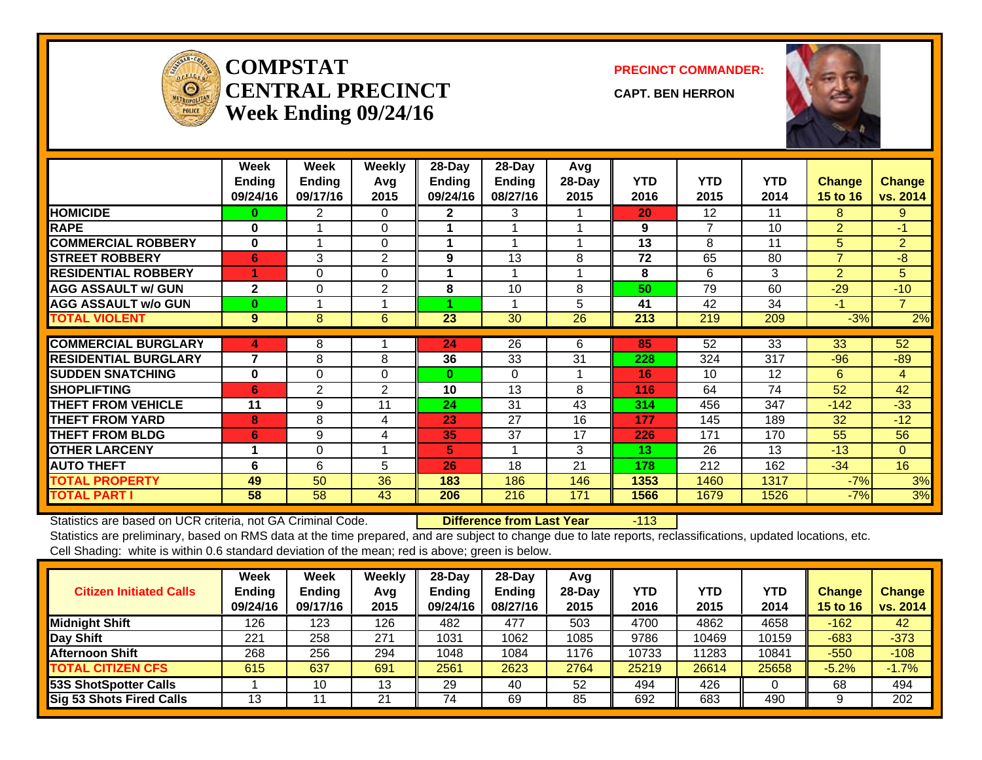

#### **COMPSTATCENTRAL PRECINCTWeek Ending 09/24/16**

**PRECINCT COMMANDER:**

**CAPT. BEN HERRON**



|                             | Week<br><b>Ending</b> | Week<br><b>Ending</b> | Weekly<br>Avg | 28-Day<br>Ending | 28-Day<br><b>Ending</b> | Avg<br>28-Day | <b>YTD</b> | <b>YTD</b>        | <b>YTD</b>      |                           | <b>Change</b>  |
|-----------------------------|-----------------------|-----------------------|---------------|------------------|-------------------------|---------------|------------|-------------------|-----------------|---------------------------|----------------|
|                             | 09/24/16              | 09/17/16              | 2015          | 09/24/16         | 08/27/16                | 2015          | 2016       | 2015              | 2014            | <b>Change</b><br>15 to 16 | vs. 2014       |
| <b>HOMICIDE</b>             | 0                     | 2                     | $\Omega$      | $\mathbf{2}$     | 3                       |               | 20         | $12 \overline{ }$ | 11              | 8                         | 9              |
| <b>RAPE</b>                 | $\bf{0}$              |                       | $\Omega$      |                  |                         |               | 9          | 7                 | 10              | $\overline{2}$            | $-1$           |
| <b>COMMERCIAL ROBBERY</b>   | $\bf{0}$              |                       | $\Omega$      |                  |                         |               | 13         | 8                 | 11              | 5                         | $\overline{2}$ |
| <b>STREET ROBBERY</b>       | 6                     | 3                     | 2             | 9                | 13                      | 8             | 72         | 65                | 80              | $\overline{7}$            | $-8$           |
| <b>RESIDENTIAL ROBBERY</b>  |                       | $\Omega$              | $\Omega$      |                  |                         |               | 8          | 6                 | 3               | $\overline{2}$            | 5              |
| <b>AGG ASSAULT w/ GUN</b>   | $\overline{2}$        | $\Omega$              | 2             | 8                | 10                      | 8             | 50         | 79                | 60              | $-29$                     | $-10$          |
| <b>AGG ASSAULT w/o GUN</b>  | $\bf{0}$              |                       |               |                  |                         | 5             | 41         | 42                | 34              | $-1$                      | $\overline{7}$ |
| <b>TOTAL VIOLENT</b>        | 9                     | $\bf 8$               | 6             | 23               | 30                      | 26            | 213        | 219               | 209             | $-3%$                     | 2%             |
| <b>COMMERCIAL BURGLARY</b>  | 4                     | 8                     |               | 24               | 26                      | 6             | 85         | 52                | $\overline{33}$ | 33                        | 52             |
| <b>RESIDENTIAL BURGLARY</b> | 7                     | 8                     | 8             | 36               | 33                      | 31            | 228        | 324               | 317             | $-96$                     | $-89$          |
| <b>SUDDEN SNATCHING</b>     | $\bf{0}$              | $\Omega$              | $\Omega$      | $\bf{0}$         | $\Omega$                |               | 16         | 10                | 12              | 6                         | 4              |
| <b>SHOPLIFTING</b>          | 6                     | 2                     | 2             | 10               | 13                      | 8             | 116        | 64                | 74              | 52                        | 42             |
| <b>THEFT FROM VEHICLE</b>   | 11                    | 9                     | 11            | 24               | 31                      | 43            | 314        | 456               | 347             | $-142$                    | $-33$          |
| <b>THEFT FROM YARD</b>      | 8                     | 8                     | 4             | 23               | 27                      | 16            | 177        | 145               | 189             | 32                        | $-12$          |
| <b>THEFT FROM BLDG</b>      | 6                     | 9                     | 4             | 35               | 37                      | 17            | 226        | 171               | 170             | 55                        | 56             |
| <b>OTHER LARCENY</b>        |                       | $\Omega$              |               | 5.               |                         | 3             | 13         | 26                | 13              | $-13$                     | $\Omega$       |
| <b>AUTO THEFT</b>           | 6                     | 6                     | 5             | 26               | 18                      | 21            | 178        | 212               | 162             | $-34$                     | 16             |
| <b>TOTAL PROPERTY</b>       | 49                    | 50                    | 36            | 183              | 186                     | 146           | 1353       | 1460              | 1317            | $-7%$                     | 3%             |
| <b>TOTAL PART I</b>         | 58                    | 58                    | 43            | 206              | 216                     | 171           | 1566       | 1679              | 1526            | $-7%$                     | 3%             |

Statistics are based on UCR criteria, not GA Criminal Code. **Difference from Last Year** -113

| <b>Citizen Initiated Calls</b>  | Week<br><b>Ending</b><br>09/24/16 | <b>Week</b><br><b>Ending</b><br>09/17/16 | Weekly<br>Avq<br>2015 | $28$ -Day<br><b>Ending</b><br>09/24/16 | 28-Dav<br><b>Ending</b><br>08/27/16 | Avg<br>28-Dav<br>2015 | YTD<br>2016 | <b>YTD</b><br>2015 | <b>YTD</b><br>2014 | <b>Change</b><br><b>15 to 16</b> | <b>Change</b><br>vs. 2014 |
|---------------------------------|-----------------------------------|------------------------------------------|-----------------------|----------------------------------------|-------------------------------------|-----------------------|-------------|--------------------|--------------------|----------------------------------|---------------------------|
| <b>Midnight Shift</b>           | 126                               | 123                                      | 126                   | 482                                    | 477                                 | 503                   | 4700        | 4862               | 4658               | $-162$                           | 42                        |
| Day Shift                       | 221                               | 258                                      | 271                   | 1031                                   | 1062                                | 1085                  | 9786        | 10469              | 10159              | $-683$                           | $-373$                    |
| <b>Afternoon Shift</b>          | 268                               | 256                                      | 294                   | 1048                                   | 1084                                | 1176                  | 10733       | 1283               | 10841              | $-550$                           | $-108$                    |
| <b>TOTAL CITIZEN CFS</b>        | 615                               | 637                                      | 691                   | 2561                                   | 2623                                | 2764                  | 25219       | 26614              | 25658              | $-5.2%$                          | $-1.7%$                   |
| <b>53S ShotSpotter Calls</b>    |                                   | 10                                       | 13                    | 29                                     | 40                                  | 52                    | 494         | 426                |                    | 68                               | 494                       |
| <b>Sig 53 Shots Fired Calls</b> | 13                                |                                          | 21                    | 74                                     | 69                                  | 85                    | 692         | 683                | 490                |                                  | 202                       |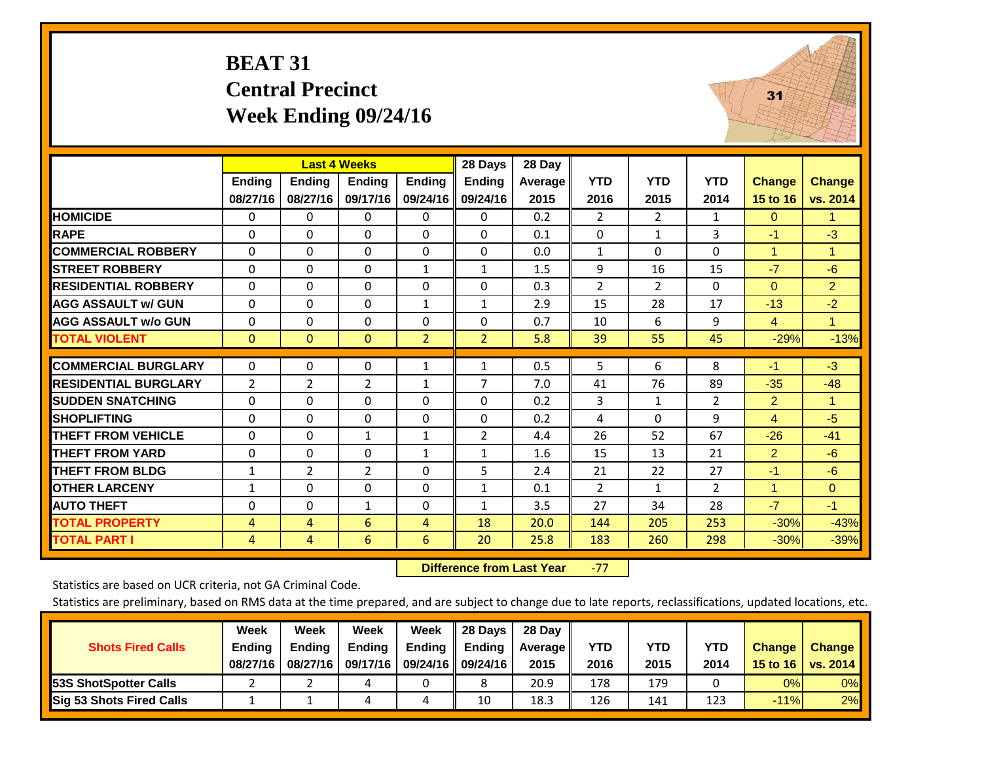#### **BEAT 31 Central Precinct Week Ending 09/24/16**



|                             |               | <b>Last 4 Weeks</b> |                |                | 28 Days        | 28 Day  |                |                |                |                |                |
|-----------------------------|---------------|---------------------|----------------|----------------|----------------|---------|----------------|----------------|----------------|----------------|----------------|
|                             | <b>Ending</b> | <b>Ending</b>       | <b>Ending</b>  | <b>Ending</b>  | <b>Ending</b>  | Average | <b>YTD</b>     | <b>YTD</b>     | <b>YTD</b>     | <b>Change</b>  | <b>Change</b>  |
|                             | 08/27/16      | 08/27/16            | 09/17/16       | 09/24/16       | 09/24/16       | 2015    | 2016           | 2015           | 2014           | 15 to 16       | vs. 2014       |
| <b>HOMICIDE</b>             | $\Omega$      | $\mathbf{0}$        | 0              | $\Omega$       | $\mathbf{0}$   | 0.2     | $\overline{2}$ | $\overline{2}$ | $\mathbf{1}$   | $\Omega$       | 1.             |
| <b>RAPE</b>                 | $\Omega$      | $\Omega$            | 0              | $\mathbf{0}$   | $\Omega$       | 0.1     | $\Omega$       | $\mathbf{1}$   | 3              | -1             | $-3$           |
| <b>COMMERCIAL ROBBERY</b>   | $\Omega$      | $\mathbf{0}$        | 0              | 0              | $\Omega$       | 0.0     | $\mathbf{1}$   | $\Omega$       | 0              | $\mathbf{1}$   | $\mathbf{1}$   |
| <b>STREET ROBBERY</b>       | $\Omega$      | $\Omega$            | $\Omega$       | $\mathbf{1}$   | $\mathbf{1}$   | 1.5     | 9              | 16             | 15             | $-7$           | $-6$           |
| <b>RESIDENTIAL ROBBERY</b>  | $\Omega$      | $\mathbf{0}$        | 0              | $\Omega$       | $\Omega$       | 0.3     | $\overline{2}$ | 2              | 0              | $\Omega$       | 2 <sup>1</sup> |
| <b>AGG ASSAULT w/ GUN</b>   | $\Omega$      | $\Omega$            | 0              | 1              | $\mathbf{1}$   | 2.9     | 15             | 28             | 17             | $-13$          | $-2$           |
| <b>AGG ASSAULT w/o GUN</b>  | $\mathbf 0$   | $\Omega$            | 0              | $\mathbf{0}$   | $\Omega$       | 0.7     | 10             | 6              | 9              | $\overline{4}$ | $\mathbf{1}$   |
| <b>TOTAL VIOLENT</b>        | $\mathbf{0}$  | $\mathbf{0}$        | $\Omega$       | $\overline{2}$ | $\overline{2}$ | 5.8     | 39             | 55             | 45             | $-29%$         | $-13%$         |
|                             |               |                     |                |                |                |         |                |                |                |                |                |
| <b>COMMERCIAL BURGLARY</b>  | 0             | $\mathbf 0$         | 0              | $\mathbf{1}$   | $\mathbf{1}$   | 0.5     | 5              | 6              | 8              | $-1$           | $-3$           |
| <b>RESIDENTIAL BURGLARY</b> | 2             | 2                   | $\overline{2}$ | $\mathbf{1}$   | 7              | 7.0     | 41             | 76             | 89             | $-35$          | $-48$          |
| <b>SUDDEN SNATCHING</b>     | $\Omega$      | $\mathbf{0}$        | 0              | $\mathbf{0}$   | $\Omega$       | 0.2     | 3              | $\mathbf{1}$   | $\overline{2}$ | 2              | $\mathbf{1}$   |
| <b>SHOPLIFTING</b>          | $\Omega$      | $\Omega$            | $\Omega$       | $\mathbf{0}$   | $\Omega$       | 0.2     | 4              | $\Omega$       | 9              | 4              | $-5$           |
| <b>THEFT FROM VEHICLE</b>   | $\Omega$      | $\Omega$            | $\mathbf{1}$   | $\mathbf{1}$   | 2              | 4.4     | 26             | 52             | 67             | $-26$          | $-41$          |
| <b>THEFT FROM YARD</b>      | $\mathbf 0$   | $\Omega$            | $\Omega$       | $\mathbf{1}$   | $\mathbf{1}$   | 1.6     | 15             | 13             | 21             | $\overline{2}$ | $-6$           |
| <b>THEFT FROM BLDG</b>      | 1             | 2                   | $\overline{2}$ | 0              | 5              | 2.4     | 21             | 22             | 27             | $-1$           | -6             |
| <b>OTHER LARCENY</b>        | $\mathbf{1}$  | $\Omega$            | $\Omega$       | $\mathbf{0}$   | $\mathbf{1}$   | 0.1     | 2              | $\mathbf{1}$   | $\overline{2}$ | $\mathbf{1}$   | $\Omega$       |
| <b>AUTO THEFT</b>           | $\Omega$      | $\Omega$            | 1              | $\mathbf{0}$   | $\mathbf{1}$   | 3.5     | 27             | 34             | 28             | $-7$           | $-1$           |
| <b>TOTAL PROPERTY</b>       | 4             | 4                   | 6              | 4              | 18             | 20.0    | 144            | 205            | 253            | $-30%$         | $-43%$         |
| <b>TOTAL PART I</b>         | 4             | 4                   | 6              | 6              | 20             | 25.8    | 183            | 260            | 298            | $-30%$         | $-39%$         |

 **Difference from Last Year**‐77

Statistics are based on UCR criteria, not GA Criminal Code.

|                                 | Week          | Week          | Week          | Week                 | Il 28 Davs                | 28 Day     |            |      |            |               |               |
|---------------------------------|---------------|---------------|---------------|----------------------|---------------------------|------------|------------|------|------------|---------------|---------------|
| <b>Shots Fired Calls</b>        | <b>Ending</b> | <b>Endina</b> | <b>Ending</b> |                      | Ending $\parallel$ Ending | Average II | <b>YTD</b> | YTD  | <b>YTD</b> | <b>Change</b> | <b>Change</b> |
|                                 | 08/27/16      | 08/27/16      | 09/17/16      | 09/24/16    09/24/16 |                           | 2015       | 2016       | 2015 | 2014       | 15 to 16      | vs. $2014$    |
| <b>153S ShotSpotter Calls</b>   |               |               |               |                      |                           | 20.9       | 178        | 179  |            | 0%            | $0\%$         |
| <b>Sig 53 Shots Fired Calls</b> |               |               |               | 4                    | 10                        | 18.3       | 126        | 141  | 123        | $-11%$        | 2%            |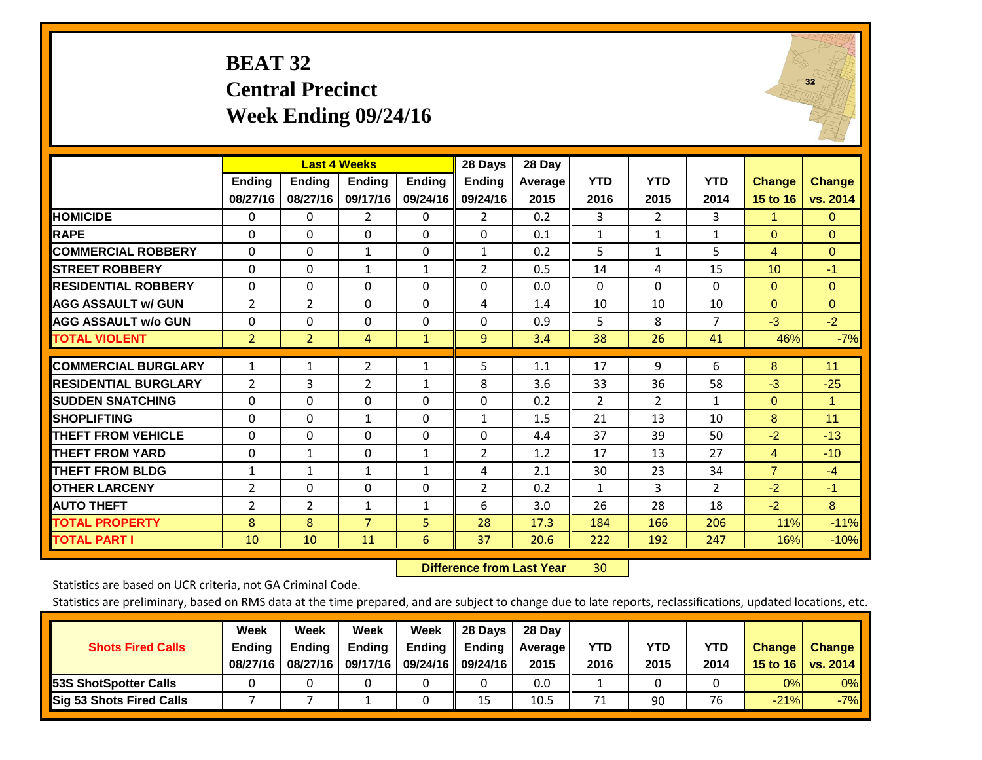#### **BEAT 32 Central Precinct Week Ending 09/24/16**



|                             |                |                | <b>Last 4 Weeks</b> |               | 28 Days        | 28 Day  |                |                |                |                |                      |
|-----------------------------|----------------|----------------|---------------------|---------------|----------------|---------|----------------|----------------|----------------|----------------|----------------------|
|                             | <b>Ending</b>  | <b>Endina</b>  | <b>Endina</b>       | <b>Endina</b> | <b>Endina</b>  | Average | <b>YTD</b>     | <b>YTD</b>     | <b>YTD</b>     | Change         | <b>Change</b>        |
|                             | 08/27/16       | 08/27/16       | 09/17/16            | 09/24/16      | 09/24/16       | 2015    | 2016           | 2015           | 2014           | 15 to 16       | vs. 2014             |
| <b>HOMICIDE</b>             | $\Omega$       | $\Omega$       | $\overline{2}$      | $\Omega$      | $\overline{2}$ | 0.2     | 3              | $\overline{2}$ | 3              | 1              | $\Omega$             |
| <b>RAPE</b>                 | $\Omega$       | $\Omega$       | $\Omega$            | $\mathbf{0}$  | $\Omega$       | 0.1     | $\mathbf{1}$   | $\mathbf{1}$   | $\mathbf{1}$   | $\mathbf{0}$   | $\mathbf{0}$         |
| <b>COMMERCIAL ROBBERY</b>   | $\Omega$       | $\Omega$       | $\mathbf{1}$        | $\mathbf{0}$  | $\mathbf{1}$   | 0.2     | 5              | $\mathbf{1}$   | 5              | 4              | $\mathbf{0}$         |
| <b>STREET ROBBERY</b>       | 0              | 0              | 1                   | $\mathbf{1}$  | $\overline{2}$ | 0.5     | 14             | 4              | 15             | 10             | $-1$                 |
| <b>RESIDENTIAL ROBBERY</b>  | $\Omega$       | 0              | 0                   | $\mathbf{0}$  | $\Omega$       | 0.0     | 0              | 0              | $\Omega$       | $\Omega$       | $\Omega$             |
| <b>AGG ASSAULT w/ GUN</b>   | $\overline{2}$ | $\overline{2}$ | 0                   | $\mathbf{0}$  | 4              | 1.4     | 10             | 10             | 10             | $\Omega$       | $\mathbf{0}$         |
| <b>AGG ASSAULT w/o GUN</b>  | 0              | $\Omega$       | $\Omega$            | $\Omega$      | $\Omega$       | 0.9     | 5              | 8              | $\overline{7}$ | $-3$           | $-2$                 |
| <b>TOTAL VIOLENT</b>        | $\overline{2}$ | $\overline{2}$ | 4                   | $\mathbf{1}$  | $\overline{9}$ | 3.4     | 38             | 26             | 41             | 46%            | $-7%$                |
|                             |                |                |                     |               |                |         |                |                |                |                |                      |
| <b>COMMERCIAL BURGLARY</b>  | $\mathbf{1}$   | $\mathbf{1}$   | $\overline{2}$      | 1             | 5              | 1.1     | 17             | 9              | 6              | 8              | 11                   |
| <b>RESIDENTIAL BURGLARY</b> | 2              | 3              | $\overline{2}$      | $\mathbf{1}$  | 8              | 3.6     | 33             | 36             | 58             | $-3$           | $-25$                |
| <b>SUDDEN SNATCHING</b>     | $\Omega$       | $\Omega$       | 0                   | $\mathbf{0}$  | $\Omega$       | 0.2     | $\overline{2}$ | $\overline{2}$ | 1              | $\Omega$       | $\blacktriangleleft$ |
| <b>SHOPLIFTING</b>          | $\mathbf 0$    | $\Omega$       | 1                   | 0             | $\mathbf{1}$   | 1.5     | 21             | 13             | 10             | 8              | 11                   |
| <b>THEFT FROM VEHICLE</b>   | $\mathbf{0}$   | $\Omega$       | 0                   | $\mathbf{0}$  | $\Omega$       | 4.4     | 37             | 39             | 50             | $-2$           | $-13$                |
| <b>THEFT FROM YARD</b>      | $\Omega$       | $\mathbf{1}$   | $\Omega$            | $\mathbf{1}$  | $\overline{2}$ | 1.2     | 17             | 13             | 27             | 4              | $-10$                |
| <b>THEFT FROM BLDG</b>      | $\mathbf{1}$   | 1              | $\mathbf{1}$        | 1             | 4              | 2.1     | 30             | 23             | 34             | $\overline{7}$ | $-4$                 |
| <b>OTHER LARCENY</b>        | $\overline{2}$ | $\Omega$       | $\Omega$            | $\mathbf{0}$  | 2              | 0.2     | $\mathbf{1}$   | 3              | $\overline{2}$ | $-2$           | $-1$                 |
| <b>AUTO THEFT</b>           | $\overline{2}$ | $\overline{2}$ | $\mathbf{1}$        | 1             | 6              | 3.0     | 26             | 28             | 18             | $-2$           | 8                    |
| TOTAL PROPERTY              | 8              | 8              | $\overline{7}$      | 5             | 28             | 17.3    | 184            | 166            | 206            | 11%            | $-11%$               |
| <b>TOTAL PART I</b>         | 10             | 10             | 11                  | 6             | 37             | 20.6    | 222            | 192            | 247            | 16%            | $-10%$               |

 **Difference from Last Year**r 30

Statistics are based on UCR criteria, not GA Criminal Code.

|                                 | Week          | Week          | Week          | Week                 | 28 Days       | 28 Day         |      |      |      |               |               |
|---------------------------------|---------------|---------------|---------------|----------------------|---------------|----------------|------|------|------|---------------|---------------|
| <b>Shots Fired Calls</b>        | <b>Ending</b> | <b>Endina</b> | <b>Ending</b> | <b>Ending</b>        | <b>Ending</b> | <b>Average</b> | YTD  | YTD  | YTD  | <b>Change</b> | <b>Change</b> |
|                                 | 08/27/16      | 08/27/16      | 09/17/16      | 09/24/16    09/24/16 |               | 2015           | 2016 | 2015 | 2014 | 15 to 16      | vs. $2014$    |
| <b>153S ShotSpotter Calls</b>   |               |               |               |                      |               | 0.0            |      |      |      | 0%            | 0%            |
| <b>Sig 53 Shots Fired Calls</b> |               |               |               |                      | 15            | 10.5           | 71   | 90   | 76   | $-21%$        | $-7%$         |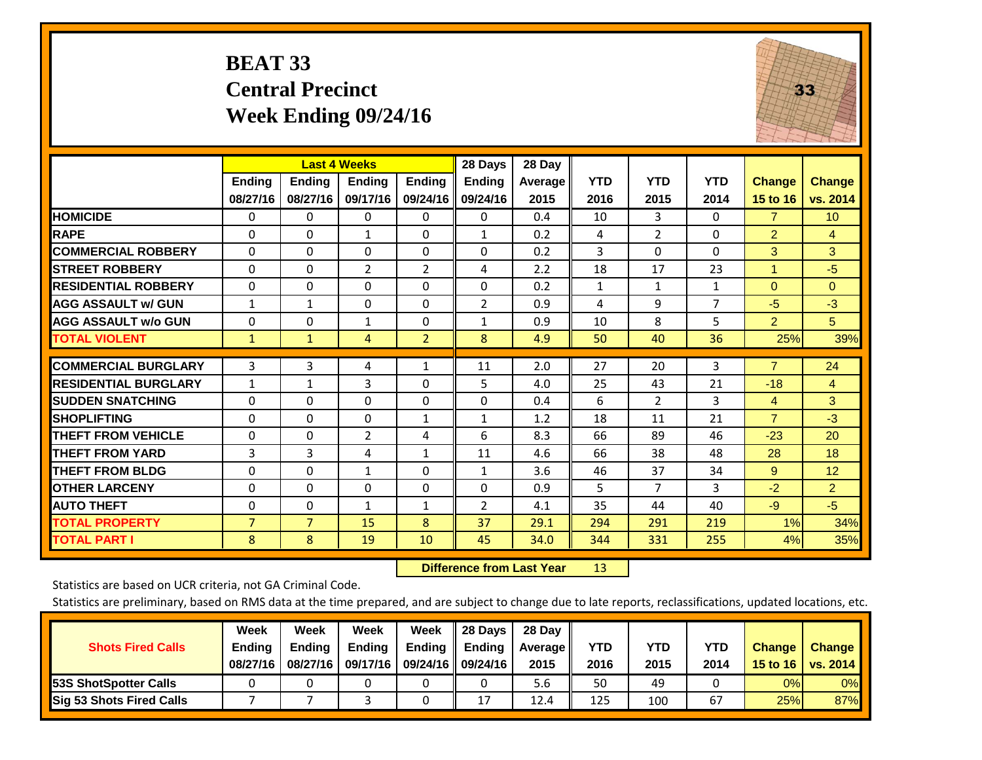### **BEAT 33 Central Precinct Week Ending 09/24/16**



|                             |               | <b>Last 4 Weeks</b> |                |                | 28 Days        | 28 Day  |              |                |              |                |                 |
|-----------------------------|---------------|---------------------|----------------|----------------|----------------|---------|--------------|----------------|--------------|----------------|-----------------|
|                             | <b>Ending</b> | <b>Ending</b>       | Ending         | <b>Ending</b>  | <b>Ending</b>  | Average | <b>YTD</b>   | <b>YTD</b>     | <b>YTD</b>   | <b>Change</b>  | <b>Change</b>   |
|                             | 08/27/16      | 08/27/16            | 09/17/16       | 09/24/16       | 09/24/16       | 2015    | 2016         | 2015           | 2014         | 15 to 16       | vs. 2014        |
| <b>HOMICIDE</b>             | 0             | $\mathbf{0}$        | $\Omega$       | 0              | $\mathbf{0}$   | 0.4     | 10           | 3              | 0            | $\overline{7}$ | 10 <sup>°</sup> |
| <b>RAPE</b>                 | $\Omega$      | 0                   | 1              | $\mathbf{0}$   | $\mathbf{1}$   | 0.2     | 4            | $\overline{2}$ | 0            | 2              | 4               |
| <b>COMMERCIAL ROBBERY</b>   | $\Omega$      | 0                   | $\Omega$       | $\Omega$       | $\Omega$       | 0.2     | 3            | $\mathbf{0}$   | $\Omega$     | 3              | 3               |
| <b>STREET ROBBERY</b>       | $\Omega$      | $\Omega$            | $\overline{2}$ | 2              | 4              | 2.2     | 18           | 17             | 23           | $\overline{1}$ | $-5$            |
| <b>RESIDENTIAL ROBBERY</b>  | $\Omega$      | $\Omega$            | $\Omega$       | $\Omega$       | $\Omega$       | 0.2     | $\mathbf{1}$ | $\mathbf{1}$   | $\mathbf{1}$ | $\mathbf{0}$   | $\Omega$        |
| <b>AGG ASSAULT w/ GUN</b>   | $\mathbf{1}$  | 1                   | $\mathbf{0}$   | 0              | $\overline{2}$ | 0.9     | 4            | 9              | 7            | -5             | $-3$            |
| <b>AGG ASSAULT w/o GUN</b>  | $\Omega$      | 0                   | $\mathbf{1}$   | $\Omega$       | $\mathbf{1}$   | 0.9     | 10           | 8              | 5            | $\overline{2}$ | 5 <sup>5</sup>  |
| <b>TOTAL VIOLENT</b>        | $\mathbf{1}$  | $\mathbf{1}$        | 4              | $\overline{2}$ | 8              | 4.9     | 50           | 40             | 36           | 25%            | 39%             |
|                             |               |                     |                |                |                |         |              |                |              |                |                 |
| <b>COMMERCIAL BURGLARY</b>  | 3             | 3                   | 4              | 1              | 11             | 2.0     | 27           | 20             | 3            | $\overline{7}$ | 24              |
| <b>RESIDENTIAL BURGLARY</b> | 1             | 1                   | 3              | $\mathbf{0}$   | 5              | 4.0     | 25           | 43             | 21           | $-18$          | $\overline{4}$  |
| <b>SUDDEN SNATCHING</b>     | 0             | 0                   | $\Omega$       | $\mathbf{0}$   | $\Omega$       | 0.4     | 6            | 2              | 3            | 4              | 3               |
| <b>SHOPLIFTING</b>          | $\Omega$      | $\Omega$            | $\Omega$       | 1              | 1              | 1.2     | 18           | 11             | 21           | $\overline{7}$ | $-3$            |
| <b>THEFT FROM VEHICLE</b>   | 0             | $\Omega$            | $\overline{2}$ | 4              | 6              | 8.3     | 66           | 89             | 46           | $-23$          | 20              |
| <b>THEFT FROM YARD</b>      | 3             | 3                   | 4              | 1              | 11             | 4.6     | 66           | 38             | 48           | 28             | 18              |
| <b>THEFT FROM BLDG</b>      | 0             | $\Omega$            | 1              | 0              | $\mathbf{1}$   | 3.6     | 46           | 37             | 34           | 9              | 12              |
| <b>OTHER LARCENY</b>        | 0             | 0                   | $\mathbf{0}$   | $\mathbf{0}$   | $\Omega$       | 0.9     | 5            | 7              | 3            | $-2$           | $\overline{2}$  |
| <b>AUTO THEFT</b>           | 0             | $\Omega$            | 1              | 1              | 2              | 4.1     | 35           | 44             | 40           | $-9$           | $-5$            |
| <b>TOTAL PROPERTY</b>       | 7             | $\overline{7}$      | 15             | 8              | 37             | 29.1    | 294          | 291            | 219          | 1%             | 34%             |
| <b>TOTAL PART I</b>         | 8             | 8                   | 19             | 10             | 45             | 34.0    | 344          | 331            | 255          | 4%             | 35%             |

 **Difference from Last Year**r 13

Statistics are based on UCR criteria, not GA Criminal Code.

|                                 | Week          | Week          | Week          | Week                 | $\parallel$ 28 Days       | 28 Dav     |      |      |            |               |               |
|---------------------------------|---------------|---------------|---------------|----------------------|---------------------------|------------|------|------|------------|---------------|---------------|
| <b>Shots Fired Calls</b>        | <b>Ending</b> | <b>Endina</b> | <b>Ending</b> |                      | Ending $\parallel$ Ending | Average II | YTD  | YTD  | <b>YTD</b> | <b>Change</b> | <b>Change</b> |
|                                 | 08/27/16      | 08/27/16      | 09/17/16      | 09/24/16    09/24/16 |                           | 2015       | 2016 | 2015 | 2014       | 15 to 16      | vs. $2014$    |
| <b>153S ShotSpotter Calls</b>   |               |               |               |                      |                           | 5.6        | 50   | 49   |            | 0%            | $0\%$         |
| <b>Sig 53 Shots Fired Calls</b> |               |               |               |                      | 17                        | 12.4       | 125  | 100  | 67         | 25%           | 87%           |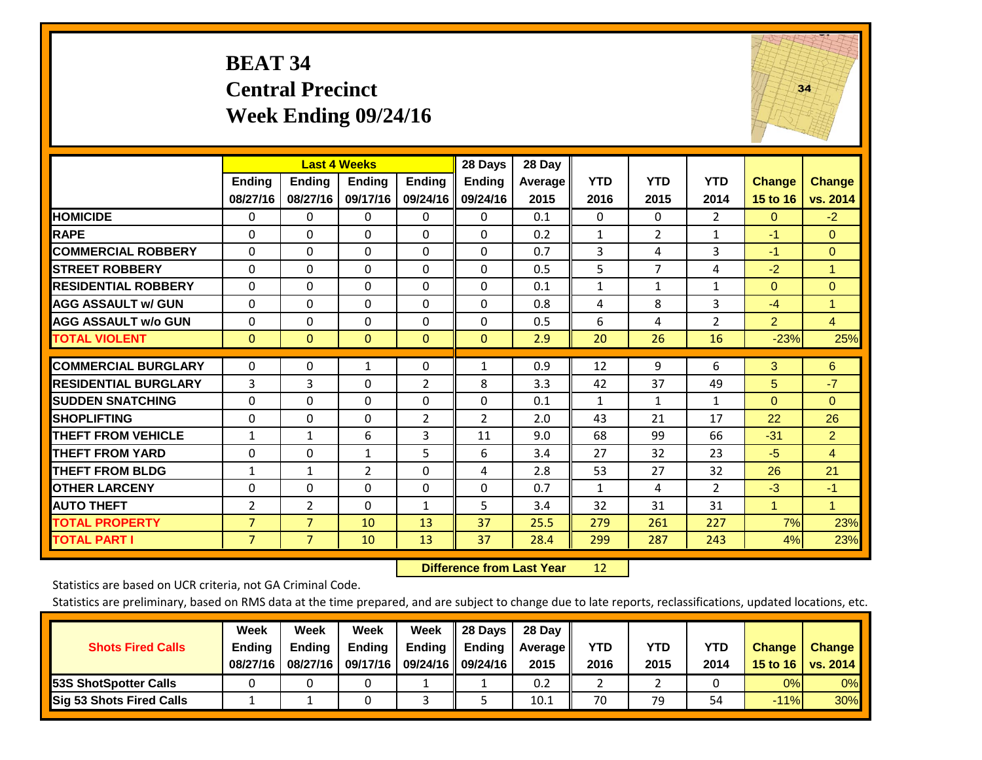#### **BEAT 34 Central Precinct Week Ending 09/24/16**



|                             |                | <b>Last 4 Weeks</b> |                |                | 28 Days        | 28 Day  |              |                |                |                 |                |
|-----------------------------|----------------|---------------------|----------------|----------------|----------------|---------|--------------|----------------|----------------|-----------------|----------------|
|                             | <b>Ending</b>  | <b>Ending</b>       | Ending         | <b>Ending</b>  | <b>Ending</b>  | Average | <b>YTD</b>   | <b>YTD</b>     | <b>YTD</b>     | <b>Change</b>   | <b>Change</b>  |
|                             | 08/27/16       | 08/27/16            | 09/17/16       | 09/24/16       | 09/24/16       | 2015    | 2016         | 2015           | 2014           | <b>15 to 16</b> | vs. 2014       |
| <b>HOMICIDE</b>             | $\Omega$       | $\Omega$            | $\Omega$       | 0              | $\Omega$       | 0.1     | 0            | $\Omega$       | $\overline{2}$ | $\Omega$        | $-2$           |
| <b>RAPE</b>                 | $\Omega$       | 0                   | $\Omega$       | $\Omega$       | 0              | 0.2     | 1            | $\overline{2}$ | 1              | $-1$            | $\Omega$       |
| <b>COMMERCIAL ROBBERY</b>   | $\Omega$       | $\Omega$            | $\mathbf{0}$   | $\Omega$       | $\Omega$       | 0.7     | 3            | 4              | 3              | $-1$            | $\mathbf{0}$   |
| <b>STREET ROBBERY</b>       | $\Omega$       | $\Omega$            | $\Omega$       | $\Omega$       | $\Omega$       | 0.5     | 5            | $\overline{7}$ | 4              | $-2$            | $\overline{1}$ |
| <b>RESIDENTIAL ROBBERY</b>  | $\Omega$       | $\Omega$            | $\mathbf{0}$   | $\Omega$       | $\Omega$       | 0.1     | $\mathbf{1}$ | 1              | 1              | $\Omega$        | $\mathbf{0}$   |
| <b>AGG ASSAULT w/ GUN</b>   | $\Omega$       | $\Omega$            | $\mathbf{0}$   | $\mathbf{0}$   | 0              | 0.8     | 4            | 8              | 3              | $-4$            | 1              |
| <b>AGG ASSAULT w/o GUN</b>  | $\Omega$       | $\Omega$            | $\mathbf{0}$   | $\mathbf{0}$   | $\Omega$       | 0.5     | 6            | 4              | $\overline{2}$ | $\overline{2}$  | $\overline{4}$ |
| <b>TOTAL VIOLENT</b>        | $\mathbf{0}$   | $\overline{0}$      | $\overline{0}$ | $\mathbf{0}$   | $\mathbf{0}$   | 2.9     | 20           | 26             | 16             | $-23%$          | 25%            |
|                             |                |                     |                |                |                |         |              |                |                |                 |                |
| <b>COMMERCIAL BURGLARY</b>  | $\mathbf 0$    | 0                   | $\mathbf{1}$   | 0              | $\mathbf{1}$   | 0.9     | 12           | 9              | 6              | 3               | 6              |
| <b>RESIDENTIAL BURGLARY</b> | 3              | 3                   | $\Omega$       | $\overline{2}$ | 8              | 3.3     | 42           | 37             | 49             | 5               | $-7$           |
| <b>ISUDDEN SNATCHING</b>    | $\Omega$       | $\Omega$            | $\Omega$       | $\mathbf{0}$   | $\Omega$       | 0.1     | $\mathbf{1}$ | 1              | 1              | $\Omega$        | $\Omega$       |
| <b>SHOPLIFTING</b>          | 0              | $\Omega$            | $\mathbf{0}$   | $\overline{2}$ | $\overline{2}$ | 2.0     | 43           | 21             | 17             | 22              | 26             |
| <b>THEFT FROM VEHICLE</b>   | $\mathbf{1}$   | $\mathbf{1}$        | 6              | 3              | 11             | 9.0     | 68           | 99             | 66             | $-31$           | $\overline{2}$ |
| <b>THEFT FROM YARD</b>      | $\mathbf 0$    | $\Omega$            | $\mathbf{1}$   | 5              | 6              | 3.4     | 27           | 32             | 23             | $-5$            | $\overline{4}$ |
| <b>THEFT FROM BLDG</b>      | $\mathbf{1}$   | 1                   | 2              | 0              | 4              | 2.8     | 53           | 27             | 32             | 26              | 21             |
| <b>OTHER LARCENY</b>        | $\Omega$       | $\Omega$            | $\mathbf{0}$   | $\mathbf{0}$   | $\Omega$       | 0.7     | $\mathbf{1}$ | 4              | $\overline{2}$ | $-3$            | $-1$           |
| <b>AUTO THEFT</b>           | 2              | $\overline{2}$      | $\Omega$       | 1              | 5              | 3.4     | 32           | 31             | 31             | 1               | $\overline{1}$ |
| <b>TOTAL PROPERTY</b>       | $\overline{7}$ | $\overline{7}$      | 10             | 13             | 37             | 25.5    | 279          | 261            | 227            | 7%              | 23%            |
| <b>TOTAL PART I</b>         | $\overline{7}$ | $\overline{7}$      | 10             | 13             | 37             | 28.4    | 299          | 287            | 243            | 4%              | 23%            |

 **Difference from Last Year**r 12

Statistics are based on UCR criteria, not GA Criminal Code.

| <b>Shots Fired Calls</b>        | Week<br><b>Ending</b><br>08/27/16 | Week<br><b>Endina</b><br>08/27/16 | Week<br>Ending<br>09/17/16 | Week<br>Ending | 28 Days<br><b>Ending</b><br>09/24/16    09/24/16 | 28 Day<br>Average II<br>2015 | YTD<br>2016 | YTD<br>2015 | YTD<br>2014 | <b>Change</b><br>15 to 16 $\vert$ | <b>Change</b><br>vs. 2014 |
|---------------------------------|-----------------------------------|-----------------------------------|----------------------------|----------------|--------------------------------------------------|------------------------------|-------------|-------------|-------------|-----------------------------------|---------------------------|
| <b>153S ShotSpotter Calls</b>   |                                   |                                   |                            |                |                                                  | 0.2                          |             |             |             | 0%                                | 0%                        |
| <b>Sig 53 Shots Fired Calls</b> |                                   |                                   |                            |                |                                                  | 10.1                         | 70          | 79          | 54          | $-11%$                            | 30%                       |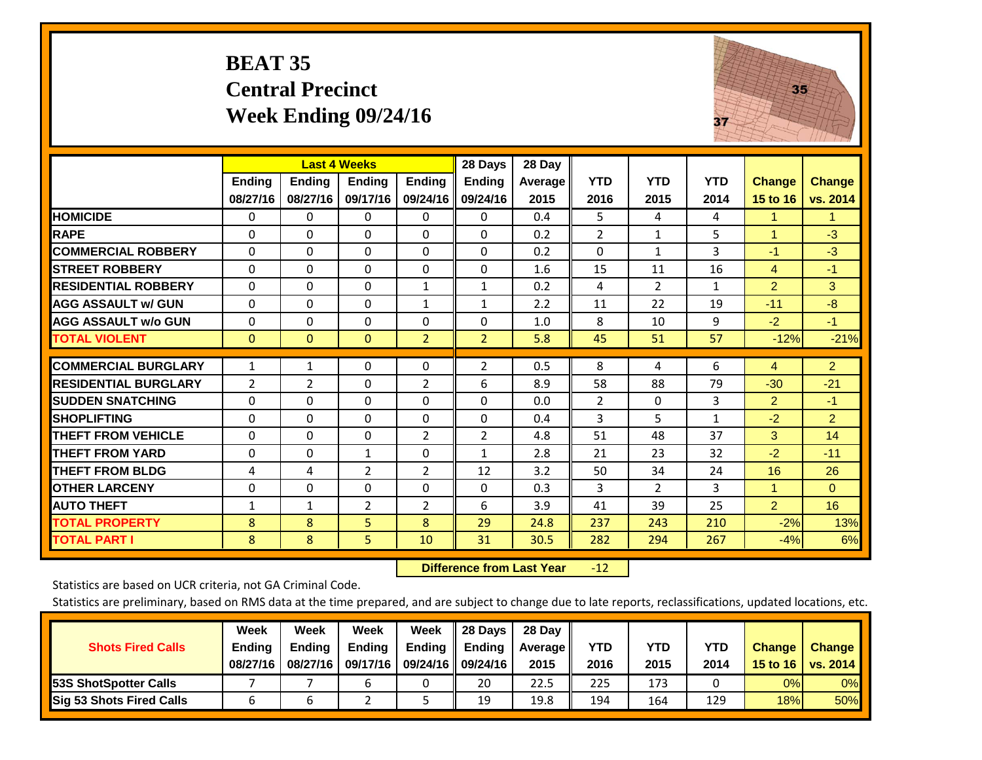#### **BEAT 35 Central Precinct Week Ending 09/24/16**



|                             |              | <b>Last 4 Weeks</b>       |                |                | 28 Days                   | 28 Day  |                    |                    |              |                |                |
|-----------------------------|--------------|---------------------------|----------------|----------------|---------------------------|---------|--------------------|--------------------|--------------|----------------|----------------|
|                             | Ending       | <b>Endina</b><br>08/27/16 | <b>Endina</b>  | <b>Endina</b>  | <b>Ending</b><br>09/24/16 | Average | <b>YTD</b><br>2016 | <b>YTD</b><br>2015 | <b>YTD</b>   | <b>Change</b>  | <b>Change</b>  |
|                             | 08/27/16     |                           | 09/17/16       | 09/24/16       |                           | 2015    |                    |                    | 2014         | 15 to 16       | vs. 2014       |
| <b>HOMICIDE</b>             | 0            | $\Omega$                  | 0              | 0              | $\Omega$                  | 0.4     | 5.                 | 4                  | 4            | 1              | 1.             |
| <b>RAPE</b>                 | $\Omega$     | 0                         | $\Omega$       | $\Omega$       | 0                         | 0.2     | $\overline{2}$     | $\mathbf{1}$       | 5            | 1              | $-3$           |
| <b>COMMERCIAL ROBBERY</b>   | $\Omega$     | $\Omega$                  | $\Omega$       | 0              | 0                         | 0.2     | $\Omega$           | 1                  | 3            | $-1$           | $-3$           |
| <b>STREET ROBBERY</b>       | 0            | $\Omega$                  | $\Omega$       | 0              | 0                         | 1.6     | 15                 | 11                 | 16           | 4              | $-1$           |
| <b>RESIDENTIAL ROBBERY</b>  | $\Omega$     | $\Omega$                  | $\Omega$       | $\mathbf{1}$   | $\mathbf{1}$              | 0.2     | 4                  | 2                  | $\mathbf{1}$ | $\overline{2}$ | 3              |
| <b>AGG ASSAULT w/ GUN</b>   | $\Omega$     | $\Omega$                  | $\Omega$       | $\mathbf{1}$   | $\mathbf{1}$              | 2.2     | 11                 | 22                 | 19           | $-11$          | $-8$           |
| <b>AGG ASSAULT w/o GUN</b>  | $\Omega$     | $\Omega$                  | $\Omega$       | 0              | 0                         | 1.0     | 8                  | 10                 | 9            | $-2$           | $-1$           |
| <b>TOTAL VIOLENT</b>        | $\mathbf{0}$ | $\mathbf{0}$              | $\mathbf{0}$   | $\overline{2}$ | $\overline{2}$            | 5.8     | 45                 | 51                 | 57           | $-12%$         | $-21%$         |
| <b>COMMERCIAL BURGLARY</b>  |              |                           |                |                |                           |         |                    |                    |              |                |                |
|                             | $\mathbf{1}$ | $\mathbf{1}$              | 0              | 0              | 2                         | 0.5     | 8                  | 4                  | 6            | 4              | 2 <sup>1</sup> |
| <b>RESIDENTIAL BURGLARY</b> | 2            | 2                         | $\Omega$       | $\overline{2}$ | 6                         | 8.9     | 58                 | 88                 | 79           | $-30$          | $-21$          |
| <b>ISUDDEN SNATCHING</b>    | $\Omega$     | $\Omega$                  | $\Omega$       | $\Omega$       | 0                         | 0.0     | $\overline{2}$     | $\Omega$           | 3            | $\overline{2}$ | $-1$           |
| <b>SHOPLIFTING</b>          | $\Omega$     | $\Omega$                  | $\Omega$       | 0              | $\Omega$                  | 0.4     | 3                  | 5                  | $\mathbf{1}$ | $-2$           | $\overline{2}$ |
| <b>THEFT FROM VEHICLE</b>   | $\Omega$     | $\Omega$                  | $\Omega$       | $\overline{2}$ | $\overline{2}$            | 4.8     | 51                 | 48                 | 37           | 3              | 14             |
| <b>THEFT FROM YARD</b>      | $\mathbf 0$  | $\Omega$                  | $\mathbf{1}$   | $\Omega$       | $\mathbf{1}$              | 2.8     | 21                 | 23                 | 32           | $-2$           | $-11$          |
| <b>THEFT FROM BLDG</b>      | 4            | 4                         | $\overline{2}$ | $\overline{2}$ | 12                        | 3.2     | 50                 | 34                 | 24           | 16             | 26             |
| <b>OTHER LARCENY</b>        | 0            | $\Omega$                  | $\Omega$       | 0              | 0                         | 0.3     | 3                  | $\overline{2}$     | 3            | 1              | $\Omega$       |
| <b>AUTO THEFT</b>           | $\mathbf{1}$ | $\mathbf{1}$              | $\overline{2}$ | $\overline{2}$ | 6                         | 3.9     | 41                 | 39                 | 25           | $\overline{2}$ | 16             |
| <b>TOTAL PROPERTY</b>       | 8            | 8                         | 5              | 8              | 29                        | 24.8    | 237                | 243                | 210          | $-2%$          | 13%            |
| <b>TOTAL PART I</b>         | 8            | 8                         | 5              | 10             | 31                        | 30.5    | 282                | 294                | 267          | $-4%$          | 6%             |

 **Difference from Last Year**r -12

Statistics are based on UCR criteria, not GA Criminal Code.

|                                 | Week          | Week          | <b>Week</b> | Week   | 28 Days              | 28 Day     |      |      |            |               |               |
|---------------------------------|---------------|---------------|-------------|--------|----------------------|------------|------|------|------------|---------------|---------------|
| <b>Shots Fired Calls</b>        | <b>Ending</b> | <b>Endina</b> | Ending      | Ending | <b>Ending</b>        | Average II | YTD  | YTD  | <b>YTD</b> | <b>Change</b> | <b>Change</b> |
|                                 | 08/27/16      | 08/27/16      | 09/17/16    |        | 09/24/16    09/24/16 | 2015       | 2016 | 2015 | 2014       | 15 to 16      | vs. 2014      |
| <b>153S ShotSpotter Calls</b>   |               |               | h           |        | 20                   | 22.5       | 225  | 173  |            | 0%            | 0%            |
| <b>Sig 53 Shots Fired Calls</b> |               |               |             |        | 19                   | 19.8       | 194  | 164  | 129        | 18%           | <b>50%</b>    |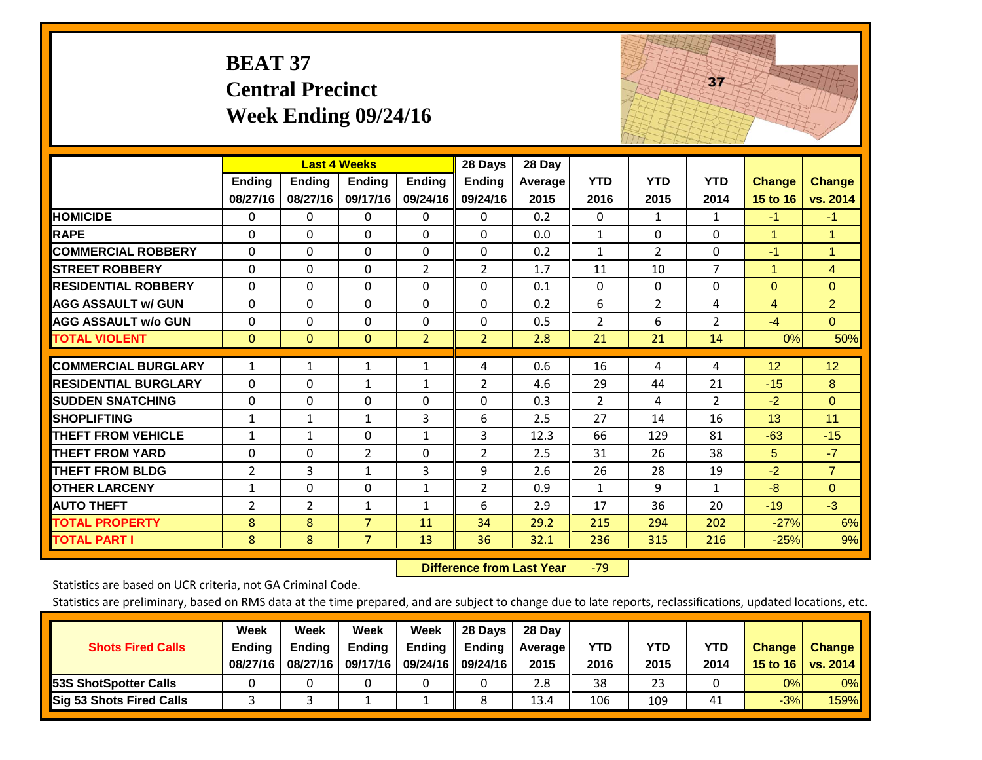|                             | <b>BEAT 37</b>            | <b>Central Precinct</b>                          | Week Ending 09/24/16 |                           |                                      |                           |                    |                    | 37                 |                           |                           |
|-----------------------------|---------------------------|--------------------------------------------------|----------------------|---------------------------|--------------------------------------|---------------------------|--------------------|--------------------|--------------------|---------------------------|---------------------------|
|                             | <b>Ending</b><br>08/27/16 | <b>Last 4 Weeks</b><br><b>Ending</b><br>08/27/16 | Ending<br>09/17/16   | <b>Ending</b><br>09/24/16 | 28 Days<br><b>Ending</b><br>09/24/16 | 28 Day<br>Average<br>2015 | <b>YTD</b><br>2016 | <b>YTD</b><br>2015 | <b>YTD</b><br>2014 | <b>Change</b><br>15 to 16 | <b>Change</b><br>vs. 2014 |
| <b>HOMICIDE</b>             | 0                         | 0                                                | $\Omega$             | $\mathbf 0$               | $\mathbf{0}$                         | 0.2                       | $\mathbf{0}$       | 1                  | $\mathbf{1}$       | $-1$                      | $-1$                      |
| <b>RAPE</b>                 | $\Omega$                  | $\Omega$                                         | $\overline{0}$       | $\Omega$                  | $\Omega$                             | 0.0                       | $\mathbf{1}$       | $\Omega$           | $\Omega$           | $\mathbf{1}$              | $\mathbf{1}$              |
| <b>COMMERCIAL ROBBERY</b>   | $\Omega$                  | 0                                                | $\mathbf 0$          | $\Omega$                  | 0                                    | 0.2                       | $\mathbf{1}$       | 2                  | $\mathbf 0$        | $-1$                      | 1                         |
| <b>STREET ROBBERY</b>       | $\Omega$                  | 0                                                | $\Omega$             | $\overline{2}$            | $\overline{2}$                       | 1.7                       | 11                 | 10                 | $\overline{7}$     | $\mathbf{1}$              | $\overline{4}$            |
| <b>RESIDENTIAL ROBBERY</b>  | $\Omega$                  | $\Omega$                                         | $\Omega$             | $\Omega$                  | $\Omega$                             | 0.1                       | $\mathbf{0}$       | $\Omega$           | $\Omega$           | $\mathbf{0}$              | $\overline{0}$            |
| <b>AGG ASSAULT w/ GUN</b>   | $\Omega$                  | $\Omega$                                         | $\Omega$             | $\Omega$                  | 0                                    | 0.2                       | 6                  | $\overline{2}$     | 4                  | 4                         | $\overline{2}$            |
| <b>AGG ASSAULT w/o GUN</b>  | 0                         | 0                                                | 0                    | 0                         | 0                                    | 0.5                       | $\overline{2}$     | 6                  | $\overline{2}$     | $-4$                      | $\overline{0}$            |
| <b>TOTAL VIOLENT</b>        | $\mathbf{0}$              | $\Omega$                                         | $\mathbf{0}$         | $\overline{2}$            | $\overline{2}$                       | 2.8                       | 21                 | 21                 | 14                 | 0%                        | 50%                       |
| <b>COMMERCIAL BURGLARY</b>  | $\mathbf{1}$              | 1                                                | 1                    | $\mathbf{1}$              | 4                                    | 0.6                       | 16                 | 4                  | 4                  | 12                        | 12                        |
| <b>RESIDENTIAL BURGLARY</b> | $\Omega$                  | $\Omega$                                         | $\mathbf{1}$         | $\mathbf{1}$              | $\overline{2}$                       | 4.6                       | 29                 | 44                 | 21                 | $-15$                     | 8                         |
| <b>SUDDEN SNATCHING</b>     | 0                         | 0                                                | $\Omega$             | 0                         | 0                                    | 0.3                       | $\overline{2}$     | 4                  | $\overline{2}$     | $-2$                      | $\mathbf{0}$              |
| <b>SHOPLIFTING</b>          | $\mathbf{1}$              | $\mathbf{1}$                                     | $\mathbf{1}$         | 3                         | 6                                    | 2.5                       | 27                 | 14                 | 16                 | 13                        | 11                        |
| <b>THEFT FROM VEHICLE</b>   | $\mathbf{1}$              | $\mathbf{1}$                                     | $\Omega$             | $\mathbf{1}$              | 3                                    | 12.3                      | 66                 | 129                | 81                 | $-63$                     | $-15$                     |
| <b>THEFT FROM YARD</b>      | 0                         | $\Omega$                                         | $\overline{2}$       | $\Omega$                  | $\overline{2}$                       | 2.5                       | 31                 | 26                 | 38                 | 5                         | $-7$                      |
| <b>THEFT FROM BLDG</b>      | $\overline{2}$            | 3                                                | $\mathbf{1}$         | 3                         | 9                                    | 2.6                       | 26                 | 28                 | 19                 | $-2$                      | $\overline{7}$            |
| <b>OTHER LARCENY</b>        | $\mathbf{1}$              | $\Omega$                                         | $\Omega$             | $\mathbf{1}$              | $\overline{2}$                       | 0.9                       | $\mathbf{1}$       | 9                  | $\mathbf{1}$       | $-8$                      | $\overline{0}$            |
| <b>AUTO THEFT</b>           | 2                         | $\overline{2}$                                   | $\mathbf{1}$         | $\mathbf{1}$              | 6                                    | 2.9                       | 17                 | 36                 | 20                 | $-19$                     | $-3$                      |
| <b>TOTAL PROPERTY</b>       | 8                         | 8                                                | $\overline{7}$       | 11                        | 34                                   | 29.2                      | 215                | 294                | 202                | $-27%$                    | 6%                        |
| <b>TOTAL PART I</b>         | 8                         | 8                                                | $\overline{7}$       | 13                        | 36                                   | 32.1                      | 236                | 315                | 216                | $-25%$                    | 9%                        |

 **Difference from Last Year**‐79 The state of the state of the state of

Statistics are based on UCR criteria, not GA Criminal Code.

| <b>Shots Fired Calls</b>        | Week<br><b>Ending</b><br>08/27/16 | Week<br><b>Endina</b><br>08/27/16 | <b>Week</b><br>Ending<br>09/17/16 | Week<br>Ending | 28 Days<br><b>Ending</b><br>09/24/16    09/24/16 | 28 Day<br>Average II<br>2015 | YTD<br>2016 | YTD<br>2015 | <b>YTD</b><br>2014 | <b>Change</b><br>15 to 16 | <b>Change</b><br>vs. 2014 |
|---------------------------------|-----------------------------------|-----------------------------------|-----------------------------------|----------------|--------------------------------------------------|------------------------------|-------------|-------------|--------------------|---------------------------|---------------------------|
| <b>153S ShotSpotter Calls</b>   |                                   |                                   |                                   |                |                                                  | 2.8                          | 38          | 23          |                    | 0%                        | 0%                        |
| <b>Sig 53 Shots Fired Calls</b> |                                   |                                   |                                   |                |                                                  | 13.4                         | 106         | 109         | 41                 | $-3%$                     | 159%                      |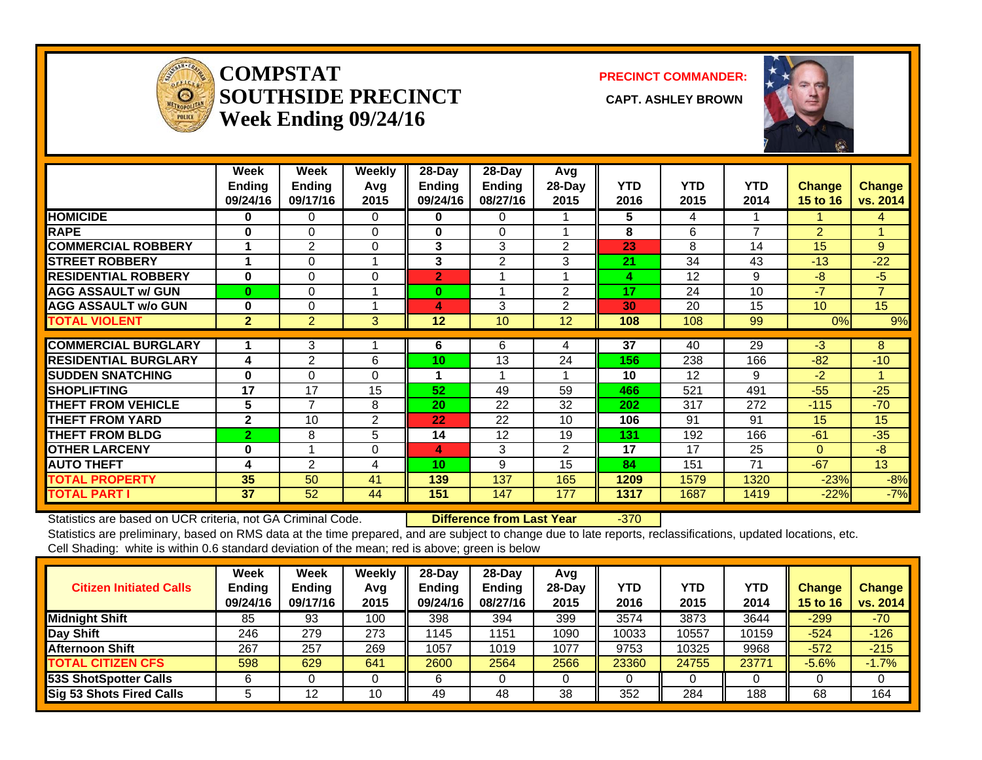

#### **COMPSTATSOUTHSIDE PRECINCT** CAPT. ASHLEY BROWN **Week Ending 09/24/16**

**PRECINCT COMMANDER:**



|                             | Week<br><b>Ending</b><br>09/24/16 | Week<br><b>Ending</b><br>09/17/16 | <b>Weekly</b><br>Avq<br>2015 | $28$ -Day<br><b>Ending</b><br>09/24/16 | $28-Day$<br>Ending<br>08/27/16 | Avg<br>28-Day<br>2015 | <b>YTD</b><br>2016 | <b>YTD</b><br>2015 | YTD.<br>2014   | <b>Change</b><br>15 to 16 | <b>Change</b><br>vs. 2014 |
|-----------------------------|-----------------------------------|-----------------------------------|------------------------------|----------------------------------------|--------------------------------|-----------------------|--------------------|--------------------|----------------|---------------------------|---------------------------|
| <b>HOMICIDE</b>             | 0                                 | 0                                 | 0                            | 0                                      | 0                              |                       | 5                  | 4                  |                |                           | 4                         |
| <b>RAPE</b>                 | 0                                 | $\Omega$                          | 0                            | 0                                      | $\mathbf 0$                    |                       | 8                  | 6                  | $\overline{ }$ | $\overline{2}$            |                           |
| <b>COMMERCIAL ROBBERY</b>   |                                   | $\overline{2}$                    | $\Omega$                     | 3                                      | 3                              | $\overline{2}$        | 23                 | 8                  | 14             | 15                        | 9                         |
| <b>STREET ROBBERY</b>       | 1                                 | 0                                 |                              | 3                                      | $\overline{2}$                 | 3                     | 21                 | 34                 | 43             | $-13$                     | $-22$                     |
| <b>RESIDENTIAL ROBBERY</b>  | 0                                 | 0                                 | 0                            | $\overline{2}$                         |                                |                       | 4                  | 12                 | 9              | -8                        | $-5$                      |
| <b>AGG ASSAULT w/ GUN</b>   | $\bf{0}$                          | $\Omega$                          |                              | $\bf{0}$                               | 1                              | 2                     | 17                 | 24                 | 10             | $-7$                      | $\overline{7}$            |
| <b>AGG ASSAULT w/o GUN</b>  | 0                                 | $\Omega$                          |                              | 4                                      | 3                              | $\overline{2}$        | 30                 | 20                 | 15             | 10 <sup>1</sup>           | 15 <sub>1</sub>           |
| <b>TOTAL VIOLENT</b>        | $\overline{2}$                    | $\overline{2}$                    | 3                            | 12                                     | 10                             | 12                    | 108                | 108                | 99             | 0%                        | 9%                        |
|                             |                                   |                                   |                              |                                        |                                |                       |                    |                    |                |                           |                           |
| <b>COMMERCIAL BURGLARY</b>  |                                   | 3                                 |                              | 6                                      | 6                              | 4                     | 37                 | 40                 | 29             | $-3$                      | 8                         |
| <b>RESIDENTIAL BURGLARY</b> | 4                                 | $\overline{2}$                    | 6                            | 10                                     | 13                             | 24                    | 156                | 238                | 166            | $-82$                     | $-10$                     |
| <b>ISUDDEN SNATCHING</b>    | $\bf{0}$                          | $\Omega$                          | $\Omega$                     | 1                                      | 1                              |                       | 10                 | 12                 | 9              | $-2$                      |                           |
| <b>ISHOPLIFTING</b>         | 17                                | 17                                | 15                           | 52                                     | 49                             | 59                    | 466                | 521                | 491            | $-55$                     | $-25$                     |
| <b>THEFT FROM VEHICLE</b>   | 5                                 | $\overline{7}$                    | 8                            | 20                                     | 22                             | 32                    | 202                | 317                | 272            | $-115$                    | $-70$                     |
| <b>THEFT FROM YARD</b>      | $\mathbf{2}$                      | 10                                | 2                            | 22                                     | 22                             | 10 <sup>1</sup>       | 106                | 91                 | 91             | 15                        | 15                        |
| <b>THEFT FROM BLDG</b>      | $\overline{2}$                    | 8                                 | 5                            | 14                                     | 12                             | 19                    | 131                | 192                | 166            | $-61$                     | $-35$                     |
| <b>OTHER LARCENY</b>        | 0                                 |                                   | 0                            | 4                                      | 3                              | $\overline{2}$        | 17                 | 17                 | 25             | $\Omega$                  | $-8$                      |
| <b>AUTO THEFT</b>           | 4                                 | $\overline{2}$                    | 4                            | 10                                     | 9                              | 15                    | 84                 | 151                | 71             | $-67$                     | 13                        |
| <b>TOTAL PROPERTY</b>       | 35                                | 50                                | 41                           | 139                                    | 137                            | 165                   | 1209               | 1579               | 1320           | $-23%$                    | $-8%$                     |
| <b>TOTAL PART I</b>         | 37                                | 52                                | 44                           | 151                                    | 147                            | 177                   | 1317               | 1687               | 1419           | $-22%$                    | $-7%$                     |

Statistics are based on UCR criteria, not GA Criminal Code. **Difference from Last Year** -370 Statistics are preliminary, based on RMS data at the time prepared, and are subject to change due to late reports, reclassifications, updated locations, etc.

Cell Shading: white is within 0.6 standard deviation of the mean; red is above; green is below

| <b>Citizen Initiated Calls</b>  | Week<br><b>Ending</b><br>09/24/16 | <b>Week</b><br><b>Ending</b><br>09/17/16 | <b>Weekly</b><br>Avq<br>2015 | $28 - Day$<br><b>Endina</b><br>09/24/16 | $28-Day$<br><b>Ending</b><br>08/27/16 | Avg<br>$28$ -Day<br>2015 | YTD<br>2016 | <b>YTD</b><br>2015 | <b>YTD</b><br>2014 | <b>Change</b><br>15 to 16 | <b>Change</b><br>vs. 2014 |
|---------------------------------|-----------------------------------|------------------------------------------|------------------------------|-----------------------------------------|---------------------------------------|--------------------------|-------------|--------------------|--------------------|---------------------------|---------------------------|
| <b>Midnight Shift</b>           | 85                                | 93                                       | 100                          | 398                                     | 394                                   | 399                      | 3574        | 3873               | 3644               | $-299$                    | $-70$                     |
| Day Shift                       | 246                               | 279                                      | 273                          | 1145                                    | 1151                                  | 1090                     | 10033       | 10557              | 10159              | $-524$                    | $-126$                    |
| <b>Afternoon Shift</b>          | 267                               | 257                                      | 269                          | 1057                                    | 1019                                  | 1077                     | 9753        | 10325              | 9968               | $-572$                    | $-215$                    |
| <b>TOTAL CITIZEN CFS</b>        | 598                               | 629                                      | 641                          | 2600                                    | 2564                                  | 2566                     | 23360       | 24755              | 23771              | $-5.6%$                   | $-1.7%$                   |
| <b>53S ShotSpotter Calls</b>    |                                   |                                          |                              |                                         |                                       |                          |             |                    |                    |                           |                           |
| <b>Sig 53 Shots Fired Calls</b> |                                   | 12                                       | 10                           | 49                                      | 48                                    | 38                       | 352         | 284                | 188                | 68                        | 164                       |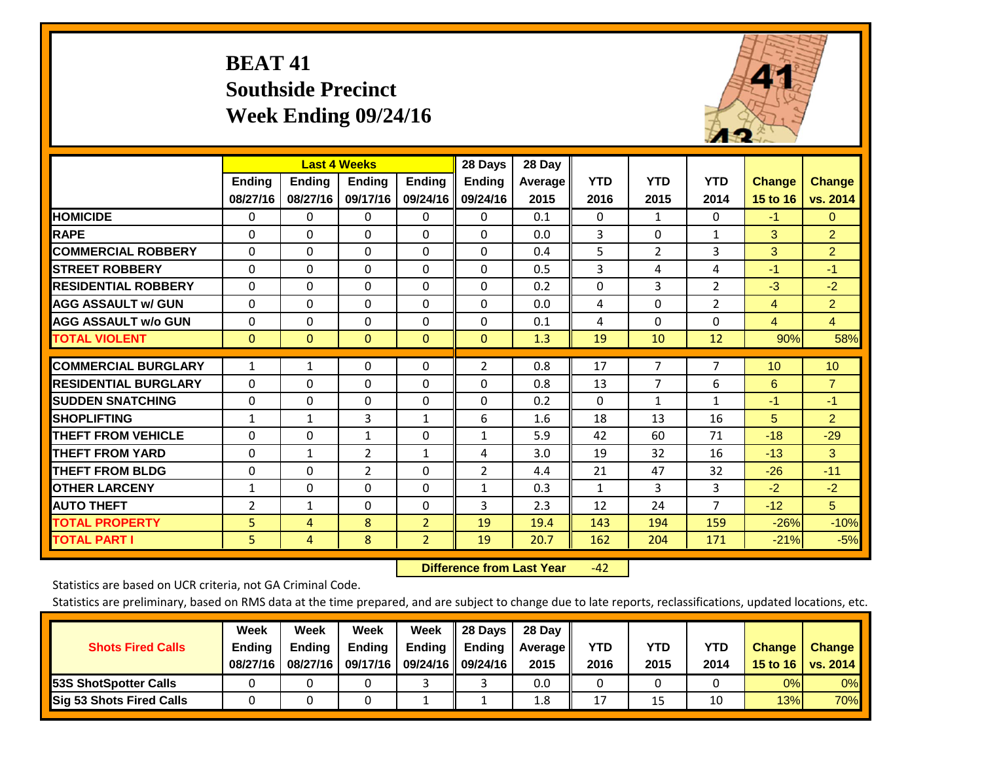# **BEAT 41 Southside Precinct Week Ending 09/24/16**



|                             |              | <b>Last 4 Weeks</b> |               |                | 28 Days        | 28 Day  |              |                |                |                |                |
|-----------------------------|--------------|---------------------|---------------|----------------|----------------|---------|--------------|----------------|----------------|----------------|----------------|
|                             | Ending       | Ending              | <b>Endina</b> | <b>Endina</b>  | <b>Ending</b>  | Average | <b>YTD</b>   | <b>YTD</b>     | <b>YTD</b>     | <b>Change</b>  | Change         |
|                             | 08/27/16     | 08/27/16            | 09/17/16      | 09/24/16       | 09/24/16       | 2015    | 2016         | 2015           | 2014           | 15 to 16       | vs. 2014       |
| <b>HOMICIDE</b>             | 0            | 0                   | $\Omega$      | 0              | $\Omega$       | 0.1     | $\Omega$     | 1              | 0              | $-1$           | $\overline{0}$ |
| <b>RAPE</b>                 | $\Omega$     | 0                   | $\Omega$      | 0              | 0              | 0.0     | 3            | 0              | $\mathbf{1}$   | 3              | $\overline{2}$ |
| <b>COMMERCIAL ROBBERY</b>   | $\Omega$     | $\Omega$            | $\Omega$      | $\Omega$       | 0              | 0.4     | 5            | $\overline{2}$ | $\overline{3}$ | 3              | $\overline{2}$ |
| <b>ISTREET ROBBERY</b>      | $\Omega$     | $\Omega$            | $\Omega$      | $\Omega$       | $\Omega$       | 0.5     | 3            | 4              | 4              | $-1$           | $-1$           |
| <b>RESIDENTIAL ROBBERY</b>  | $\Omega$     | $\Omega$            | $\Omega$      | $\Omega$       | $\Omega$       | 0.2     | $\mathbf{0}$ | 3              | 2              | $-3$           | $-2$           |
| <b>AGG ASSAULT w/ GUN</b>   | $\Omega$     | $\Omega$            | $\Omega$      | $\Omega$       | 0              | 0.0     | 4            | 0              | $\overline{2}$ | 4              | $\overline{2}$ |
| <b>AGG ASSAULT w/o GUN</b>  | $\Omega$     | $\Omega$            | $\Omega$      | $\Omega$       | 0              | 0.1     | 4            | $\Omega$       | $\Omega$       | $\overline{4}$ | $\overline{4}$ |
| <b>TOTAL VIOLENT</b>        | $\mathbf{0}$ | $\Omega$            | $\mathbf{0}$  | $\Omega$       | $\Omega$       | 1.3     | 19           | 10             | 12             | 90%            | 58%            |
|                             |              |                     |               |                |                |         |              |                |                |                |                |
| <b>COMMERCIAL BURGLARY</b>  | $\mathbf{1}$ | 1                   | $\mathbf{0}$  | 0              | 2              | 0.8     | 17           | $\overline{7}$ | $\overline{7}$ | 10             | 10             |
| <b>RESIDENTIAL BURGLARY</b> | $\Omega$     | 0                   | $\Omega$      | 0              | 0              | 0.8     | 13           | 7              | 6              | 6              | $\overline{7}$ |
| <b>ISUDDEN SNATCHING</b>    | $\Omega$     | 0                   | $\Omega$      | 0              | 0              | 0.2     | $\Omega$     | 1              | $\mathbf{1}$   | $-1$           | $-1$           |
| <b>SHOPLIFTING</b>          | $\mathbf{1}$ | $\mathbf{1}$        | 3             | 1              | 6              | 1.6     | 18           | 13             | 16             | 5              | $\overline{2}$ |
| <b>THEFT FROM VEHICLE</b>   | $\Omega$     | 0                   | 1             | 0              | $\mathbf{1}$   | 5.9     | 42           | 60             | 71             | $-18$          | $-29$          |
| <b>THEFT FROM YARD</b>      | $\Omega$     | 1                   | 2             | $\mathbf{1}$   | 4              | 3.0     | 19           | 32             | 16             | $-13$          | 3              |
| <b>THEFT FROM BLDG</b>      | $\Omega$     | 0                   | 2             | 0              | $\overline{2}$ | 4.4     | 21           | 47             | 32             | $-26$          | $-11$          |
| <b>OTHER LARCENY</b>        | 1            | $\Omega$            | $\Omega$      | $\Omega$       | $\mathbf{1}$   | 0.3     | $\mathbf{1}$ | 3              | 3              | $-2$           | $-2$           |
| <b>AUTO THEFT</b>           | 2            | $\mathbf{1}$        | $\Omega$      | $\Omega$       | 3              | 2.3     | 12           | 24             | $\overline{7}$ | $-12$          | 5              |
| <b>TOTAL PROPERTY</b>       | 5            | 4                   | 8             | $\overline{2}$ | 19             | 19.4    | 143          | 194            | 159            | $-26%$         | $-10%$         |
| <b>TOTAL PART I</b>         | 5            | 4                   | 8             | $\overline{2}$ | 19             | 20.7    | 162          | 204            | 171            | $-21%$         | $-5%$          |

 **Difference from Last Year**‐42

Statistics are based on UCR criteria, not GA Criminal Code.

| <b>Shots Fired Calls</b>        | Week<br><b>Ending</b><br>08/27/16 | Week<br><b>Endina</b><br>08/27/16 | Week<br><b>Ending</b><br>09/17/16 | Week<br>Ending | 28 Days<br><b>Ending</b><br>09/24/16    09/24/16 | 28 Day<br>Average II<br>2015 | YTD<br>2016 | YTD<br>2015 | YTD<br>2014 | <b>Change</b><br>15 to 16 $\vert$ | <b>Change</b><br>vs. 2014 |
|---------------------------------|-----------------------------------|-----------------------------------|-----------------------------------|----------------|--------------------------------------------------|------------------------------|-------------|-------------|-------------|-----------------------------------|---------------------------|
| <b>153S ShotSpotter Calls</b>   |                                   |                                   |                                   |                |                                                  | 0.0                          |             |             |             | 0%                                | 0%                        |
| <b>Sig 53 Shots Fired Calls</b> |                                   |                                   |                                   |                |                                                  | 1.8                          | 17          | 15          |             | 13%                               | 70%                       |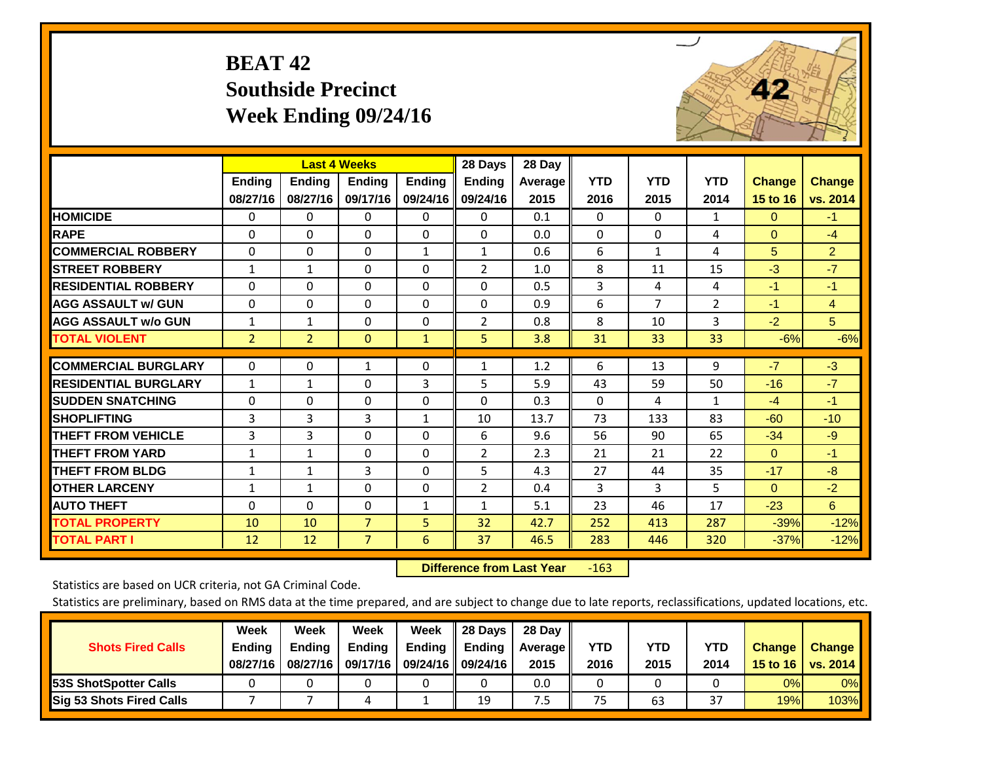# **BEAT 42 Southside Precinct Week Ending 09/24/16**



|                             |                | <b>Last 4 Weeks</b> |                |               | 28 Days        | 28 Day  |              |            |                |               |                |
|-----------------------------|----------------|---------------------|----------------|---------------|----------------|---------|--------------|------------|----------------|---------------|----------------|
|                             | Ending         | <b>Ending</b>       | <b>Endina</b>  | <b>Ending</b> | <b>Ending</b>  | Average | <b>YTD</b>   | <b>YTD</b> | <b>YTD</b>     | <b>Change</b> | <b>Change</b>  |
|                             | 08/27/16       | 08/27/16            | 09/17/16       | 09/24/16      | 09/24/16       | 2015    | 2016         | 2015       | 2014           | 15 to 16      | vs. 2014       |
| <b>HOMICIDE</b>             | 0              | $\mathbf{0}$        | 0              | 0             | $\Omega$       | 0.1     | $\Omega$     | $\Omega$   | 1              | $\Omega$      | $-1$           |
| <b>RAPE</b>                 | $\Omega$       | $\Omega$            | $\Omega$       | $\Omega$      | 0              | 0.0     | $\Omega$     | $\Omega$   | 4              | $\Omega$      | $-4$           |
| <b>COMMERCIAL ROBBERY</b>   | $\Omega$       | $\Omega$            | $\Omega$       | $\mathbf{1}$  | $\mathbf{1}$   | 0.6     | 6            | 1          | 4              | 5             | 2 <sup>1</sup> |
| <b>STREET ROBBERY</b>       | $\mathbf{1}$   | $\mathbf 1$         | $\Omega$       | $\Omega$      | $\overline{2}$ | 1.0     | 8            | 11         | 15             | $-3$          | $-7$           |
| <b>RESIDENTIAL ROBBERY</b>  | $\Omega$       | $\Omega$            | $\Omega$       | $\Omega$      | 0              | 0.5     | 3            | 4          | 4              | $-1$          | $-1$           |
| <b>AGG ASSAULT w/ GUN</b>   | $\Omega$       | $\Omega$            | $\Omega$       | $\Omega$      | $\Omega$       | 0.9     | 6            | 7          | $\overline{2}$ | $-1$          | $\overline{4}$ |
| <b>AGG ASSAULT w/o GUN</b>  | 1              | $\mathbf{1}$        | $\Omega$       | 0             | 2              | 0.8     | 8            | 10         | 3              | $-2$          | 5              |
| <b>TOTAL VIOLENT</b>        | $\overline{2}$ | $\overline{2}$      | $\mathbf{0}$   | $\mathbf{1}$  | 5.             | 3.8     | 31           | 33         | 33             | $-6%$         | $-6%$          |
| <b>COMMERCIAL BURGLARY</b>  |                | $\Omega$            | $\mathbf{1}$   | $\Omega$      |                |         | 6            | 13         | 9              | $-7$          | $-3$           |
|                             | 0              |                     |                |               | $\mathbf{1}$   | 1.2     |              |            |                |               |                |
| <b>RESIDENTIAL BURGLARY</b> | $\mathbf{1}$   | $\mathbf{1}$        | $\Omega$       | 3             | 5              | 5.9     | 43           | 59         | 50             | $-16$         | $-7$           |
| <b>SUDDEN SNATCHING</b>     | $\Omega$       | $\Omega$            | $\Omega$       | $\Omega$      | 0              | 0.3     | $\mathbf{0}$ | 4          | $\mathbf{1}$   | $-4$          | $-1$           |
| <b>SHOPLIFTING</b>          | 3              | 3                   | 3              | $\mathbf{1}$  | 10             | 13.7    | 73           | 133        | 83             | $-60$         | $-10$          |
| <b>THEFT FROM VEHICLE</b>   | 3              | 3                   | $\Omega$       | $\Omega$      | 6              | 9.6     | 56           | 90         | 65             | $-34$         | $-9$           |
| <b>THEFT FROM YARD</b>      | $\mathbf{1}$   | $\mathbf{1}$        | $\Omega$       | $\Omega$      | 2              | 2.3     | 21           | 21         | 22             | $\Omega$      | $-1$           |
| <b>THEFT FROM BLDG</b>      | $\mathbf{1}$   | $\mathbf{1}$        | 3              | $\Omega$      | 5              | 4.3     | 27           | 44         | 35             | $-17$         | $-8$           |
| <b>OTHER LARCENY</b>        | 1              | 1                   | $\Omega$       | $\Omega$      | $\overline{2}$ | 0.4     | 3            | 3          | 5              | $\Omega$      | $-2$           |
| <b>AUTO THEFT</b>           | $\Omega$       | $\Omega$            | $\Omega$       | $\mathbf{1}$  | $\mathbf{1}$   | 5.1     | 23           | 46         | 17             | $-23$         | 6 <sup>°</sup> |
| <b>TOTAL PROPERTY</b>       | 10             | 10                  | $\overline{7}$ | 5             | 32             | 42.7    | 252          | 413        | 287            | $-39%$        | $-12%$         |
| <b>TOTAL PART I</b>         | 12             | 12                  | $\overline{7}$ | 6             | 37             | 46.5    | 283          | 446        | 320            | $-37%$        | $-12%$         |

 **Difference from Last Year**r -163

Statistics are based on UCR criteria, not GA Criminal Code.

| <b>Shots Fired Calls</b>        | Week<br><b>Ending</b><br>08/27/16 | Week<br><b>Endina</b><br>08/27/16 | Week<br>Ending<br>09/17/16 | Week<br>Ending | 28 Days<br><b>Ending</b><br>09/24/16    09/24/16 | 28 Day<br>Average II<br>2015 | YTD<br>2016 | YTD<br>2015 | YTD<br>2014             | <b>Change</b><br>15 to 16 $\vert$ | <b>Change</b><br>vs. 2014 |
|---------------------------------|-----------------------------------|-----------------------------------|----------------------------|----------------|--------------------------------------------------|------------------------------|-------------|-------------|-------------------------|-----------------------------------|---------------------------|
| <b>153S ShotSpotter Calls</b>   |                                   |                                   |                            |                |                                                  | 0.0                          |             |             |                         | 0%                                | 0%                        |
| <b>Sig 53 Shots Fired Calls</b> |                                   |                                   |                            |                | 19                                               | כ.'                          | 75          | 63          | $\mathbin{\lnot}$<br>3, | 19%                               | 103%                      |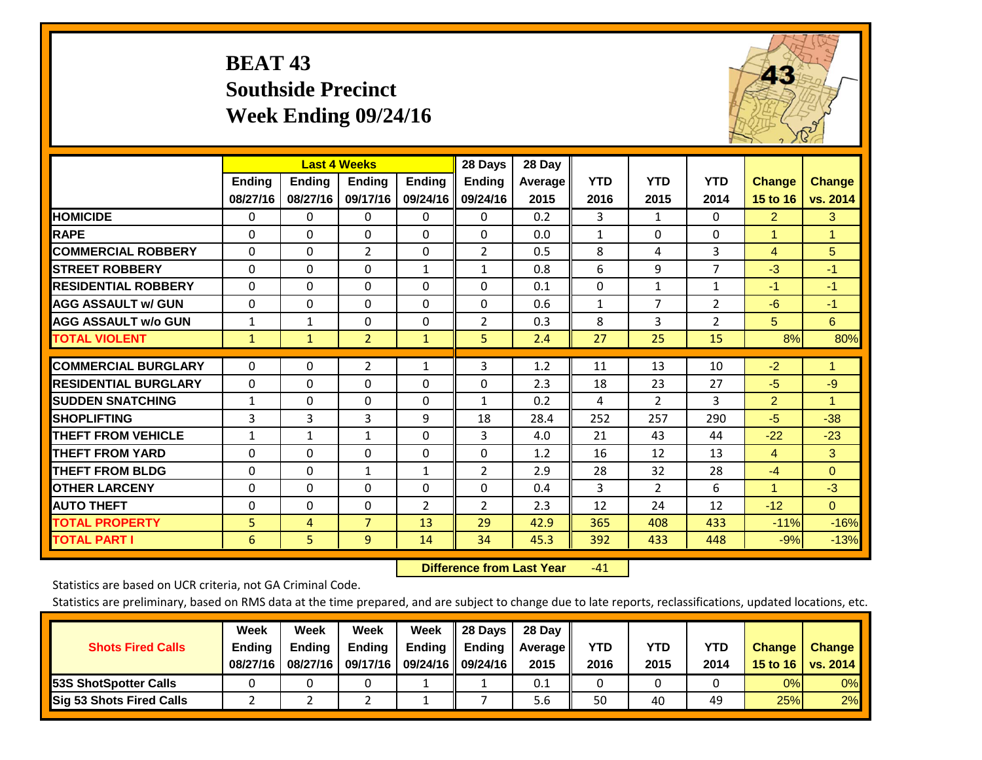# **BEAT 43 Southside Precinct Week Ending 09/24/16**



|                             |               | <b>Last 4 Weeks</b> |                |               | 28 Days        | 28 Day         |            |                |              |                |               |
|-----------------------------|---------------|---------------------|----------------|---------------|----------------|----------------|------------|----------------|--------------|----------------|---------------|
|                             | <b>Ending</b> | <b>Ending</b>       | <b>Ending</b>  | <b>Endina</b> | <b>Ending</b>  | <b>Average</b> | <b>YTD</b> | <b>YTD</b>     | <b>YTD</b>   | <b>Change</b>  | <b>Change</b> |
|                             | 08/27/16      | 08/27/16            | 09/17/16       | 09/24/16      | 09/24/16       | 2015           | 2016       | 2015           | 2014         | 15 to 16       | vs. 2014      |
| <b>HOMICIDE</b>             | 0             | 0                   | 0              | 0             | 0              | 0.2            | 3          | $\mathbf{1}$   | $\Omega$     | $\overline{2}$ | 3             |
| <b>RAPE</b>                 | $\Omega$      | $\Omega$            | $\Omega$       | $\Omega$      | $\Omega$       | 0.0            | 1          | $\Omega$       | $\Omega$     | 1              | 1.            |
| <b>COMMERCIAL ROBBERY</b>   | $\Omega$      | $\Omega$            | $\overline{2}$ | 0             | $\overline{2}$ | 0.5            | 8          | 4              | 3            | 4              | 5             |
| <b>STREET ROBBERY</b>       | $\Omega$      | $\Omega$            | $\Omega$       | $\mathbf{1}$  | $\mathbf{1}$   | 0.8            | 6          | 9              | 7            | $-3$           | $-1$          |
| <b>RESIDENTIAL ROBBERY</b>  | $\Omega$      | $\Omega$            | $\Omega$       | 0             | $\Omega$       | 0.1            | $\Omega$   | $\mathbf{1}$   | $\mathbf{1}$ | $-1$           | $-1$          |
| <b>AGG ASSAULT w/ GUN</b>   | $\Omega$      | $\Omega$            | $\Omega$       | $\Omega$      | $\Omega$       | 0.6            | 1          | 7              | 2            | $-6$           | $-1$          |
| <b>AGG ASSAULT w/o GUN</b>  | $\mathbf{1}$  | $\mathbf{1}$        | $\Omega$       | 0             | $\overline{2}$ | 0.3            | 8          | 3              | 2            | 5              | 6             |
| <b>TOTAL VIOLENT</b>        | 1             | $\mathbf{1}$        | $\overline{2}$ | $\mathbf{1}$  | 5              | 2.4            | 27         | 25             | 15           | 8%             | 80%           |
|                             |               |                     |                |               |                |                |            |                |              |                |               |
| <b>COMMERCIAL BURGLARY</b>  | $\Omega$      | $\Omega$            | $\overline{2}$ | $\mathbf{1}$  | 3              | 1.2            | 11         | 13             | 10           | $-2$           | 1             |
| <b>RESIDENTIAL BURGLARY</b> | $\Omega$      | $\Omega$            | $\Omega$       | 0             | $\Omega$       | 2.3            | 18         | 23             | 27           | $-5$           | $-9$          |
| <b>SUDDEN SNATCHING</b>     | $\mathbf{1}$  | $\Omega$            | $\mathbf{0}$   | 0             | $\mathbf{1}$   | 0.2            | 4          | $\overline{2}$ | 3            | $\overline{2}$ | 1             |
| <b>SHOPLIFTING</b>          | 3             | 3                   | 3              | 9             | 18             | 28.4           | 252        | 257            | 290          | $-5$           | $-38$         |
| <b>THEFT FROM VEHICLE</b>   | $\mathbf{1}$  | $\mathbf{1}$        | $\mathbf{1}$   | 0             | 3              | 4.0            | 21         | 43             | 44           | $-22$          | $-23$         |
| <b>THEFT FROM YARD</b>      | $\Omega$      | $\Omega$            | $\Omega$       | $\Omega$      | $\Omega$       | 1.2            | 16         | 12             | 13           | $\overline{4}$ | 3             |
| <b>THEFT FROM BLDG</b>      | $\mathbf 0$   | $\Omega$            | $\mathbf{1}$   | $\mathbf{1}$  | 2              | 2.9            | 28         | 32             | 28           | $-4$           | $\Omega$      |
| <b>OTHER LARCENY</b>        | $\Omega$      | $\Omega$            | $\Omega$       | 0             | $\Omega$       | 0.4            | 3          | $\overline{2}$ | 6            | 1              | $-3$          |
| <b>AUTO THEFT</b>           | 0             | $\Omega$            | 0              | 2             | 2              | 2.3            | 12         | 24             | 12           | $-12$          | $\Omega$      |
| <b>TOTAL PROPERTY</b>       | 5             | 4                   | $\overline{7}$ | 13            | 29             | 42.9           | 365        | 408            | 433          | $-11%$         | $-16%$        |
| <b>TOTAL PART I</b>         | 6             | 5                   | $\overline{9}$ | 14            | 34             | 45.3           | 392        | 433            | 448          | $-9%$          | $-13%$        |

 **Difference from Last Year**r -41

Statistics are based on UCR criteria, not GA Criminal Code.

| <b>Shots Fired Calls</b>        | Week<br><b>Ending</b><br>08/27/16 | Week<br><b>Endina</b><br>08/27/16 | Week<br><b>Ending</b><br>09/17/16 | Week<br>Ending | 28 Days<br><b>Ending</b><br>09/24/16    09/24/16 | 28 Day<br>Average II<br>2015 | YTD<br>2016 | YTD<br>2015 | YTD<br>2014 | <b>Change</b><br>15 to 16 $\vert$ | <b>Change</b><br>vs. 2014 |
|---------------------------------|-----------------------------------|-----------------------------------|-----------------------------------|----------------|--------------------------------------------------|------------------------------|-------------|-------------|-------------|-----------------------------------|---------------------------|
| <b>153S ShotSpotter Calls</b>   |                                   |                                   |                                   |                |                                                  | 0.1                          |             |             |             | 0%                                | 0%                        |
| <b>Sig 53 Shots Fired Calls</b> |                                   |                                   |                                   |                |                                                  | 5.6                          | 50          | 40          | 49          | 25%                               | 2%                        |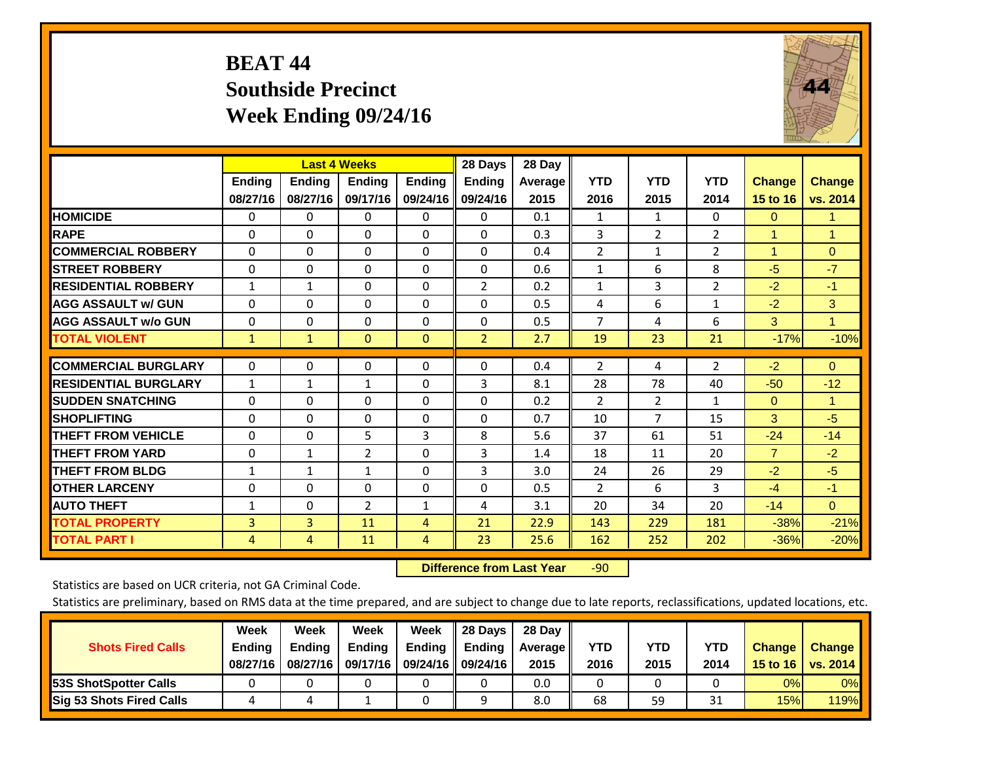# **BEAT 44 Southside Precinct Week Ending 09/24/16**



|                             |                           | <b>Last 4 Weeks</b>       |                           |                           | 28 Days                   | 28 Day          |                    |                    |                    |                           |                           |
|-----------------------------|---------------------------|---------------------------|---------------------------|---------------------------|---------------------------|-----------------|--------------------|--------------------|--------------------|---------------------------|---------------------------|
|                             | <b>Ending</b><br>08/27/16 | <b>Ending</b><br>08/27/16 | <b>Endina</b><br>09/17/16 | <b>Ending</b><br>09/24/16 | <b>Endina</b><br>09/24/16 | Average<br>2015 | <b>YTD</b><br>2016 | <b>YTD</b><br>2015 | <b>YTD</b><br>2014 | <b>Change</b><br>15 to 16 | <b>Change</b><br>vs. 2014 |
| <b>HOMICIDE</b>             | 0                         | 0                         | $\Omega$                  | 0                         | 0                         | 0.1             | 1                  | 1                  | 0                  | $\Omega$                  | 1.                        |
| <b>RAPE</b>                 | 0                         | $\Omega$                  | $\Omega$                  | $\Omega$                  | 0                         | 0.3             | 3                  | $\overline{2}$     | $\overline{2}$     | 1                         | $\mathbf{1}$              |
| <b>COMMERCIAL ROBBERY</b>   | $\Omega$                  | 0                         | $\Omega$                  | $\mathbf 0$               | $\Omega$                  | 0.4             | $\overline{2}$     | 1                  | $\overline{2}$     | $\blacktriangleleft$      | $\Omega$                  |
| <b>STREET ROBBERY</b>       | $\Omega$                  | $\Omega$                  | $\Omega$                  | $\Omega$                  | $\Omega$                  | 0.6             | $\mathbf{1}$       | 6                  | 8                  | $-5$                      | $-7$                      |
| <b>RESIDENTIAL ROBBERY</b>  | $\mathbf{1}$              | 1                         | $\Omega$                  | $\mathbf{0}$              | $\overline{2}$            | 0.2             | $\mathbf{1}$       | 3                  | $\overline{2}$     | $-2$                      | $-1$                      |
| <b>AGG ASSAULT w/ GUN</b>   | $\Omega$                  | $\Omega$                  | $\Omega$                  | $\Omega$                  | $\Omega$                  | 0.5             | 4                  | 6                  | $\mathbf{1}$       | $-2$                      | 3                         |
| <b>AGG ASSAULT w/o GUN</b>  | $\Omega$                  | $\Omega$                  | $\Omega$                  | $\Omega$                  | $\Omega$                  | 0.5             | $\overline{7}$     | 4                  | 6                  | 3                         | $\mathbf{1}$              |
| <b>TOTAL VIOLENT</b>        | $\mathbf{1}$              | $\mathbf{1}$              | $\overline{0}$            | $\mathbf{0}$              | $\overline{2}$            | 2.7             | 19                 | 23                 | 21                 | $-17%$                    | $-10%$                    |
| <b>COMMERCIAL BURGLARY</b>  | $\Omega$                  | 0                         | $\Omega$                  | $\mathbf{0}$              | $\Omega$                  | 0.4             | $\overline{2}$     | 4                  | $\overline{2}$     | $-2$                      | $\mathbf{0}$              |
|                             |                           |                           |                           |                           |                           |                 |                    |                    |                    |                           |                           |
| <b>RESIDENTIAL BURGLARY</b> | 1                         | 1                         | $\mathbf{1}$              | $\Omega$                  | 3                         | 8.1             | 28                 | 78                 | 40                 | $-50$                     | $-12$                     |
| <b>SUDDEN SNATCHING</b>     | $\Omega$                  | $\Omega$                  | $\Omega$                  | $\Omega$                  | $\Omega$                  | 0.2             | $\overline{2}$     | 2                  | 1                  | $\mathbf{0}$              | $\mathbf{1}$              |
| <b>SHOPLIFTING</b>          | $\Omega$                  | $\Omega$                  | $\Omega$                  | $\Omega$                  | $\Omega$                  | 0.7             | 10                 | 7                  | 15                 | 3                         | $-5$                      |
| <b>THEFT FROM VEHICLE</b>   | $\Omega$                  | 0                         | 5                         | 3                         | 8                         | 5.6             | 37                 | 61                 | 51                 | $-24$                     | $-14$                     |
| <b>THEFT FROM YARD</b>      | $\Omega$                  | $\mathbf{1}$              | $\overline{2}$            | $\mathbf{0}$              | 3                         | 1.4             | 18                 | 11                 | 20                 | $\overline{7}$            | $-2$                      |
| <b>THEFT FROM BLDG</b>      | $\mathbf{1}$              | $\mathbf{1}$              | $\mathbf{1}$              | $\Omega$                  | 3                         | 3.0             | 24                 | 26                 | 29                 | $-2$                      | $-5$                      |
| <b>OTHER LARCENY</b>        | 0                         | 0                         | $\Omega$                  | $\Omega$                  | $\Omega$                  | 0.5             | $\overline{2}$     | 6                  | 3                  | $-4$                      | $-1$                      |
| <b>AUTO THEFT</b>           | $\mathbf{1}$              | 0                         | $\overline{2}$            | 1                         | 4                         | 3.1             | 20                 | 34                 | 20                 | $-14$                     | $\mathbf{0}$              |
| <b>TOTAL PROPERTY</b>       | 3                         | 3                         | 11                        | $\overline{4}$            | 21                        | 22.9            | 143                | 229                | 181                | $-38%$                    | $-21%$                    |
| <b>TOTAL PART I</b>         | 4                         | 4                         | 11                        | 4                         | 23                        | 25.6            | 162                | 252                | 202                | $-36%$                    | $-20%$                    |

 **Difference from Last Year**r -90

Statistics are based on UCR criteria, not GA Criminal Code.

|                                 | Week          | Week          | Week          | Week                 | 28 Days                   | 28 Dav     |      |            |            |               |               |
|---------------------------------|---------------|---------------|---------------|----------------------|---------------------------|------------|------|------------|------------|---------------|---------------|
| <b>Shots Fired Calls</b>        | <b>Ending</b> | <b>Endina</b> | <b>Ending</b> |                      | Ending $\parallel$ Ending | Average II | YTD  | <b>YTD</b> | <b>YTD</b> | <b>Change</b> | <b>Change</b> |
|                                 | 08/27/16      | 08/27/16      | 09/17/16      | 09/24/16    09/24/16 |                           | 2015       | 2016 | 2015       | 2014       | 15 to 16      | vs. 2014      |
| <b>153S ShotSpotter Calls</b>   |               |               |               |                      |                           | 0.0        |      |            |            | 0%            | $0\%$         |
| <b>Sig 53 Shots Fired Calls</b> |               |               |               |                      |                           | 8.0        | 68   | 59         | 31         | 15%           | 119%          |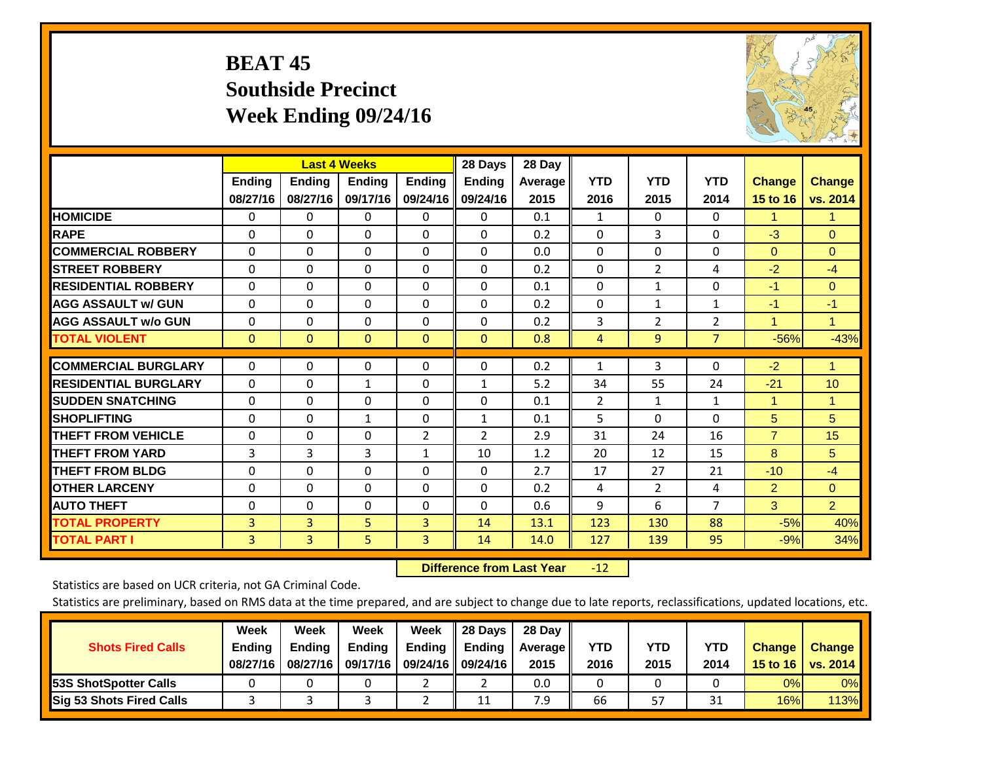# **BEAT 45 Southside Precinct Week Ending 09/24/16**



|                             |              | <b>Last 4 Weeks</b> |               |                | 28 Days        | 28 Day  |                |                |                |                |                |
|-----------------------------|--------------|---------------------|---------------|----------------|----------------|---------|----------------|----------------|----------------|----------------|----------------|
|                             | Ending       | Ending              | <b>Endina</b> | <b>Endina</b>  | <b>Ending</b>  | Average | <b>YTD</b>     | <b>YTD</b>     | <b>YTD</b>     | <b>Change</b>  | <b>Change</b>  |
|                             | 08/27/16     | 08/27/16            | 09/17/16      | 09/24/16       | 09/24/16       | 2015    | 2016           | 2015           | 2014           | 15 to 16       | vs. 2014       |
| <b>HOMICIDE</b>             | 0            | 0                   | $\Omega$      | 0              | 0              | 0.1     | 1              | 0              | 0              | 1.             | 1.             |
| <b>RAPE</b>                 | $\Omega$     | 0                   | $\Omega$      | 0              | 0              | 0.2     | $\Omega$       | 3              | 0              | $-3$           | $\Omega$       |
| <b>COMMERCIAL ROBBERY</b>   | $\Omega$     | $\Omega$            | $\Omega$      | $\Omega$       | 0              | 0.0     | $\Omega$       | $\Omega$       | $\Omega$       | $\Omega$       | $\Omega$       |
| <b>ISTREET ROBBERY</b>      | $\Omega$     | $\Omega$            | $\Omega$      | $\Omega$       | $\Omega$       | 0.2     | $\mathbf{0}$   | $\overline{2}$ | 4              | $-2$           | $-4$           |
| <b>RESIDENTIAL ROBBERY</b>  | $\Omega$     | $\Omega$            | $\Omega$      | $\Omega$       | $\Omega$       | 0.1     | $\mathbf{0}$   | 1              | $\Omega$       | $-1$           | $\Omega$       |
| <b>AGG ASSAULT w/ GUN</b>   | $\Omega$     | $\Omega$            | $\Omega$      | $\Omega$       | 0              | 0.2     | $\Omega$       | 1              | 1              | -1             | $-1$           |
| <b>AGG ASSAULT w/o GUN</b>  | $\Omega$     | $\Omega$            | $\Omega$      | $\Omega$       | 0              | 0.2     | 3              | $\overline{2}$ | $\overline{2}$ | $\mathbf{1}$   | $\mathbf{1}$   |
| <b>TOTAL VIOLENT</b>        | $\mathbf{0}$ | $\mathbf{0}$        | $\mathbf{0}$  | $\Omega$       | $\Omega$       | 0.8     | 4              | 9              | $\overline{7}$ | $-56%$         | $-43%$         |
|                             |              |                     |               |                |                |         |                |                |                |                |                |
| <b>COMMERCIAL BURGLARY</b>  | $\Omega$     | $\Omega$            | $\mathbf{0}$  | 0              | $\Omega$       | 0.2     | 1              | 3              | 0              | $-2$           | $\mathbf{1}$   |
| <b>RESIDENTIAL BURGLARY</b> | $\Omega$     | 0                   | 1             | 0              | $\mathbf{1}$   | 5.2     | 34             | 55             | 24             | $-21$          | 10             |
| <b>ISUDDEN SNATCHING</b>    | $\Omega$     | 0                   | $\Omega$      | 0              | 0              | 0.1     | $\overline{2}$ | 1              | $\mathbf{1}$   | 1              | $\mathbf{1}$   |
| <b>SHOPLIFTING</b>          | 0            | $\Omega$            | $\mathbf{1}$  | $\Omega$       | $\mathbf{1}$   | 0.1     | 5              | $\Omega$       | $\Omega$       | 5              | 5              |
| <b>THEFT FROM VEHICLE</b>   | $\Omega$     | $\Omega$            | $\Omega$      | $\overline{2}$ | $\overline{2}$ | 2.9     | 31             | 24             | 16             | $\overline{7}$ | 15             |
| <b>THEFT FROM YARD</b>      | 3            | 3                   | 3             | $\mathbf{1}$   | 10             | 1.2     | 20             | 12             | 15             | 8              | 5              |
| <b>THEFT FROM BLDG</b>      | $\Omega$     | 0                   | $\Omega$      | 0              | 0              | 2.7     | 17             | 27             | 21             | $-10$          | $-4$           |
| <b>OTHER LARCENY</b>        | $\Omega$     | $\Omega$            | $\Omega$      | $\Omega$       | $\Omega$       | 0.2     | 4              | $\overline{2}$ | 4              | $\overline{2}$ | $\Omega$       |
| <b>AUTO THEFT</b>           | $\Omega$     | $\Omega$            | $\Omega$      | $\Omega$       | $\Omega$       | 0.6     | 9              | 6              | $\overline{7}$ | 3              | $\overline{2}$ |
| <b>TOTAL PROPERTY</b>       | 3            | 3                   | 5             | 3              | 14             | 13.1    | 123            | 130            | 88             | $-5%$          | 40%            |
| <b>TOTAL PART I</b>         | 3            | 3                   | 5             | 3              | 14             | 14.0    | 127            | 139            | 95             | $-9%$          | 34%            |

 **Difference from Last Year**r -12

Statistics are based on UCR criteria, not GA Criminal Code.

| <b>Shots Fired Calls</b>        | Week<br><b>Ending</b><br>08/27/16 | Week<br><b>Endina</b><br>08/27/16 | Week<br>Ending<br>09/17/16 | Week<br>Ending | 28 Days<br><b>Ending</b><br>09/24/16    09/24/16 | 28 Day<br>Average II<br>2015 | YTD<br>2016 | YTD<br>2015 | YTD<br>2014      | <b>Change</b><br>15 to 16 $\vert$ | <b>Change</b><br>vs. 2014 |
|---------------------------------|-----------------------------------|-----------------------------------|----------------------------|----------------|--------------------------------------------------|------------------------------|-------------|-------------|------------------|-----------------------------------|---------------------------|
| <b>153S ShotSpotter Calls</b>   |                                   |                                   |                            |                |                                                  | 0.0                          |             |             |                  | 0%                                | 0%                        |
| <b>Sig 53 Shots Fired Calls</b> |                                   |                                   |                            |                | 11                                               | 7.9                          | 66          | 57          | <b>O</b> 4<br>⊥ر | 16%                               | 113%                      |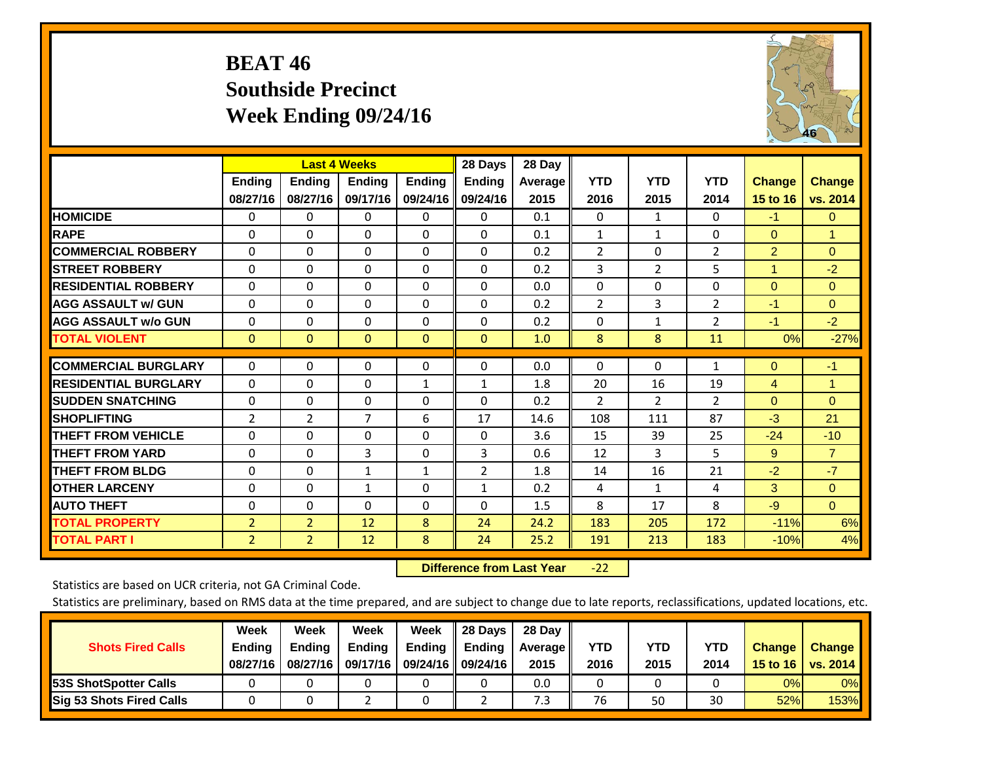# **BEAT 46 Southside Precinct Week Ending 09/24/16**



|                             |                |                | <b>Last 4 Weeks</b> |               | 28 Days        | 28 Day  |                |                |                |                      |                |
|-----------------------------|----------------|----------------|---------------------|---------------|----------------|---------|----------------|----------------|----------------|----------------------|----------------|
|                             | Ending         | <b>Ending</b>  | Ending              | <b>Endina</b> | <b>Ending</b>  | Average | <b>YTD</b>     | <b>YTD</b>     | <b>YTD</b>     | <b>Change</b>        | <b>Change</b>  |
|                             | 08/27/16       | 08/27/16       | 09/17/16            | 09/24/16      | 09/24/16       | 2015    | 2016           | 2015           | 2014           | 15 to 16             | vs. 2014       |
| <b>HOMICIDE</b>             | 0              | 0              | 0                   | $\Omega$      | 0              | 0.1     | $\Omega$       | $\mathbf{1}$   | 0              | $-1$                 | $\Omega$       |
| <b>RAPE</b>                 | $\Omega$       | 0              | $\Omega$            | $\Omega$      | $\Omega$       | 0.1     | 1              | 1              | $\Omega$       | $\mathbf{0}$         | $\mathbf{1}$   |
| <b>COMMERCIAL ROBBERY</b>   | $\Omega$       | 0              | $\Omega$            | $\Omega$      | $\Omega$       | 0.2     | $\overline{2}$ | $\Omega$       | $\overline{2}$ | $\overline{2}$       | $\Omega$       |
| <b>STREET ROBBERY</b>       | $\Omega$       | 0              | $\Omega$            | $\mathbf{0}$  | $\Omega$       | 0.2     | 3              | $\overline{2}$ | 5              | $\blacktriangleleft$ | $-2$           |
| <b>RESIDENTIAL ROBBERY</b>  | $\Omega$       | 0              | $\Omega$            | $\mathbf{0}$  | $\Omega$       | 0.0     | $\Omega$       | $\Omega$       | 0              | $\mathbf{0}$         | $\Omega$       |
| <b>AGG ASSAULT w/ GUN</b>   | $\Omega$       | $\Omega$       | $\Omega$            | $\Omega$      | $\Omega$       | 0.2     | 2              | 3              | 2              | $-1$                 | $\mathbf{0}$   |
| <b>AGG ASSAULT w/o GUN</b>  | $\mathbf 0$    | 0              | $\Omega$            | $\Omega$      | $\Omega$       | 0.2     | $\Omega$       | $\mathbf{1}$   | $\overline{2}$ | $-1$                 | $-2$           |
| <b>TOTAL VIOLENT</b>        | $\mathbf{0}$   | $\mathbf{0}$   | $\mathbf{0}$        | $\mathbf{0}$  | $\Omega$       | 1.0     | 8              | 8              | 11             | 0%                   | $-27%$         |
|                             |                |                |                     |               |                |         |                |                |                |                      |                |
| <b>COMMERCIAL BURGLARY</b>  | $\mathbf 0$    | $\Omega$       | 0                   | 0             | $\Omega$       | 0.0     | $\mathbf 0$    | $\Omega$       | 1              | $\mathbf{0}$         | $-1$           |
| <b>RESIDENTIAL BURGLARY</b> | $\Omega$       | 0              | $\Omega$            | 1             | 1              | 1.8     | 20             | 16             | 19             | 4                    | $\mathbf{1}$   |
| <b>SUDDEN SNATCHING</b>     | $\Omega$       | $\Omega$       | $\Omega$            | $\Omega$      | $\Omega$       | 0.2     | 2              | $\overline{2}$ | $\overline{2}$ | $\mathbf{0}$         | $\mathbf{0}$   |
| <b>SHOPLIFTING</b>          | $\overline{2}$ | $\overline{2}$ | $\overline{7}$      | 6             | 17             | 14.6    | 108            | 111            | 87             | $-3$                 | 21             |
| <b>THEFT FROM VEHICLE</b>   | 0              | $\Omega$       | $\Omega$            | $\Omega$      | $\mathbf{0}$   | 3.6     | 15             | 39             | 25             | $-24$                | $-10$          |
| <b>THEFT FROM YARD</b>      | $\Omega$       | 0              | 3                   | $\mathbf{0}$  | 3              | 0.6     | 12             | 3              | 5              | 9                    | $\overline{7}$ |
| <b>THEFT FROM BLDG</b>      | $\Omega$       | $\Omega$       | $\mathbf{1}$        | $\mathbf{1}$  | $\overline{2}$ | 1.8     | 14             | 16             | 21             | $-2$                 | $-7$           |
| <b>OTHER LARCENY</b>        | $\Omega$       | $\Omega$       | $\mathbf{1}$        | $\Omega$      | $\mathbf{1}$   | 0.2     | 4              | $\mathbf{1}$   | 4              | 3                    | $\Omega$       |
| <b>AUTO THEFT</b>           | 0              | $\Omega$       | $\Omega$            | $\mathbf{0}$  | $\Omega$       | 1.5     | 8              | 17             | 8              | $-9$                 | $\Omega$       |
| <b>TOTAL PROPERTY</b>       | $\overline{2}$ | $\overline{2}$ | 12                  | 8             | 24             | 24.2    | 183            | 205            | 172            | $-11%$               | 6%             |
| <b>TOTAL PART I</b>         | 2              | $\overline{2}$ | 12                  | 8             | 24             | 25.2    | 191            | 213            | 183            | $-10%$               | 4%             |

 **Difference from Last Year**‐22

Statistics are based on UCR criteria, not GA Criminal Code.

| <b>Shots Fired Calls</b>        | Week<br><b>Ending</b><br>08/27/16 | Week<br><b>Endina</b><br>08/27/16 | Week<br>Ending<br>09/17/16 | Week<br>Ending | 28 Days<br><b>Ending</b><br>09/24/16    09/24/16 | 28 Day<br>Average II<br>2015 | YTD<br>2016 | YTD<br>2015 | YTD<br>2014 | <b>Change</b><br>15 to 16 $\vert$ | <b>Change</b><br>vs. 2014 |
|---------------------------------|-----------------------------------|-----------------------------------|----------------------------|----------------|--------------------------------------------------|------------------------------|-------------|-------------|-------------|-----------------------------------|---------------------------|
| <b>153S ShotSpotter Calls</b>   |                                   |                                   |                            |                |                                                  | 0.0                          |             |             |             | 0%                                | 0%                        |
| <b>Sig 53 Shots Fired Calls</b> |                                   |                                   |                            |                |                                                  | 7.3                          | 76          | 50          | 30          | 52%                               | 153%                      |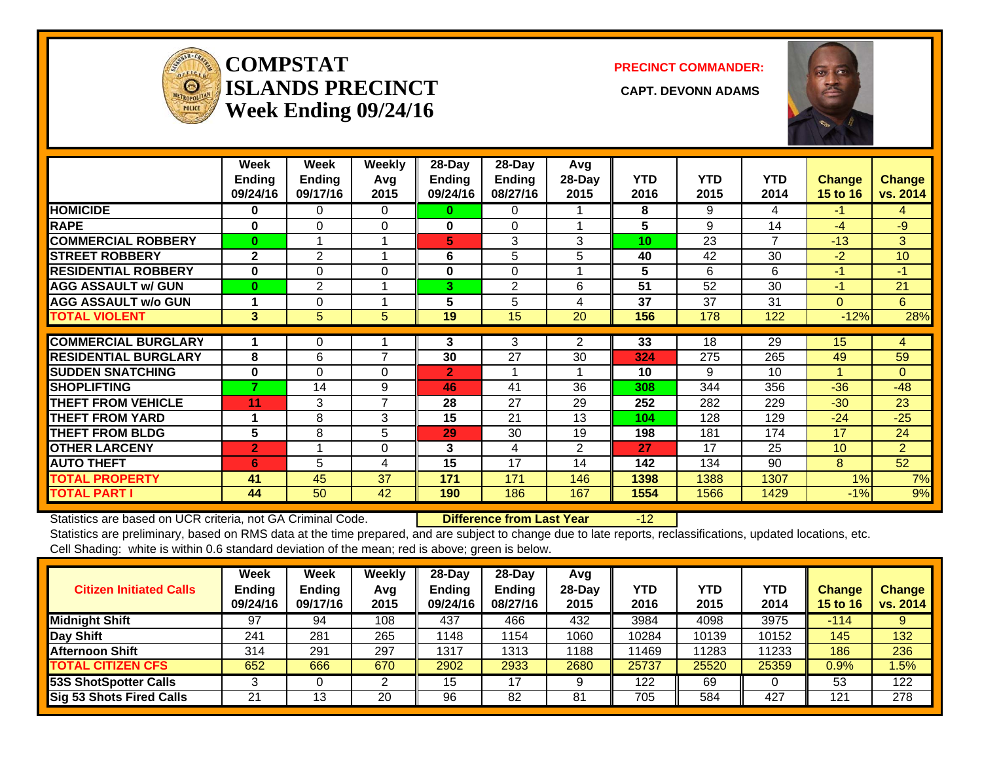

#### **COMPSTATISLANDS PRECINCT** CAPT. DEVONN ADAMS **Week Ending 09/24/16**

**PRECINCT COMMANDER:**



|                             | Week<br>Ending<br>09/24/16 | Week<br><b>Ending</b><br>09/17/16 | Weekly<br>Avg<br>2015 | 28-Day<br><b>Ending</b><br>09/24/16 | 28-Day<br><b>Ending</b><br>08/27/16 | Avg<br>28-Day<br>2015 | <b>YTD</b><br>2016 | <b>YTD</b><br>2015 | <b>YTD</b><br>2014 | <b>Change</b><br>15 to 16 | <b>Change</b><br>vs. 2014 |
|-----------------------------|----------------------------|-----------------------------------|-----------------------|-------------------------------------|-------------------------------------|-----------------------|--------------------|--------------------|--------------------|---------------------------|---------------------------|
| <b>HOMICIDE</b>             | $\bf{0}$                   | $\Omega$                          | $\Omega$              | 0                                   | 0                                   |                       | 8                  | 9                  | 4                  | $-1$                      | 4                         |
| <b>RAPE</b>                 | $\bf{0}$                   | $\Omega$                          | $\Omega$              | 0                                   | $\Omega$                            |                       | 5                  | 9                  | 14                 | $-4$                      | $-9$                      |
| <b>COMMERCIAL ROBBERY</b>   | $\bf{0}$                   |                                   |                       | 5                                   | 3                                   | 3                     | 10                 | 23                 | $\overline{7}$     | $-13$                     | 3                         |
| <b>STREET ROBBERY</b>       | $\mathbf{2}$               | $\overline{2}$                    |                       | 6                                   | 5                                   | 5                     | 40                 | 42                 | 30                 | $-2$                      | 10                        |
| <b>RESIDENTIAL ROBBERY</b>  | $\bf{0}$                   | $\Omega$                          | $\Omega$              | 0                                   | $\Omega$                            |                       | 5                  | 6                  | 6                  | $-1'$                     | $-1$                      |
| <b>AGG ASSAULT w/ GUN</b>   | $\bf{0}$                   | $\overline{2}$                    |                       | 3                                   | $\overline{2}$                      | 6                     | 51                 | 52                 | 30                 | $-1$                      | 21                        |
| <b>AGG ASSAULT w/o GUN</b>  |                            | 0                                 |                       | 5                                   | 5                                   | 4                     | 37                 | 37                 | 31                 | $\Omega$                  | 6                         |
| <b>TOTAL VIOLENT</b>        | 3                          | 5                                 | 5                     | 19                                  | 15                                  | 20                    | 156                | 178                | 122                | $-12%$                    | 28%                       |
| <b>COMMERCIAL BURGLARY</b>  |                            | $\mathbf 0$                       |                       | 3                                   | 3                                   | 2                     | 33                 | 18                 | 29                 | 15                        | 4                         |
| <b>RESIDENTIAL BURGLARY</b> | 8                          | 6                                 | 7                     | 30                                  | 27                                  | 30                    | 324                | 275                | 265                | 49                        | 59                        |
| <b>SUDDEN SNATCHING</b>     | $\bf{0}$                   | $\Omega$                          | $\Omega$              | $\overline{2}$                      |                                     |                       | 10                 | 9                  | 10                 | 1                         | $\Omega$                  |
| <b>SHOPLIFTING</b>          | 7                          | 14                                | 9                     | 46                                  | 41                                  | 36                    | 308                | 344                | 356                | $-36$                     | $-48$                     |
| <b>THEFT FROM VEHICLE</b>   | 11                         | 3                                 | $\overline{7}$        | 28                                  | 27                                  | 29                    | 252                | 282                | 229                | $-30$                     | 23                        |
| <b>THEFT FROM YARD</b>      |                            | 8                                 | 3                     | 15                                  | 21                                  | 13                    | 104                | 128                | 129                | $-24$                     | $-25$                     |
| <b>THEFT FROM BLDG</b>      | 5                          | 8                                 | 5                     | 29                                  | 30                                  | 19                    | 198                | 181                | 174                | 17                        | 24                        |
| <b>OTHER LARCENY</b>        | $\overline{2}$             |                                   | $\Omega$              | 3                                   | 4                                   | $\overline{2}$        | 27                 | 17                 | 25                 | 10 <sup>1</sup>           | $\overline{2}$            |
| <b>AUTO THEFT</b>           | 6                          | 5                                 | 4                     | 15                                  | 17                                  | 14                    | 142                | 134                | 90                 | 8                         | 52                        |
| <b>TOTAL PROPERTY</b>       | 41                         | 45                                | 37                    | 171                                 | 171                                 | 146                   | 1398               | 1388               | 1307               | 1%                        | 7%                        |
| <b>TOTAL PART I</b>         | 44                         | 50                                | 42                    | 190                                 | 186                                 | 167                   | 1554               | 1566               | 1429               | $-1%$                     | 9%                        |

Statistics are based on UCR criteria, not GA Criminal Code. **Difference from Last Year** -12 Statistics are preliminary, based on RMS data at the time prepared, and are subject to change due to late reports, reclassifications, updated locations, etc. Cell Shading: white is within 0.6 standard deviation of the mean; red is above; green is below.

| <b>Citizen Initiated Calls</b> | Week<br><b>Ending</b><br>09/24/16 | Week<br><b>Ending</b><br>09/17/16 | Weekly<br>Avg<br>2015 | $28$ -Day<br>Ending<br>09/24/16 | $28-Dav$<br><b>Ending</b><br>08/27/16 | Avg<br>$28-Day$<br>2015 | YTD<br>2016 | <b>YTD</b><br>2015 | YTD<br>2014 | Change<br><b>15 to 16</b> | <b>Change</b><br>vs. 2014 |
|--------------------------------|-----------------------------------|-----------------------------------|-----------------------|---------------------------------|---------------------------------------|-------------------------|-------------|--------------------|-------------|---------------------------|---------------------------|
| <b>Midnight Shift</b>          | 97                                | 94                                | 108                   | 437                             | 466                                   | 432                     | 3984        | 4098               | 3975        | $-114$                    |                           |
| Day Shift                      | 241                               | 281                               | 265                   | 1148                            | 154                                   | 1060                    | 10284       | 10139              | 10152       | 145                       | 132                       |
| Afternoon Shift                | 314                               | 291                               | 297                   | 1317                            | 1313                                  | 1188                    | 11469       | 11283              | 11233       | 186                       | 236                       |
| <b>TOTAL CITIZEN CFS</b>       | 652                               | 666                               | 670                   | 2902                            | 2933                                  | 2680                    | 25737       | 25520              | 25359       | 0.9%                      | .5%                       |
| <b>53S ShotSpotter Calls</b>   |                                   |                                   |                       | 15                              | 17                                    |                         | 122         | 69                 |             | 53                        | 122                       |
| Sig 53 Shots Fired Calls       | 21                                | 13                                | 20                    | 96                              | 82                                    | 81                      | 705         | 584                | 427         | 121                       | 278                       |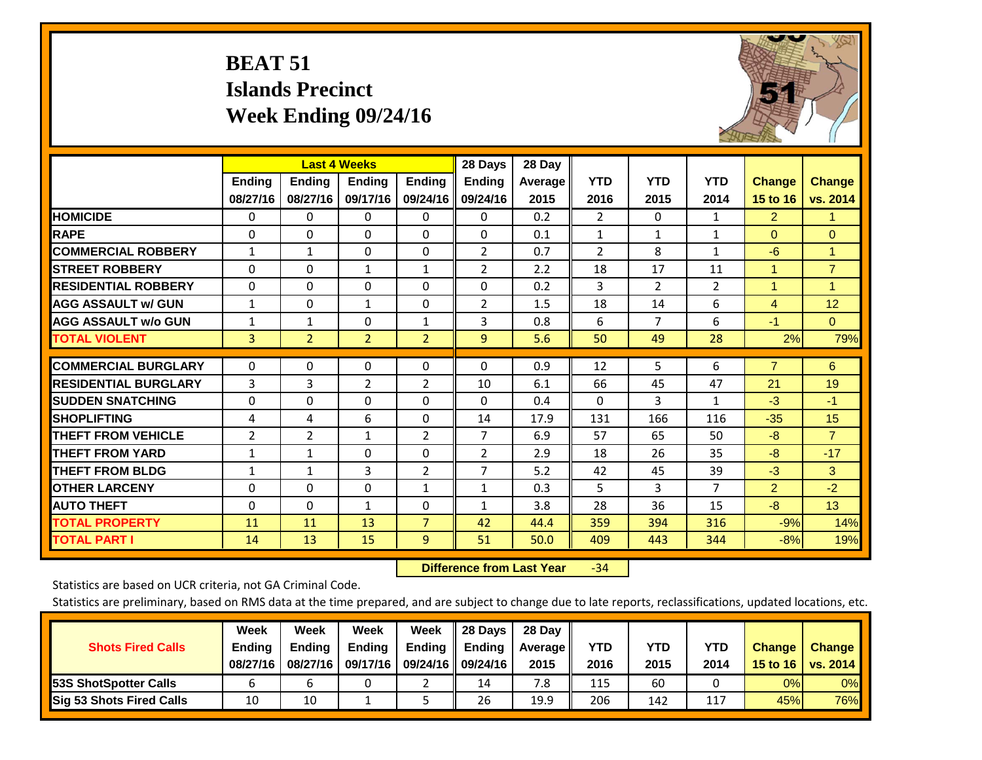# **BEAT 51 Islands Precinct Week Ending 09/24/16**



|                             |                | <b>Last 4 Weeks</b> |                |                | 28 Days        | 28 Day  |                |                |                |                      |                |
|-----------------------------|----------------|---------------------|----------------|----------------|----------------|---------|----------------|----------------|----------------|----------------------|----------------|
|                             | <b>Ending</b>  | <b>Ending</b>       | Ending         | <b>Ending</b>  | <b>Ending</b>  | Average | <b>YTD</b>     | <b>YTD</b>     | <b>YTD</b>     | <b>Change</b>        | <b>Change</b>  |
|                             | 08/27/16       | 08/27/16            | 09/17/16       | 09/24/16       | 09/24/16       | 2015    | 2016           | 2015           | 2014           | 15 to 16             | vs. 2014       |
| <b>HOMICIDE</b>             | 0              | 0                   | $\Omega$       | $\Omega$       | 0              | 0.2     | $\overline{2}$ | $\mathbf{0}$   | 1              | $\overline{2}$       | 1.             |
| <b>RAPE</b>                 | 0              | $\Omega$            | $\Omega$       | $\Omega$       | $\Omega$       | 0.1     | $\mathbf{1}$   | 1              | $\mathbf{1}$   | $\Omega$             | $\Omega$       |
| <b>COMMERCIAL ROBBERY</b>   | $\mathbf{1}$   | $\mathbf{1}$        | $\Omega$       | $\Omega$       | $\overline{2}$ | 0.7     | 2              | 8              | $\mathbf{1}$   | $-6$                 | $\mathbf{1}$   |
| <b>STREET ROBBERY</b>       | $\Omega$       | $\Omega$            | 1              | $\mathbf{1}$   | $\overline{2}$ | 2.2     | 18             | 17             | 11             | $\mathbf{1}$         | $\overline{7}$ |
| <b>RESIDENTIAL ROBBERY</b>  | $\Omega$       | 0                   | $\Omega$       | $\Omega$       | $\Omega$       | 0.2     | 3              | $\overline{2}$ | $\overline{2}$ | $\blacktriangleleft$ | $\mathbf{1}$   |
| <b>AGG ASSAULT w/ GUN</b>   | $\mathbf{1}$   | 0                   | $\mathbf{1}$   | $\mathbf{0}$   | $\overline{2}$ | 1.5     | 18             | 14             | 6              | $\overline{4}$       | 12             |
| <b>AGG ASSAULT w/o GUN</b>  | $\mathbf{1}$   | $\mathbf{1}$        | $\Omega$       | 1              | 3              | 0.8     | 6              | 7              | 6              | $-1$                 | $\Omega$       |
| <b>TOTAL VIOLENT</b>        | 3              | $\overline{2}$      | $\overline{2}$ | $\overline{2}$ | 9              | 5.6     | 50             | 49             | 28             | 2%                   | 79%            |
|                             |                |                     |                |                |                |         |                |                |                |                      |                |
| <b>COMMERCIAL BURGLARY</b>  | $\Omega$       | 0                   | 0              | 0              | $\Omega$       | 0.9     | 12             | 5              | 6              | $\overline{7}$       | 6              |
| <b>RESIDENTIAL BURGLARY</b> | 3              | 3                   | $\overline{2}$ | $\overline{2}$ | 10             | 6.1     | 66             | 45             | 47             | 21                   | 19             |
| <b>ISUDDEN SNATCHING</b>    | $\Omega$       | $\Omega$            | $\Omega$       | $\Omega$       | $\Omega$       | 0.4     | $\Omega$       | 3              | $\mathbf{1}$   | $-3$                 | $-1$           |
| <b>SHOPLIFTING</b>          | 4              | 4                   | 6              | $\Omega$       | 14             | 17.9    | 131            | 166            | 116            | $-35$                | 15             |
| <b>THEFT FROM VEHICLE</b>   | $\overline{2}$ | $\overline{2}$      | $\mathbf{1}$   | $\overline{2}$ | $\overline{7}$ | 6.9     | 57             | 65             | 50             | $-8$                 | $\overline{7}$ |
| <b>THEFT FROM YARD</b>      | $\mathbf{1}$   | 1                   | $\Omega$       | $\Omega$       | $\overline{2}$ | 2.9     | 18             | 26             | 35             | $-8$                 | $-17$          |
| <b>THEFT FROM BLDG</b>      | $\mathbf{1}$   | $\mathbf{1}$        | 3              | $\overline{2}$ | 7              | 5.2     | 42             | 45             | 39             | $-3$                 | 3              |
| <b>OTHER LARCENY</b>        | 0              | $\Omega$            | $\Omega$       | 1              | $\mathbf{1}$   | 0.3     | 5.             | 3              | $\overline{7}$ | $\overline{2}$       | $-2$           |
| <b>AUTO THEFT</b>           | $\Omega$       | $\Omega$            | $\mathbf{1}$   | 0              | $\mathbf{1}$   | 3.8     | 28             | 36             | 15             | $-8$                 | 13             |
| <b>TOTAL PROPERTY</b>       | 11             | 11                  | 13             | $\overline{7}$ | 42             | 44.4    | 359            | 394            | 316            | $-9%$                | 14%            |
| <b>TOTAL PART I</b>         | 14             | 13                  | 15             | 9              | 51             | 50.0    | 409            | 443            | 344            | $-8%$                | 19%            |

 **Difference from Last Year**‐34

Statistics are based on UCR criteria, not GA Criminal Code.

| <b>Shots Fired Calls</b>        | Week<br><b>Ending</b><br>08/27/16 | Week<br><b>Endina</b><br>08/27/16 | <b>Week</b><br>Ending<br>09/17/16 | Week<br>Ending | 28 Days<br><b>Ending</b><br>09/24/16    09/24/16 | 28 Day<br>Average II<br>2015 | YTD<br>2016 | YTD<br>2015 | YTD<br>2014 | <b>Change</b><br>15 to 16 | <b>Change</b><br>vs. 2014 |
|---------------------------------|-----------------------------------|-----------------------------------|-----------------------------------|----------------|--------------------------------------------------|------------------------------|-------------|-------------|-------------|---------------------------|---------------------------|
| <b>153S ShotSpotter Calls</b>   |                                   |                                   |                                   |                | 14                                               | 7.8                          | 115         | 60          |             | 0%                        | 0%                        |
| <b>Sig 53 Shots Fired Calls</b> | 10                                | 10                                |                                   |                | 26                                               | 19.9                         | 206         | 142         | 117         | 45%l                      | 76%                       |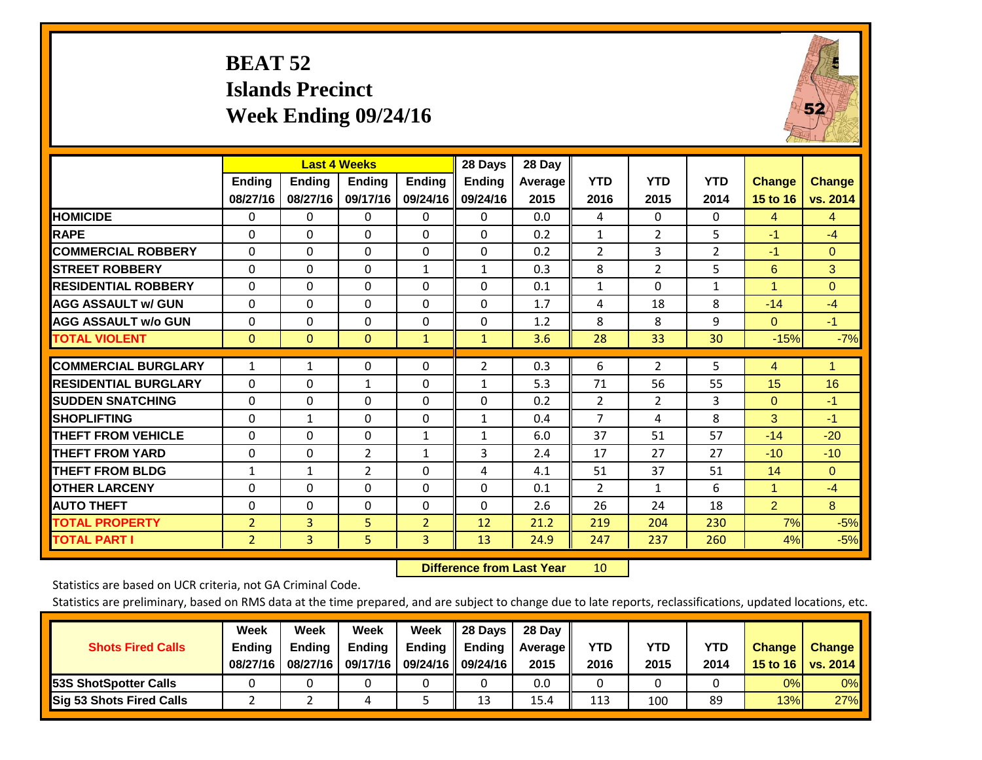# **BEAT 52 Islands Precinct Week Ending 09/24/16**



|                             |                | <b>Last 4 Weeks</b> |                |                | 28 Days       | 28 Day  |                |                |              |                |                 |
|-----------------------------|----------------|---------------------|----------------|----------------|---------------|---------|----------------|----------------|--------------|----------------|-----------------|
|                             | <b>Ending</b>  | <b>Ending</b>       | <b>Endina</b>  | <b>Ending</b>  | <b>Endina</b> | Average | <b>YTD</b>     | <b>YTD</b>     | <b>YTD</b>   | <b>Change</b>  | <b>Change</b>   |
|                             | 08/27/16       | 08/27/16            | 09/17/16       | 09/24/16       | 09/24/16      | 2015    | 2016           | 2015           | 2014         | 15 to 16       | vs. 2014        |
| <b>HOMICIDE</b>             | 0              | 0                   | $\Omega$       | 0              | 0             | 0.0     | 4              | $\Omega$       | 0            | 4              | $\overline{4}$  |
| <b>RAPE</b>                 | 0              | $\Omega$            | $\Omega$       | $\Omega$       | $\Omega$      | 0.2     | $\mathbf{1}$   | $\overline{2}$ | 5            | $-1$           | $-4$            |
| <b>COMMERCIAL ROBBERY</b>   | $\Omega$       | 0                   | $\Omega$       | 0              | $\Omega$      | 0.2     | $\overline{2}$ | 3              | 2            | $-1$           | $\Omega$        |
| <b>ISTREET ROBBERY</b>      | $\Omega$       | $\Omega$            | $\mathbf{0}$   | $\mathbf{1}$   | $\mathbf{1}$  | 0.3     | 8              | $\overline{2}$ | 5            | 6              | 3               |
| <b>RESIDENTIAL ROBBERY</b>  | $\Omega$       | 0                   | $\Omega$       | $\mathbf{0}$   | $\Omega$      | 0.1     | $\mathbf{1}$   | 0              | $\mathbf{1}$ | 1              | $\mathbf{0}$    |
| <b>AGG ASSAULT w/ GUN</b>   | 0              | $\Omega$            | $\Omega$       | $\Omega$       | 0             | 1.7     | 4              | 18             | 8            | $-14$          | $-4$            |
| <b>AGG ASSAULT w/o GUN</b>  | $\Omega$       | $\Omega$            | $\Omega$       | $\mathbf 0$    | $\Omega$      | 1.2     | 8              | 8              | 9            | $\mathbf{0}$   | $-1$            |
| <b>TOTAL VIOLENT</b>        | $\mathbf{0}$   | $\Omega$            | $\mathbf{0}$   | $\mathbf{1}$   | $\mathbf{1}$  | 3.6     | 28             | 33             | 30           | $-15%$         | $-7%$           |
| <b>COMMERCIAL BURGLARY</b>  | $\mathbf{1}$   | $\mathbf{1}$        | 0              | 0              | 2             | 0.3     | 6              | $\overline{2}$ | 5            | 4              | $\blacklozenge$ |
|                             |                |                     |                |                |               |         |                |                |              |                |                 |
| <b>RESIDENTIAL BURGLARY</b> | $\Omega$       | 0                   | $\mathbf{1}$   | $\mathbf{0}$   | $\mathbf{1}$  | 5.3     | 71             | 56             | 55           | 15             | 16              |
| <b>ISUDDEN SNATCHING</b>    | $\Omega$       | 0                   | $\Omega$       | $\Omega$       | $\Omega$      | 0.2     | $\overline{2}$ | $\overline{2}$ | 3            | $\mathbf{0}$   | $-1$            |
| <b>SHOPLIFTING</b>          | 0              | $\mathbf{1}$        | $\Omega$       | 0              | 1             | 0.4     | $\overline{7}$ | 4              | 8            | 3              | -1              |
| <b>THEFT FROM VEHICLE</b>   | $\Omega$       | 0                   | $\mathbf{0}$   | 1              | $\mathbf{1}$  | 6.0     | 37             | 51             | 57           | $-14$          | $-20$           |
| <b>THEFT FROM YARD</b>      | $\Omega$       | 0                   | 2              | $\mathbf{1}$   | 3             | 2.4     | 17             | 27             | 27           | $-10$          | $-10$           |
| <b>THEFT FROM BLDG</b>      | 1              | $\mathbf{1}$        | $\overline{2}$ | $\Omega$       | 4             | 4.1     | 51             | 37             | 51           | 14             | $\Omega$        |
| <b>OTHER LARCENY</b>        | $\Omega$       | 0                   | $\Omega$       | $\Omega$       | $\Omega$      | 0.1     | 2              | $\mathbf{1}$   | 6            | $\mathbf{1}$   | $-4$            |
| <b>AUTO THEFT</b>           | $\Omega$       | $\Omega$            | $\mathbf{0}$   | $\Omega$       | $\Omega$      | 2.6     | 26             | 24             | 18           | $\overline{2}$ | 8               |
| <b>TOTAL PROPERTY</b>       | $\overline{2}$ | 3                   | 5              | $\overline{2}$ | 12            | 21.2    | 219            | 204            | 230          | 7%             | $-5%$           |
| <b>TOTAL PART I</b>         | $\overline{2}$ | 3                   | 5              | 3              | 13            | 24.9    | 247            | 237            | 260          | 4%             | $-5%$           |

 **Difference from Last Year**r 10

Statistics are based on UCR criteria, not GA Criminal Code.

| <b>Shots Fired Calls</b>        | Week<br><b>Ending</b><br>08/27/16 | Week<br><b>Endina</b><br>08/27/16 | <b>Week</b><br>Ending<br>09/17/16 | Week<br>Ending | 28 Days<br><b>Ending</b><br>09/24/16    09/24/16 | 28 Day<br>Average II<br>2015 | YTD<br>2016 | YTD<br>2015 | YTD<br>2014 | <b>Change</b><br>15 to 16 $\vert$ | <b>Change</b><br>vs. 2014 |
|---------------------------------|-----------------------------------|-----------------------------------|-----------------------------------|----------------|--------------------------------------------------|------------------------------|-------------|-------------|-------------|-----------------------------------|---------------------------|
| <b>153S ShotSpotter Calls</b>   |                                   |                                   |                                   |                |                                                  | 0.0                          |             |             |             | 0%                                | 0%                        |
| <b>Sig 53 Shots Fired Calls</b> |                                   |                                   |                                   |                | 13                                               | 15.4                         | 113         | 100         | 89          | 13%                               | 27%                       |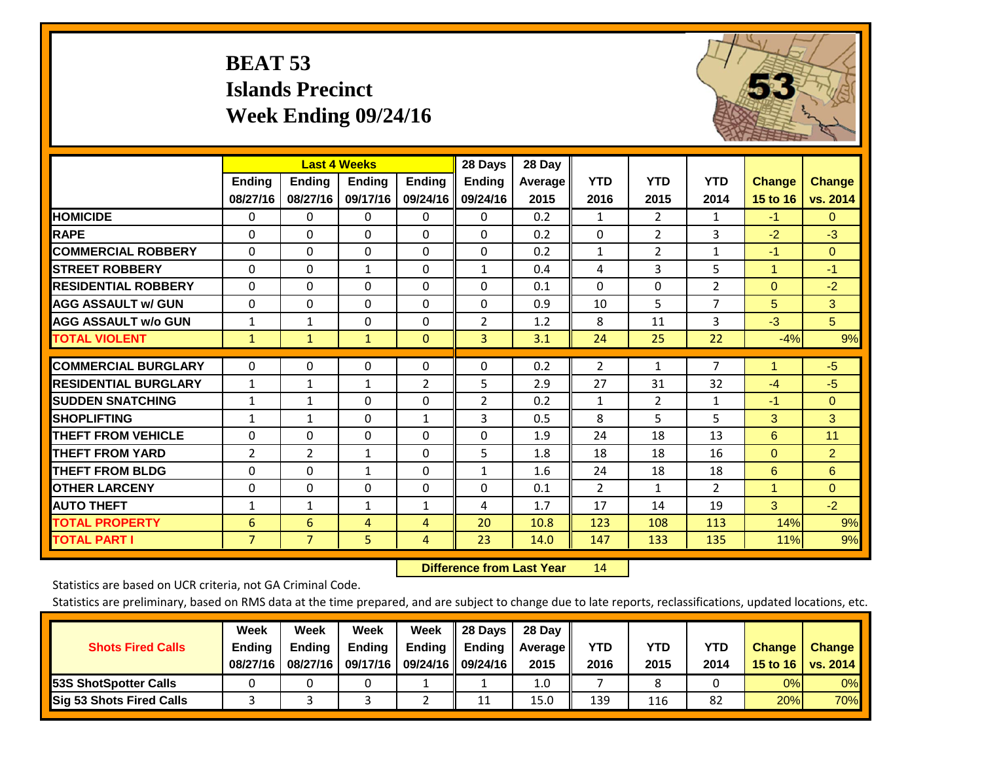# **BEAT 53 Islands Precinct Week Ending 09/24/16**



|                             |                |                | <b>Last 4 Weeks</b> |                | 28 Days        | 28 Day         |                |                |                |                |                |
|-----------------------------|----------------|----------------|---------------------|----------------|----------------|----------------|----------------|----------------|----------------|----------------|----------------|
|                             | Ending         | <b>Ending</b>  | <b>Endina</b>       | <b>Ending</b>  | <b>Ending</b>  | <b>Average</b> | <b>YTD</b>     | <b>YTD</b>     | <b>YTD</b>     | <b>Change</b>  | <b>Change</b>  |
|                             | 08/27/16       | 08/27/16       | 09/17/16            | 09/24/16       | 09/24/16       | 2015           | 2016           | 2015           | 2014           | 15 to 16       | vs. 2014       |
| <b>HOMICIDE</b>             | 0              | 0              | 0                   | 0              | 0              | 0.2            | $\mathbf{1}$   | $\overline{2}$ | 1              | $-1$           | $\Omega$       |
| <b>RAPE</b>                 | $\Omega$       | 0              | $\mathbf{0}$        | $\Omega$       | $\Omega$       | 0.2            | 0              | $\overline{2}$ | 3              | $-2$           | $-3$           |
| <b>COMMERCIAL ROBBERY</b>   | $\Omega$       | 0              | 0                   | $\Omega$       | $\Omega$       | 0.2            | 1              | $\overline{2}$ | 1              | $-1$           | $\Omega$       |
| <b>STREET ROBBERY</b>       | 0              | $\Omega$       | $\mathbf{1}$        | $\Omega$       | $\mathbf{1}$   | 0.4            | 4              | 3              | 5              | $\overline{1}$ | $-1$           |
| <b>RESIDENTIAL ROBBERY</b>  | $\Omega$       | 0              | $\mathbf 0$         | $\Omega$       | $\Omega$       | 0.1            | $\mathbf{0}$   | $\Omega$       | $\overline{2}$ | $\Omega$       | $-2$           |
| <b>AGG ASSAULT w/ GUN</b>   | 0              | 0              | 0                   | $\Omega$       | $\Omega$       | 0.9            | 10             | 5              | $\overline{7}$ | 5              | 3              |
| <b>AGG ASSAULT w/o GUN</b>  | $\mathbf{1}$   | 1              | 0                   | $\Omega$       | $\overline{2}$ | 1.2            | 8              | 11             | 3              | $-3$           | 5 <sup>5</sup> |
| <b>TOTAL VIOLENT</b>        | $\mathbf{1}$   | $\mathbf{1}$   | $\mathbf{1}$        | $\mathbf{0}$   | 3              | 3.1            | 24             | 25             | 22             | $-4%$          | 9%             |
| <b>COMMERCIAL BURGLARY</b>  | 0              | 0              | 0                   | 0              | $\Omega$       | 0.2            | $\overline{2}$ | 1              | $\overline{7}$ | 1              | $-5$           |
|                             |                |                |                     |                |                |                |                |                |                |                |                |
| <b>RESIDENTIAL BURGLARY</b> | $\mathbf{1}$   | 1              | $\mathbf{1}$        | $\overline{2}$ | 5              | 2.9            | 27             | 31             | 32             | $-4$           | $-5$           |
| <b>SUDDEN SNATCHING</b>     | $\mathbf{1}$   | 1              | $\mathbf{0}$        | $\Omega$       | $\overline{2}$ | 0.2            | 1              | $\overline{2}$ | $\mathbf{1}$   | $-1$           | $\Omega$       |
| <b>SHOPLIFTING</b>          | 1              | $\mathbf{1}$   | $\mathbf{0}$        | $\mathbf{1}$   | 3              | 0.5            | 8              | 5              | 5              | 3              | 3              |
| <b>THEFT FROM VEHICLE</b>   | $\Omega$       | 0              | 0                   | $\Omega$       | $\Omega$       | 1.9            | 24             | 18             | 13             | 6              | 11             |
| <b>THEFT FROM YARD</b>      | $\overline{2}$ | 2              | 1                   | $\Omega$       | 5              | 1.8            | 18             | 18             | 16             | $\mathbf{0}$   | $\overline{2}$ |
| <b>THEFT FROM BLDG</b>      | 0              | 0              | $\mathbf{1}$        | $\Omega$       | $\mathbf{1}$   | 1.6            | 24             | 18             | 18             | 6              | 6              |
| <b>OTHER LARCENY</b>        | $\Omega$       | 0              | $\mathbf{0}$        | $\Omega$       | $\Omega$       | 0.1            | $\overline{2}$ | $\mathbf{1}$   | 2              | 1              | $\Omega$       |
| <b>AUTO THEFT</b>           | $\mathbf{1}$   | $\mathbf{1}$   | $\mathbf{1}$        | $\mathbf{1}$   | 4              | 1.7            | 17             | 14             | 19             | 3              | $-2$           |
| <b>TOTAL PROPERTY</b>       | 6              | 6              | 4                   | $\overline{4}$ | 20             | 10.8           | 123            | 108            | 113            | 14%            | 9%             |
| <b>TOTAL PART I</b>         | $\overline{7}$ | $\overline{7}$ | 5                   | $\overline{4}$ | 23             | 14.0           | 147            | 133            | 135            | 11%            | 9%             |

 **Difference from Last Year**r 14

Statistics are based on UCR criteria, not GA Criminal Code.

| <b>Shots Fired Calls</b>        | Week<br><b>Ending</b><br>08/27/16 | Week<br><b>Endina</b><br>08/27/16 | <b>Week</b><br>Ending<br>09/17/16 | Week<br>Ending | 28 Days<br><b>Ending</b><br>09/24/16    09/24/16 | 28 Day<br>Average II<br>2015 | YTD<br>2016 | YTD<br>2015 | YTD<br>2014 | <b>Change</b><br>15 to 16 $\vert$ | <b>Change</b><br>vs. 2014 |
|---------------------------------|-----------------------------------|-----------------------------------|-----------------------------------|----------------|--------------------------------------------------|------------------------------|-------------|-------------|-------------|-----------------------------------|---------------------------|
| <b>153S ShotSpotter Calls</b>   |                                   |                                   |                                   |                |                                                  | 1.0                          |             |             |             | 0%                                | 0%                        |
| <b>Sig 53 Shots Fired Calls</b> |                                   |                                   |                                   |                | 11                                               | 15.0                         | 139         | 116         | 82          | 20%                               | 70%                       |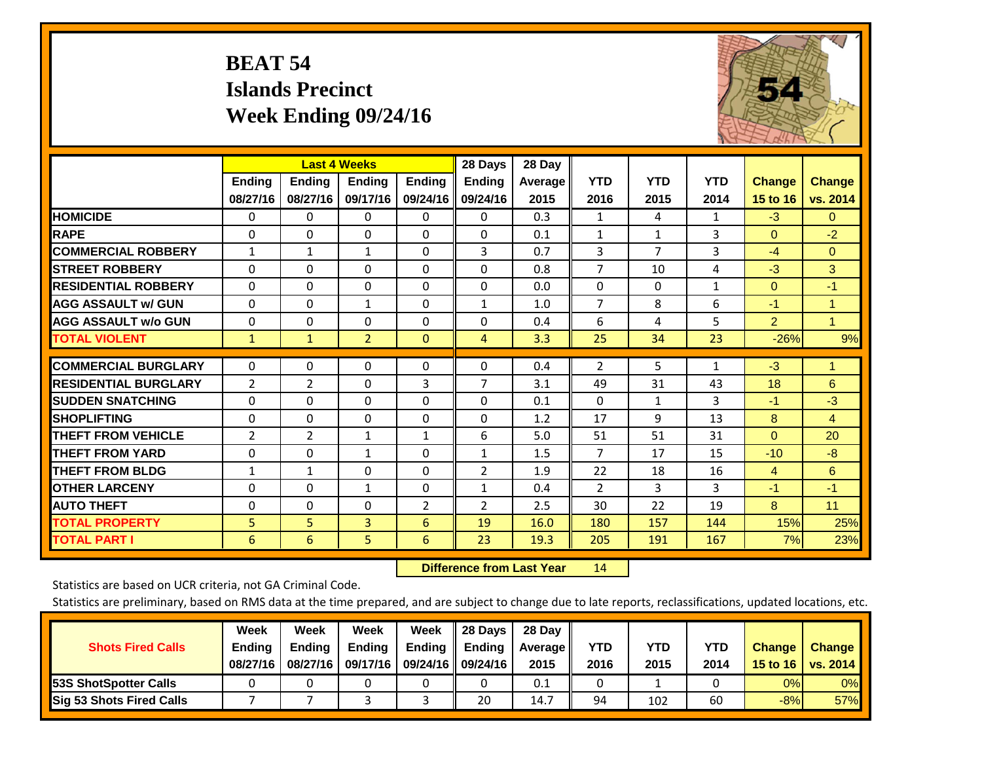# **BEAT 54 Islands Precinct Week Ending 09/24/16**



|                             |                | <b>Last 4 Weeks</b> |                |                | 28 Days        | 28 Day  |                |                |              |                |               |
|-----------------------------|----------------|---------------------|----------------|----------------|----------------|---------|----------------|----------------|--------------|----------------|---------------|
|                             | <b>Ending</b>  | <b>Ending</b>       | <b>Ending</b>  | <b>Ending</b>  | <b>Ending</b>  | Average | <b>YTD</b>     | <b>YTD</b>     | <b>YTD</b>   | <b>Change</b>  | <b>Change</b> |
|                             | 08/27/16       | 08/27/16            | 09/17/16       | 09/24/16       | 09/24/16       | 2015    | 2016           | 2015           | 2014         | 15 to 16       | vs. 2014      |
| <b>HOMICIDE</b>             | $\mathbf{0}$   | $\mathbf{0}$        | $\Omega$       | $\Omega$       | $\mathbf{0}$   | 0.3     | $\mathbf{1}$   | 4              | 1            | $-3$           | $\mathbf{0}$  |
| <b>RAPE</b>                 | $\Omega$       | $\Omega$            | $\Omega$       | $\Omega$       | $\Omega$       | 0.1     | $\mathbf{1}$   | 1              | 3            | $\Omega$       | $-2$          |
| <b>COMMERCIAL ROBBERY</b>   | $\mathbf{1}$   | $\mathbf{1}$        | 1              | $\Omega$       | 3              | 0.7     | 3              | $\overline{7}$ | 3            | $-4$           | $\Omega$      |
| <b>STREET ROBBERY</b>       | $\Omega$       | $\Omega$            | $\Omega$       | $\Omega$       | $\Omega$       | 0.8     | $\overline{7}$ | 10             | 4            | $-3$           | 3             |
| <b>RESIDENTIAL ROBBERY</b>  | $\Omega$       | $\Omega$            | $\Omega$       | $\Omega$       | 0              | 0.0     | $\Omega$       | $\Omega$       | 1            | $\mathbf{0}$   | $-1$          |
| <b>AGG ASSAULT w/ GUN</b>   | $\Omega$       | $\Omega$            | $\mathbf{1}$   | 0              | 1              | 1.0     | $\overline{7}$ | 8              | 6            | $-1$           | 1             |
| <b>AGG ASSAULT w/o GUN</b>  | $\Omega$       | $\Omega$            | $\Omega$       | $\Omega$       | $\Omega$       | 0.4     | 6              | 4              | 5            | $\overline{2}$ | $\mathbf{1}$  |
| <b>TOTAL VIOLENT</b>        | $\mathbf{1}$   | $\mathbf{1}$        | $\overline{2}$ | $\overline{0}$ | $\overline{4}$ | 3.3     | 25             | 34             | 23           | $-26%$         | 9%            |
| <b>COMMERCIAL BURGLARY</b>  | $\mathbf{0}$   | $\Omega$            | $\Omega$       | $\Omega$       | $\Omega$       | 0.4     | $\overline{2}$ | 5              | $\mathbf{1}$ | $-3$           | 1             |
| <b>RESIDENTIAL BURGLARY</b> |                |                     | $\Omega$       | 3              | 7              | 3.1     |                | 31             |              | 18             | 6             |
|                             | $\overline{2}$ | $\overline{2}$      |                |                |                |         | 49             |                | 43           |                |               |
| <b>SUDDEN SNATCHING</b>     | $\Omega$       | $\Omega$            | $\Omega$       | 0              | $\Omega$       | 0.1     | $\mathbf{0}$   | $\mathbf{1}$   | 3            | $-1$           | $-3$          |
| <b>SHOPLIFTING</b>          | $\Omega$       | $\Omega$            | $\Omega$       | $\Omega$       | $\Omega$       | 1.2     | 17             | 9              | 13           | 8              | 4             |
| <b>THEFT FROM VEHICLE</b>   | 2              | $\overline{2}$      | $\mathbf{1}$   | $\mathbf{1}$   | 6              | 5.0     | 51             | 51             | 31           | $\mathbf{0}$   | 20            |
| <b>THEFT FROM YARD</b>      | $\Omega$       | $\Omega$            | $\mathbf{1}$   | $\Omega$       | $\mathbf{1}$   | 1.5     | $\overline{7}$ | 17             | 15           | $-10$          | $-8$          |
| <b>THEFT FROM BLDG</b>      | $\mathbf{1}$   | $\mathbf{1}$        | $\Omega$       | 0              | 2              | 1.9     | 22             | 18             | 16           | 4              | 6             |
| <b>OTHER LARCENY</b>        | $\Omega$       | $\Omega$            | $\mathbf{1}$   | $\Omega$       | 1              | 0.4     | $\overline{2}$ | 3              | 3            | $-1$           | $-1$          |
| <b>AUTO THEFT</b>           | 0              | $\Omega$            | $\Omega$       | $\overline{2}$ | $\overline{2}$ | 2.5     | 30             | 22             | 19           | 8              | 11            |
| <b>TOTAL PROPERTY</b>       | 5              | 5                   | 3              | 6              | 19             | 16.0    | 180            | 157            | 144          | 15%            | 25%           |
| <b>TOTAL PART I</b>         | 6              | 6                   | 5              | 6              | 23             | 19.3    | 205            | 191            | 167          | 7%             | 23%           |

 **Difference from Last Year**r 14

Statistics are based on UCR criteria, not GA Criminal Code.

| <b>Shots Fired Calls</b>        | Week<br><b>Ending</b><br>08/27/16 | Week<br><b>Endina</b><br>08/27/16 | <b>Week</b><br>Ending<br>09/17/16 | Week<br>Ending | 28 Days<br><b>Ending</b><br>09/24/16    09/24/16 | 28 Day<br>Average II<br>2015 | YTD<br>2016 | YTD<br>2015 | YTD<br>2014 | <b>Change</b><br>15 to 16 $\vert$ | <b>Change</b><br>vs. 2014 |
|---------------------------------|-----------------------------------|-----------------------------------|-----------------------------------|----------------|--------------------------------------------------|------------------------------|-------------|-------------|-------------|-----------------------------------|---------------------------|
| <b>153S ShotSpotter Calls</b>   |                                   |                                   |                                   |                |                                                  | 0.1                          |             |             |             | 0%                                | 0%                        |
| <b>Sig 53 Shots Fired Calls</b> |                                   |                                   |                                   |                | 20                                               | 14.7                         | 94          | 102         | 60          | $-8%$                             | 57%                       |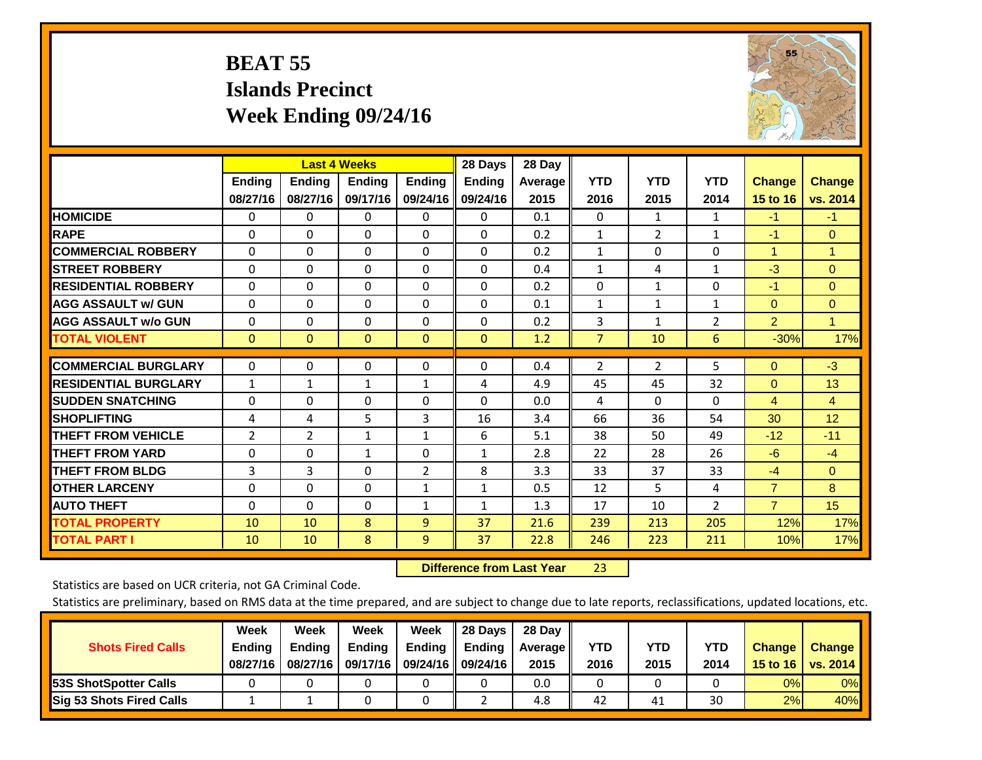# **BEAT 55 Islands Precinct Week Ending 09/24/16**



|                             | <b>Last 4 Weeks</b> |                |               |                | 28 Days       | 28 Day  |                |                |                |                |               |
|-----------------------------|---------------------|----------------|---------------|----------------|---------------|---------|----------------|----------------|----------------|----------------|---------------|
|                             | Ending              | Ending         | <b>Ending</b> | <b>Ending</b>  | <b>Ending</b> | Average | <b>YTD</b>     | <b>YTD</b>     | <b>YTD</b>     | <b>Change</b>  | <b>Change</b> |
|                             | 08/27/16            | 08/27/16       | 09/17/16      | 09/24/16       | 09/24/16      | 2015    | 2016           | 2015           | 2014           | 15 to 16       | vs. 2014      |
| <b>HOMICIDE</b>             | $\mathbf{0}$        | 0              | 0             | $\Omega$       | $\Omega$      | 0.1     | $\Omega$       | $\mathbf{1}$   | $\mathbf{1}$   | $-1$           | $-1$          |
| <b>RAPE</b>                 | $\Omega$            | $\Omega$       | $\Omega$      | $\Omega$       | 0             | 0.2     | $\mathbf{1}$   | $\overline{2}$ | $\mathbf{1}$   | $-1$           | $\mathbf{0}$  |
| <b>COMMERCIAL ROBBERY</b>   | $\Omega$            | $\Omega$       | $\Omega$      | 0              | $\Omega$      | 0.2     | $\mathbf{1}$   | $\Omega$       | 0              | $\mathbf{1}$   | $\mathbf{1}$  |
| <b>STREET ROBBERY</b>       | $\Omega$            | $\Omega$       | $\Omega$      | $\Omega$       | $\Omega$      | 0.4     | $\mathbf{1}$   | 4              | $\mathbf{1}$   | $-3$           | $\mathbf{0}$  |
| <b>RESIDENTIAL ROBBERY</b>  | $\mathbf 0$         | $\Omega$       | 0             | $\Omega$       | $\Omega$      | 0.2     | $\mathbf{0}$   | $\mathbf{1}$   | 0              | $-1$           | $\Omega$      |
| <b>AGG ASSAULT w/ GUN</b>   | $\Omega$            | $\Omega$       | $\Omega$      | $\Omega$       | 0             | 0.1     | $\mathbf{1}$   | $\mathbf{1}$   | $\mathbf{1}$   | $\Omega$       | $\mathbf{0}$  |
| <b>AGG ASSAULT w/o GUN</b>  | $\Omega$            | $\Omega$       | $\Omega$      | 0              | $\Omega$      | 0.2     | 3              | $\mathbf{1}$   | $\overline{2}$ | $\overline{2}$ | 1.            |
| <b>TOTAL VIOLENT</b>        | $\mathbf 0$         | $\overline{0}$ | $\mathbf{0}$  | $\mathbf{0}$   | $\mathbf{0}$  | 1.2     | 7              | 10             | 6              | $-30%$         | 17%           |
| <b>COMMERCIAL BURGLARY</b>  | 0                   | $\Omega$       | $\Omega$      | $\Omega$       | 0             | 0.4     | $\overline{2}$ | $\overline{2}$ | 5              | $\mathbf{0}$   | $-3$          |
|                             |                     |                |               |                |               |         |                |                |                |                |               |
| <b>RESIDENTIAL BURGLARY</b> | $\mathbf{1}$        | $\mathbf{1}$   | 1             | $\mathbf{1}$   | 4             | 4.9     | 45             | 45             | 32             | $\Omega$       | 13            |
| <b>ISUDDEN SNATCHING</b>    | 0                   | $\Omega$       | $\Omega$      | 0              | $\Omega$      | 0.0     | 4              | $\Omega$       | 0              | $\overline{4}$ | 4             |
| <b>SHOPLIFTING</b>          | 4                   | 4              | 5             | 3              | 16            | 3.4     | 66             | 36             | 54             | 30             | 12            |
| <b>THEFT FROM VEHICLE</b>   | $\overline{2}$      | $\overline{2}$ | 1             | $\mathbf{1}$   | 6             | 5.1     | 38             | 50             | 49             | $-12$          | $-11$         |
| <b>THEFT FROM YARD</b>      | $\mathbf 0$         | $\Omega$       | $\mathbf{1}$  | $\Omega$       | $\mathbf{1}$  | 2.8     | 22             | 28             | 26             | $-6$           | $-4$          |
| <b>THEFT FROM BLDG</b>      | 3                   | 3              | $\Omega$      | $\overline{2}$ | 8             | 3.3     | 33             | 37             | 33             | $-4$           | $\mathbf{0}$  |
| <b>OTHER LARCENY</b>        | 0                   | $\Omega$       | $\Omega$      | $\mathbf{1}$   | $\mathbf{1}$  | 0.5     | 12             | 5.             | 4              | $\overline{7}$ | 8             |
| <b>AUTO THEFT</b>           | $\Omega$            | $\Omega$       | $\Omega$      | $\mathbf{1}$   | $\mathbf{1}$  | 1.3     | 17             | 10             | $\overline{2}$ | $\overline{7}$ | 15            |
| <b>TOTAL PROPERTY</b>       | 10                  | 10             | 8             | 9              | 37            | 21.6    | 239            | 213            | 205            | 12%            | 17%           |
| <b>TOTAL PART I</b>         | 10                  | 10             | 8             | 9              | 37            | 22.8    | 246            | 223            | 211            | 10%            | 17%           |

 **Difference from Last Year**r 23

Statistics are based on UCR criteria, not GA Criminal Code.

| <b>Shots Fired Calls</b>        | Week<br><b>Ending</b><br>08/27/16 | Week<br><b>Endina</b><br>08/27/16 | Week<br>Ending<br>09/17/16 | Week<br>Ending | 28 Days<br><b>Ending</b><br>09/24/16    09/24/16 | 28 Day<br>Average II<br>2015 | YTD<br>2016 | YTD<br>2015 | YTD<br>2014 | <b>Change</b><br>15 to 16 $\vert$ | <b>Change</b><br>vs. 2014 |
|---------------------------------|-----------------------------------|-----------------------------------|----------------------------|----------------|--------------------------------------------------|------------------------------|-------------|-------------|-------------|-----------------------------------|---------------------------|
| <b>153S ShotSpotter Calls</b>   |                                   |                                   |                            |                |                                                  | 0.0                          |             |             |             | 0%                                | 0%                        |
| <b>Sig 53 Shots Fired Calls</b> |                                   |                                   |                            |                |                                                  | 4.8                          | 42          | 41          | 30          | 2%                                | 40%                       |